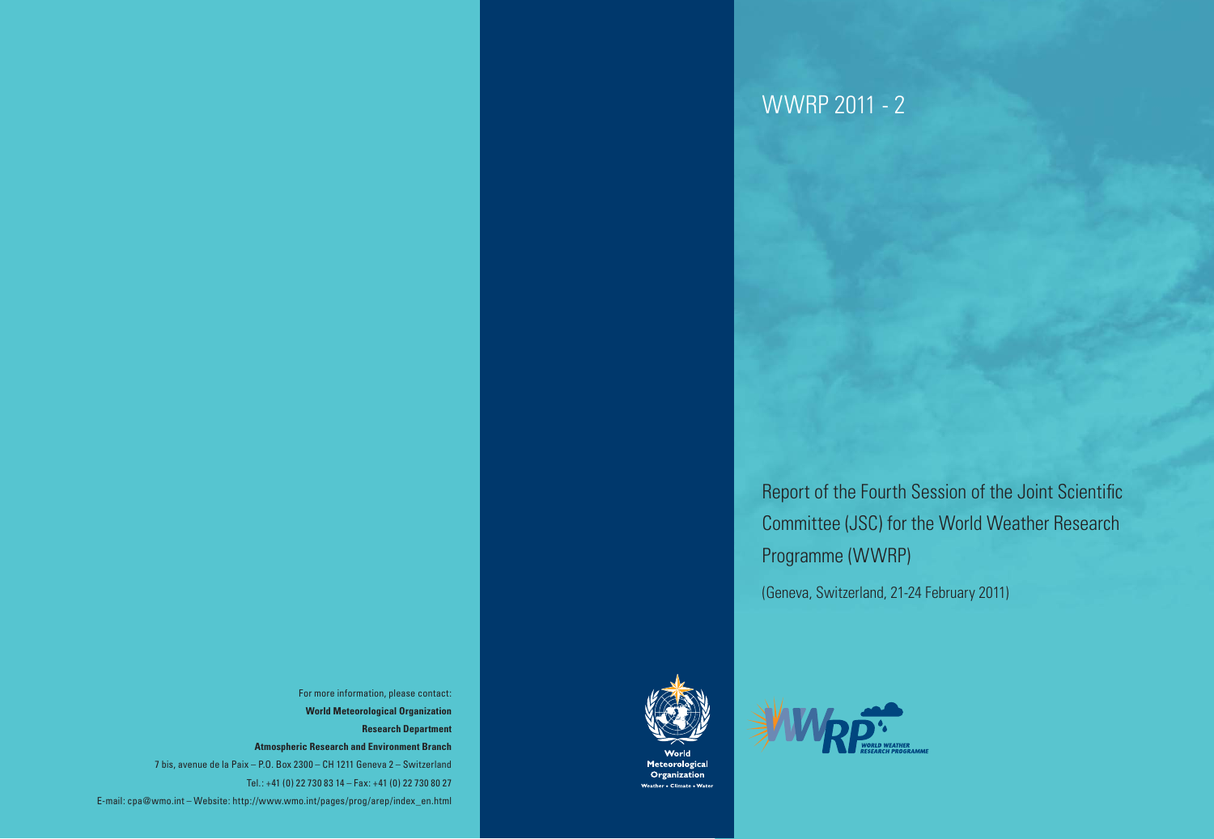Report of the Fourth Session of the Joint Scientific Committee (JSC) for the World Weather Research Programme (WWRP) (Geneva, Switzerland, 21-24 February 2011)





For more information, please contact: **World Meteorological Organization Research Department Atmospheric Research and Environment Branch** 7 bis, avenue de la Paix – P.O. Box 2300 – CH 1211 Geneva 2 – Switzerland Tel.: +41 (0) 22 730 83 14 – Fax: +41 (0) 22 730 80 27 E-mail: cpa@wmo.int – Website: http://www.wmo.int/pages/prog/arep/index\_en.html



Meteorological Organization eather • Climate • Wa

# WWRP 2011 - 2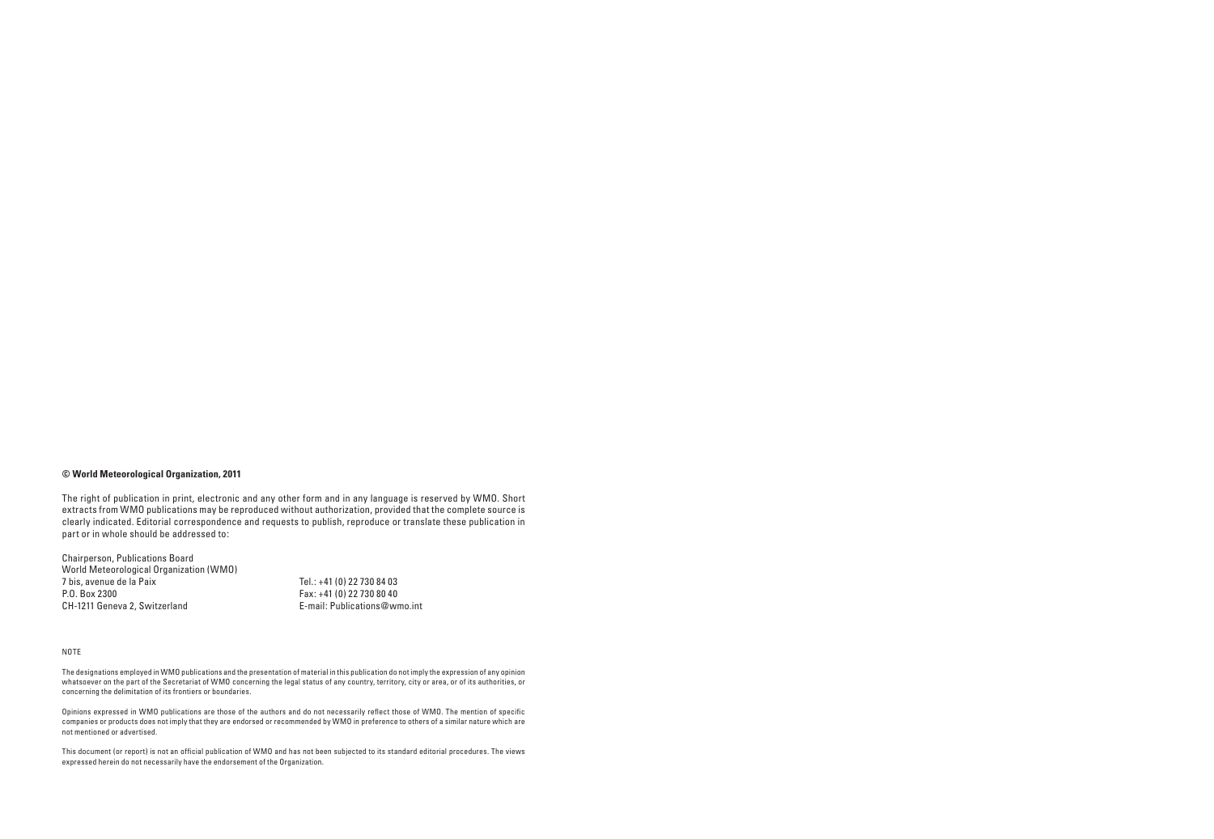#### **© World Meteorological Organization, 2011**

Chairperson, Publications Board World Meteorological Organization (WMO)<br>7 bis, avenue de la Paix 7 bis, avenue de la Paix Tel.: +41 (0) 22 730 84 03 CH-1211 Geneva 2, Switzerland

 $\frac{Pax: +41 (0) 22 730 80 40}{P-mail: Publications@wmol.}$ 

The right of publication in print, electronic and any other form and in any language is reserved by WMO. Short extracts from WMO publications may be reproduced without authorization, provided that the complete source is clearly indicated. Editorial correspondence and requests to publish, reproduce or translate these publication in part or in whole should be addressed to:

#### NOTE

The designations employed in WMO publications and the presentation of material in this publication do not imply the expression of any opinion whatsoever on the part of the Secretariat of WMO concerning the legal status of any country, territory, city or area, or of its authorities, or concerning the delimitation of its frontiers or boundaries.

Opinions expressed in WMO publications are those of the authors and do not necessarily reflect those of WMO. The mention of specific companies or products does not imply that they are endorsed or recommended by WMO in preference to others of a similar nature which are not mentioned or advertised.

This document (or report) is not an official publication of WMO and has not been subjected to its standard editorial procedures. The views expressed herein do not necessarily have the endorsement of the Organization.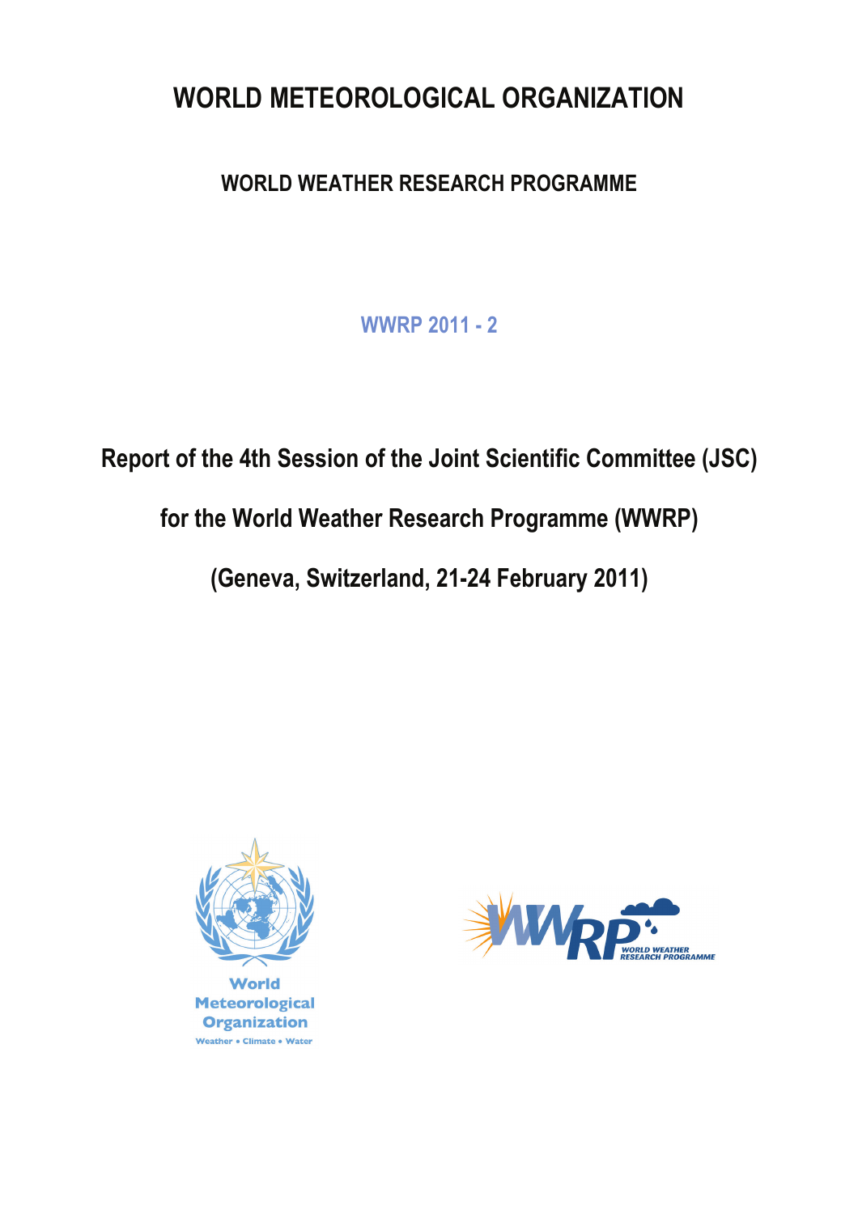# **WORLD METEOROLOGICAL ORGANIZATION**

# **WORLD WEATHER RESEARCH PROGRAMME**

**WWRP 2011 - 2**

**Report of the 4th Session of the Joint Scientific Committee (JSC)** 

**for the World Weather Research Programme (WWRP)**

**(Geneva, Switzerland, 21-24 February 2011)**



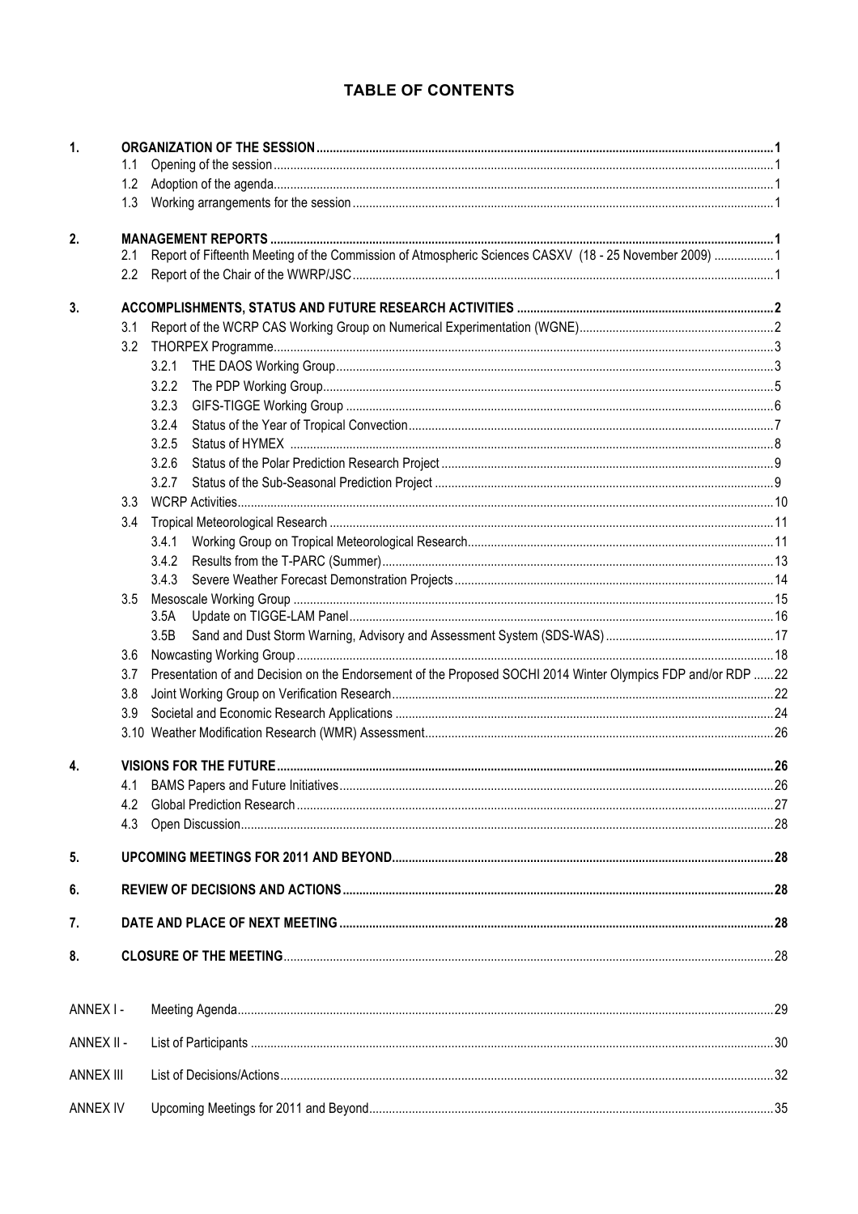## TABLE OF CONTENTS

| 1.               | 1.1 |                                                                                                              |  |  |  |  |
|------------------|-----|--------------------------------------------------------------------------------------------------------------|--|--|--|--|
|                  | 1.2 |                                                                                                              |  |  |  |  |
|                  |     |                                                                                                              |  |  |  |  |
|                  | 1.3 |                                                                                                              |  |  |  |  |
| 2.               |     |                                                                                                              |  |  |  |  |
|                  | 2.1 | Report of Fifteenth Meeting of the Commission of Atmospheric Sciences CASXV (18 - 25 November 2009) 1        |  |  |  |  |
|                  | 2.2 |                                                                                                              |  |  |  |  |
| 3.               |     |                                                                                                              |  |  |  |  |
|                  | 3.1 |                                                                                                              |  |  |  |  |
|                  | 3.2 |                                                                                                              |  |  |  |  |
|                  |     | 3.2.1                                                                                                        |  |  |  |  |
|                  |     | 3.2.2                                                                                                        |  |  |  |  |
|                  |     | 3.2.3                                                                                                        |  |  |  |  |
|                  |     | 3.2.4                                                                                                        |  |  |  |  |
|                  |     | 3.2.5                                                                                                        |  |  |  |  |
|                  |     | 3.2.6                                                                                                        |  |  |  |  |
|                  |     | 3.2.7                                                                                                        |  |  |  |  |
|                  | 3.3 |                                                                                                              |  |  |  |  |
|                  | 3.4 |                                                                                                              |  |  |  |  |
|                  |     | 3.4.1                                                                                                        |  |  |  |  |
|                  |     | 3.4.2                                                                                                        |  |  |  |  |
|                  |     |                                                                                                              |  |  |  |  |
|                  | 3.5 |                                                                                                              |  |  |  |  |
|                  |     | 3.5A                                                                                                         |  |  |  |  |
|                  |     | 3.5B                                                                                                         |  |  |  |  |
|                  | 3.6 |                                                                                                              |  |  |  |  |
|                  | 3.7 | Presentation of and Decision on the Endorsement of the Proposed SOCHI 2014 Winter Olympics FDP and/or RDP 22 |  |  |  |  |
|                  | 3.8 |                                                                                                              |  |  |  |  |
|                  | 3.9 |                                                                                                              |  |  |  |  |
|                  |     |                                                                                                              |  |  |  |  |
| 4.               |     |                                                                                                              |  |  |  |  |
|                  | 4.1 |                                                                                                              |  |  |  |  |
|                  | 4.2 |                                                                                                              |  |  |  |  |
|                  |     |                                                                                                              |  |  |  |  |
| 5.               |     |                                                                                                              |  |  |  |  |
| 6.               |     |                                                                                                              |  |  |  |  |
| 7.               |     |                                                                                                              |  |  |  |  |
| 8.               |     |                                                                                                              |  |  |  |  |
|                  |     |                                                                                                              |  |  |  |  |
| ANNEX I-         |     |                                                                                                              |  |  |  |  |
| ANNEX II -       |     |                                                                                                              |  |  |  |  |
| <b>ANNEX III</b> |     |                                                                                                              |  |  |  |  |
| <b>ANNEX IV</b>  |     |                                                                                                              |  |  |  |  |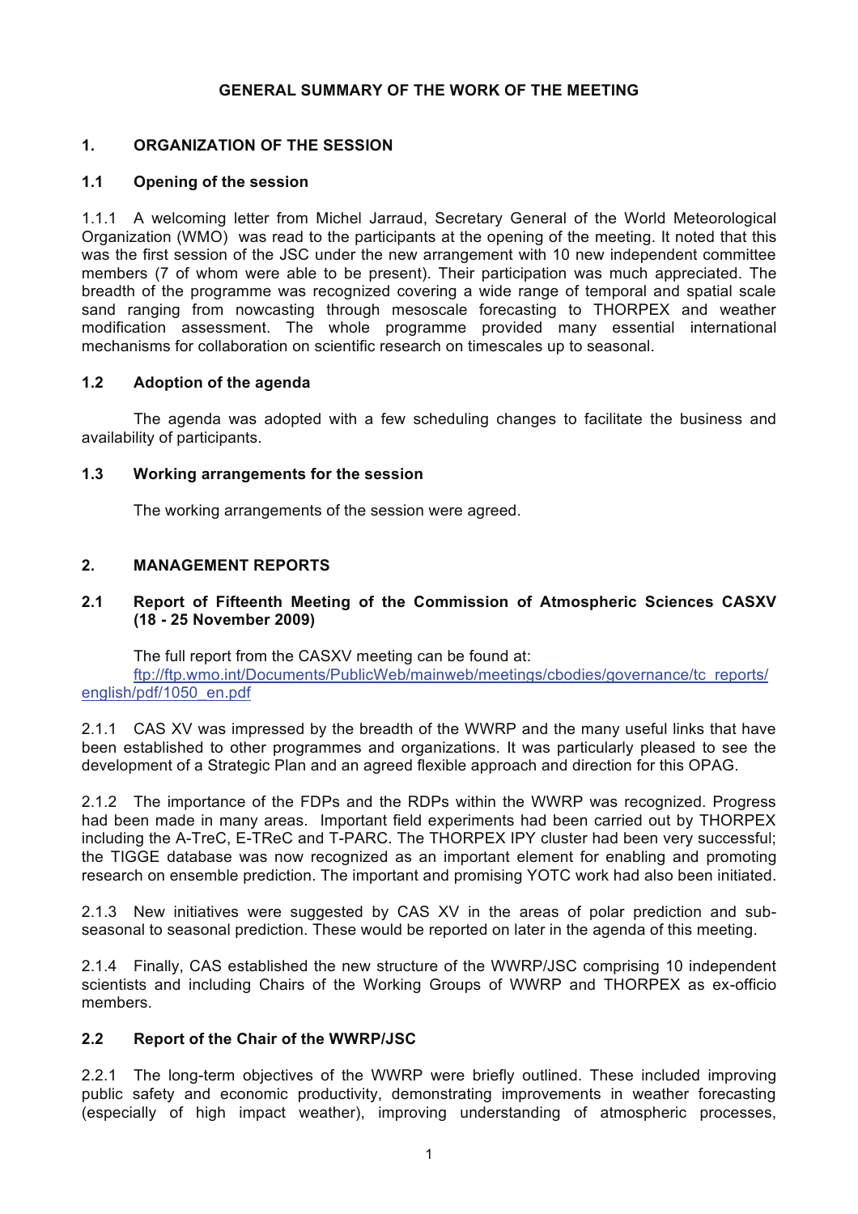## **GENERAL SUMMARY OF THE WORK OF THE MEETING**

## **1. ORGANIZATION OF THE SESSION**

## **1.1 Opening of the session**

1.1.1 A welcoming letter from Michel Jarraud, Secretary General of the World Meteorological Organization (WMO) was read to the participants at the opening of the meeting. It noted that this was the first session of the JSC under the new arrangement with 10 new independent committee members (7 of whom were able to be present). Their participation was much appreciated. The breadth of the programme was recognized covering a wide range of temporal and spatial scale sand ranging from nowcasting through mesoscale forecasting to THORPEX and weather modification assessment. The whole programme provided many essential international mechanisms for collaboration on scientific research on timescales up to seasonal.

## **1.2 Adoption of the agenda**

The agenda was adopted with a few scheduling changes to facilitate the business and availability of participants.

## **1.3 Working arrangements for the session**

The working arrangements of the session were agreed.

## **2. MANAGEMENT REPORTS**

## **2.1 Report of Fifteenth Meeting of the Commission of Atmospheric Sciences CASXV (18 - 25 November 2009)**

The full report from the CASXV meeting can be found at: ftp://ftp.wmo.int/Documents/PublicWeb/mainweb/meetings/cbodies/governance/tc\_reports/ english/pdf/1050\_en.pdf

2.1.1 CAS XV was impressed by the breadth of the WWRP and the many useful links that have been established to other programmes and organizations. It was particularly pleased to see the development of a Strategic Plan and an agreed flexible approach and direction for this OPAG.

2.1.2 The importance of the FDPs and the RDPs within the WWRP was recognized. Progress had been made in many areas. Important field experiments had been carried out by THORPEX including the A-TreC, E-TReC and T-PARC. The THORPEX IPY cluster had been very successful; the TIGGE database was now recognized as an important element for enabling and promoting research on ensemble prediction. The important and promising YOTC work had also been initiated.

2.1.3 New initiatives were suggested by CAS XV in the areas of polar prediction and subseasonal to seasonal prediction. These would be reported on later in the agenda of this meeting.

2.1.4 Finally, CAS established the new structure of the WWRP/JSC comprising 10 independent scientists and including Chairs of the Working Groups of WWRP and THORPEX as ex-officio members.

## **2.2 Report of the Chair of the WWRP/JSC**

2.2.1 The long-term objectives of the WWRP were briefly outlined. These included improving public safety and economic productivity, demonstrating improvements in weather forecasting (especially of high impact weather), improving understanding of atmospheric processes,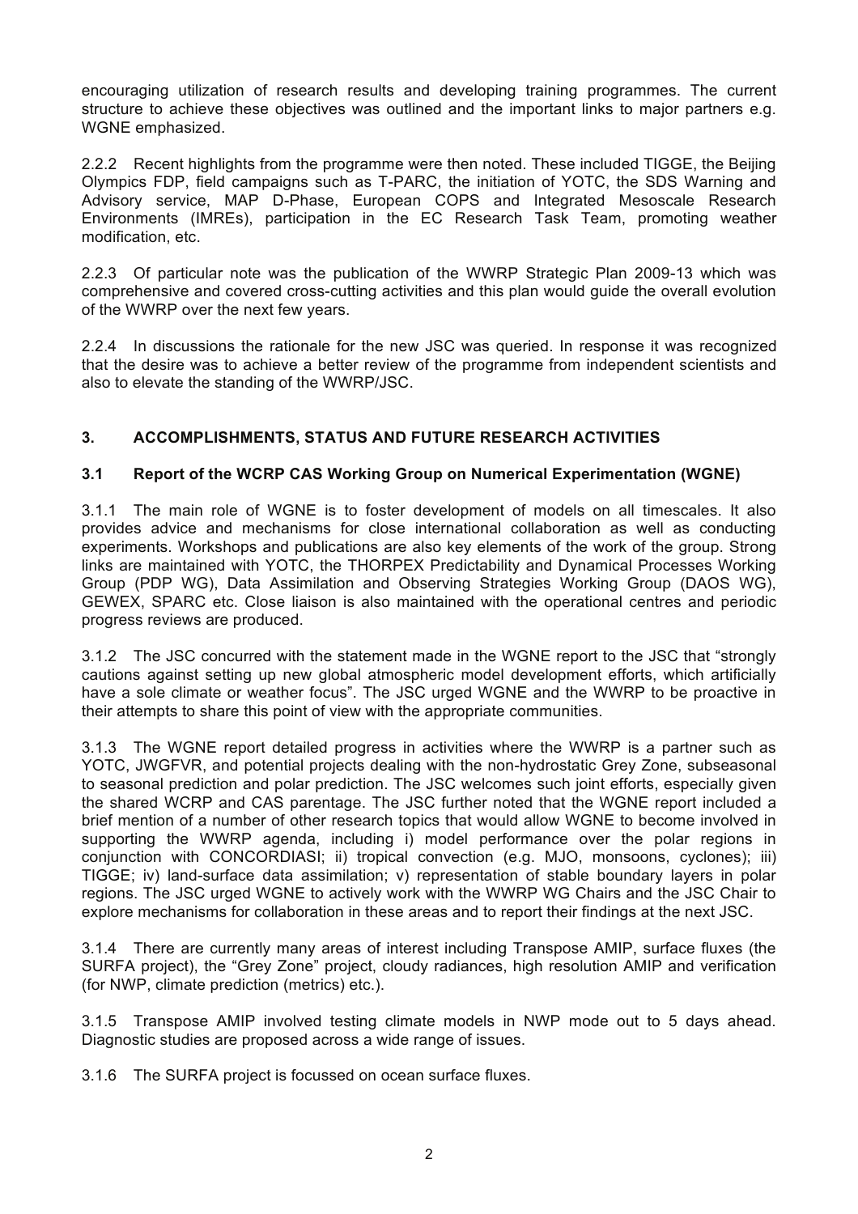encouraging utilization of research results and developing training programmes. The current structure to achieve these objectives was outlined and the important links to major partners e.g. WGNE emphasized.

2.2.2 Recent highlights from the programme were then noted. These included TIGGE, the Beijing Olympics FDP, field campaigns such as T-PARC, the initiation of YOTC, the SDS Warning and Advisory service, MAP D-Phase, European COPS and Integrated Mesoscale Research Environments (IMREs), participation in the EC Research Task Team, promoting weather modification, etc.

2.2.3 Of particular note was the publication of the WWRP Strategic Plan 2009-13 which was comprehensive and covered cross-cutting activities and this plan would guide the overall evolution of the WWRP over the next few years.

2.2.4 In discussions the rationale for the new JSC was queried. In response it was recognized that the desire was to achieve a better review of the programme from independent scientists and also to elevate the standing of the WWRP/JSC.

## **3. ACCOMPLISHMENTS, STATUS AND FUTURE RESEARCH ACTIVITIES**

## **3.1 Report of the WCRP CAS Working Group on Numerical Experimentation (WGNE)**

3.1.1 The main role of WGNE is to foster development of models on all timescales. It also provides advice and mechanisms for close international collaboration as well as conducting experiments. Workshops and publications are also key elements of the work of the group. Strong links are maintained with YOTC, the THORPEX Predictability and Dynamical Processes Working Group (PDP WG), Data Assimilation and Observing Strategies Working Group (DAOS WG), GEWEX, SPARC etc. Close liaison is also maintained with the operational centres and periodic progress reviews are produced.

3.1.2 The JSC concurred with the statement made in the WGNE report to the JSC that "strongly cautions against setting up new global atmospheric model development efforts, which artificially have a sole climate or weather focus". The JSC urged WGNE and the WWRP to be proactive in their attempts to share this point of view with the appropriate communities.

3.1.3 The WGNE report detailed progress in activities where the WWRP is a partner such as YOTC, JWGFVR, and potential projects dealing with the non-hydrostatic Grey Zone, subseasonal to seasonal prediction and polar prediction. The JSC welcomes such joint efforts, especially given the shared WCRP and CAS parentage. The JSC further noted that the WGNE report included a brief mention of a number of other research topics that would allow WGNE to become involved in supporting the WWRP agenda, including i) model performance over the polar regions in conjunction with CONCORDIASI; ii) tropical convection (e.g. MJO, monsoons, cyclones); iii) TIGGE; iv) land-surface data assimilation; v) representation of stable boundary layers in polar regions. The JSC urged WGNE to actively work with the WWRP WG Chairs and the JSC Chair to explore mechanisms for collaboration in these areas and to report their findings at the next JSC.

3.1.4 There are currently many areas of interest including Transpose AMIP, surface fluxes (the SURFA project), the "Grey Zone" project, cloudy radiances, high resolution AMIP and verification (for NWP, climate prediction (metrics) etc.).

3.1.5 Transpose AMIP involved testing climate models in NWP mode out to 5 days ahead. Diagnostic studies are proposed across a wide range of issues.

3.1.6 The SURFA project is focussed on ocean surface fluxes.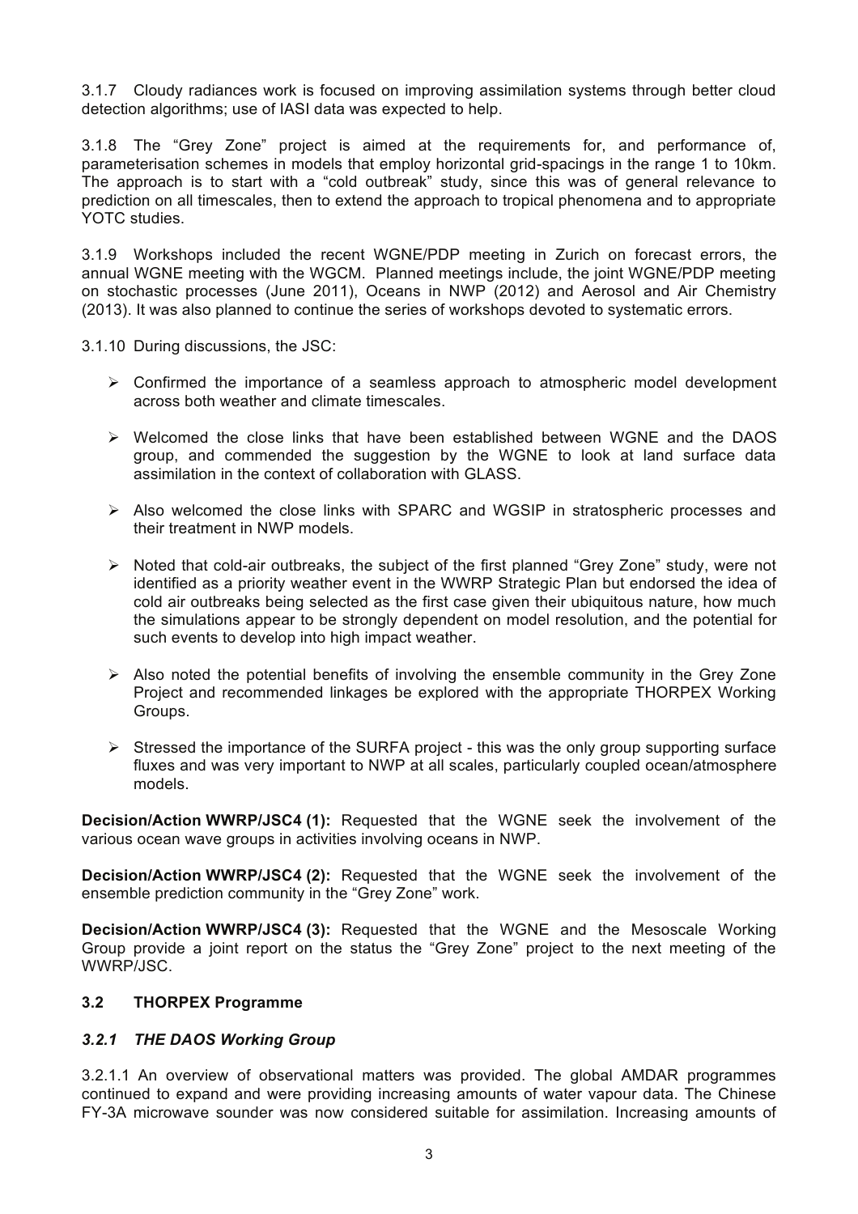3.1.7 Cloudy radiances work is focused on improving assimilation systems through better cloud detection algorithms; use of IASI data was expected to help.

3.1.8 The "Grey Zone" project is aimed at the requirements for, and performance of, parameterisation schemes in models that employ horizontal grid-spacings in the range 1 to 10km. The approach is to start with a "cold outbreak" study, since this was of general relevance to prediction on all timescales, then to extend the approach to tropical phenomena and to appropriate YOTC studies.

3.1.9 Workshops included the recent WGNE/PDP meeting in Zurich on forecast errors, the annual WGNE meeting with the WGCM. Planned meetings include, the joint WGNE/PDP meeting on stochastic processes (June 2011), Oceans in NWP (2012) and Aerosol and Air Chemistry (2013). It was also planned to continue the series of workshops devoted to systematic errors.

3.1.10 During discussions, the JSC:

- $\triangleright$  Confirmed the importance of a seamless approach to atmospheric model development across both weather and climate timescales.
- $\triangleright$  Welcomed the close links that have been established between WGNE and the DAOS group, and commended the suggestion by the WGNE to look at land surface data assimilation in the context of collaboration with GLASS.
- ! Also welcomed the close links with SPARC and WGSIP in stratospheric processes and their treatment in NWP models.
- $\triangleright$  Noted that cold-air outbreaks, the subject of the first planned "Grey Zone" study, were not identified as a priority weather event in the WWRP Strategic Plan but endorsed the idea of cold air outbreaks being selected as the first case given their ubiquitous nature, how much the simulations appear to be strongly dependent on model resolution, and the potential for such events to develop into high impact weather.
- $\triangleright$  Also noted the potential benefits of involving the ensemble community in the Grey Zone Project and recommended linkages be explored with the appropriate THORPEX Working Groups.
- $\triangleright$  Stressed the importance of the SURFA project this was the only group supporting surface fluxes and was very important to NWP at all scales, particularly coupled ocean/atmosphere models.

**Decision/Action WWRP/JSC4 (1):** Requested that the WGNE seek the involvement of the various ocean wave groups in activities involving oceans in NWP.

**Decision/Action WWRP/JSC4 (2):** Requested that the WGNE seek the involvement of the ensemble prediction community in the "Grey Zone" work.

**Decision/Action WWRP/JSC4 (3):** Requested that the WGNE and the Mesoscale Working Group provide a joint report on the status the "Grey Zone" project to the next meeting of the WWRP/JSC.

## **3.2 THORPEX Programme**

## *3.2.1 THE DAOS Working Group*

3.2.1.1 An overview of observational matters was provided. The global AMDAR programmes continued to expand and were providing increasing amounts of water vapour data. The Chinese FY-3A microwave sounder was now considered suitable for assimilation. Increasing amounts of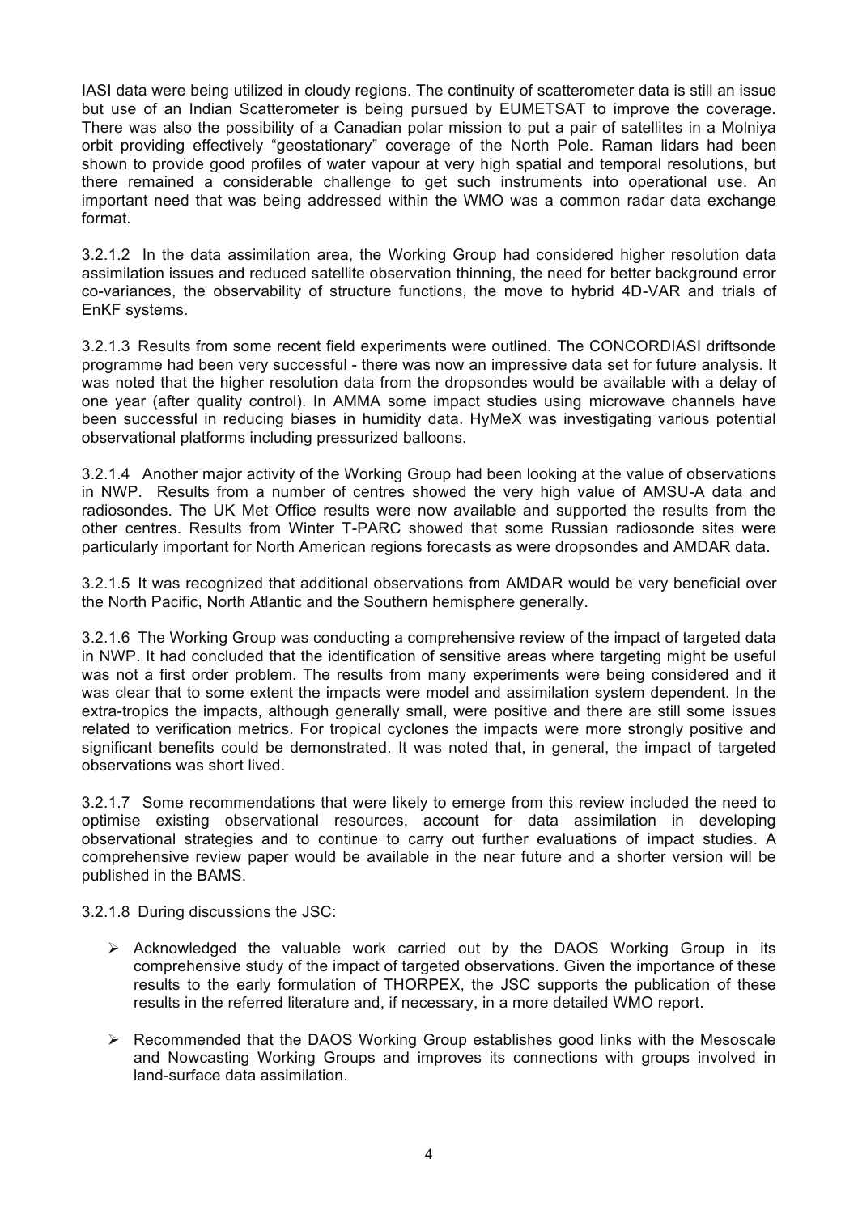IASI data were being utilized in cloudy regions. The continuity of scatterometer data is still an issue but use of an Indian Scatterometer is being pursued by EUMETSAT to improve the coverage. There was also the possibility of a Canadian polar mission to put a pair of satellites in a Molniya orbit providing effectively "geostationary" coverage of the North Pole. Raman lidars had been shown to provide good profiles of water vapour at very high spatial and temporal resolutions, but there remained a considerable challenge to get such instruments into operational use. An important need that was being addressed within the WMO was a common radar data exchange format.

3.2.1.2 In the data assimilation area, the Working Group had considered higher resolution data assimilation issues and reduced satellite observation thinning, the need for better background error co-variances, the observability of structure functions, the move to hybrid 4D-VAR and trials of EnKF systems.

3.2.1.3 Results from some recent field experiments were outlined. The CONCORDIASI driftsonde programme had been very successful - there was now an impressive data set for future analysis. It was noted that the higher resolution data from the dropsondes would be available with a delay of one year (after quality control). In AMMA some impact studies using microwave channels have been successful in reducing biases in humidity data. HyMeX was investigating various potential observational platforms including pressurized balloons.

3.2.1.4 Another major activity of the Working Group had been looking at the value of observations in NWP. Results from a number of centres showed the very high value of AMSU-A data and radiosondes. The UK Met Office results were now available and supported the results from the other centres. Results from Winter T-PARC showed that some Russian radiosonde sites were particularly important for North American regions forecasts as were dropsondes and AMDAR data.

3.2.1.5 It was recognized that additional observations from AMDAR would be very beneficial over the North Pacific, North Atlantic and the Southern hemisphere generally.

3.2.1.6 The Working Group was conducting a comprehensive review of the impact of targeted data in NWP. It had concluded that the identification of sensitive areas where targeting might be useful was not a first order problem. The results from many experiments were being considered and it was clear that to some extent the impacts were model and assimilation system dependent. In the extra-tropics the impacts, although generally small, were positive and there are still some issues related to verification metrics. For tropical cyclones the impacts were more strongly positive and significant benefits could be demonstrated. It was noted that, in general, the impact of targeted observations was short lived.

3.2.1.7 Some recommendations that were likely to emerge from this review included the need to optimise existing observational resources, account for data assimilation in developing observational strategies and to continue to carry out further evaluations of impact studies. A comprehensive review paper would be available in the near future and a shorter version will be published in the BAMS.

3.2.1.8 During discussions the JSC:

- $\triangleright$  Acknowledged the valuable work carried out by the DAOS Working Group in its comprehensive study of the impact of targeted observations. Given the importance of these results to the early formulation of THORPEX, the JSC supports the publication of these results in the referred literature and, if necessary, in a more detailed WMO report.
- $\triangleright$  Recommended that the DAOS Working Group establishes good links with the Mesoscale and Nowcasting Working Groups and improves its connections with groups involved in land-surface data assimilation.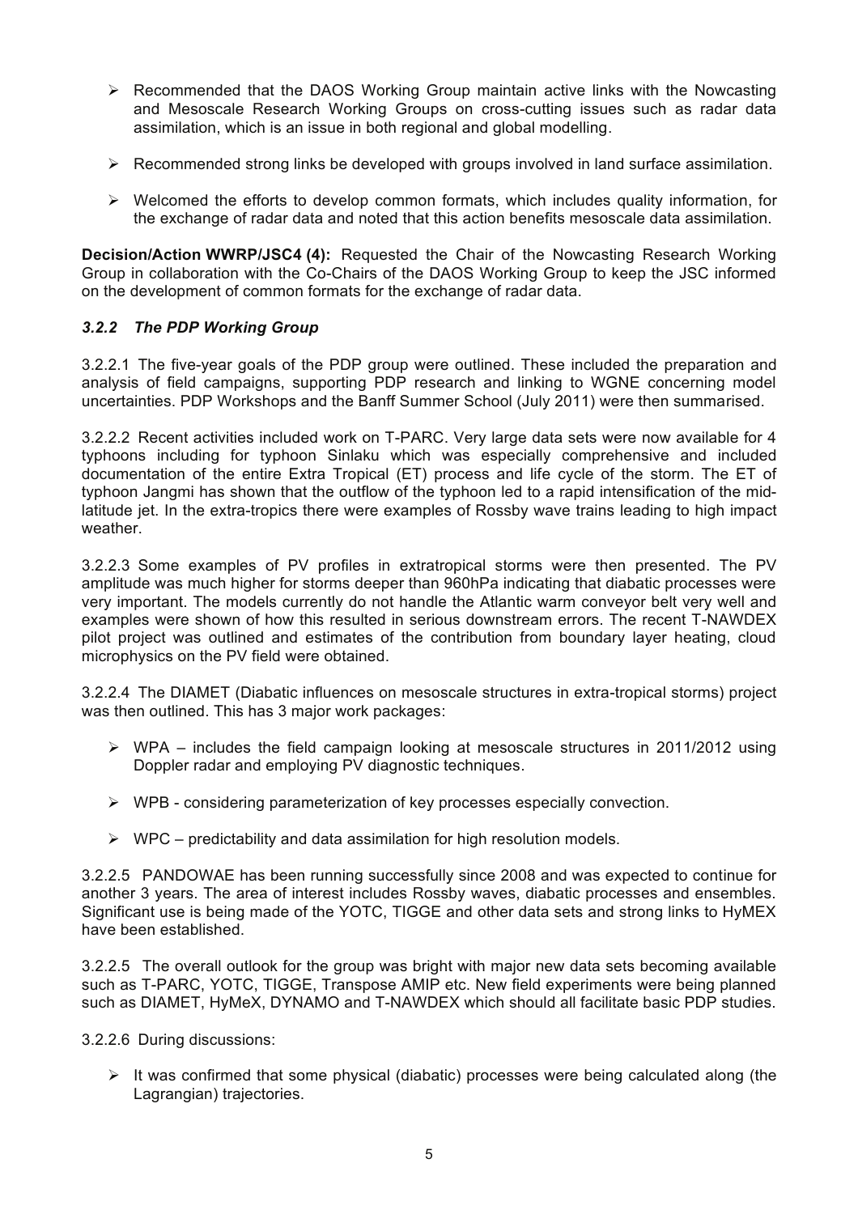- $\triangleright$  Recommended that the DAOS Working Group maintain active links with the Nowcasting and Mesoscale Research Working Groups on cross-cutting issues such as radar data assimilation, which is an issue in both regional and global modelling.
- $\triangleright$  Recommended strong links be developed with groups involved in land surface assimilation.
- $\triangleright$  Welcomed the efforts to develop common formats, which includes quality information, for the exchange of radar data and noted that this action benefits mesoscale data assimilation.

**Decision/Action WWRP/JSC4 (4):** Requested the Chair of the Nowcasting Research Working Group in collaboration with the Co-Chairs of the DAOS Working Group to keep the JSC informed on the development of common formats for the exchange of radar data.

## *3.2.2 The PDP Working Group*

3.2.2.1 The five-year goals of the PDP group were outlined. These included the preparation and analysis of field campaigns, supporting PDP research and linking to WGNE concerning model uncertainties. PDP Workshops and the Banff Summer School (July 2011) were then summarised.

3.2.2.2 Recent activities included work on T-PARC. Very large data sets were now available for 4 typhoons including for typhoon Sinlaku which was especially comprehensive and included documentation of the entire Extra Tropical (ET) process and life cycle of the storm. The ET of typhoon Jangmi has shown that the outflow of the typhoon led to a rapid intensification of the midlatitude jet. In the extra-tropics there were examples of Rossby wave trains leading to high impact weather.

3.2.2.3 Some examples of PV profiles in extratropical storms were then presented. The PV amplitude was much higher for storms deeper than 960hPa indicating that diabatic processes were very important. The models currently do not handle the Atlantic warm conveyor belt very well and examples were shown of how this resulted in serious downstream errors. The recent T-NAWDEX pilot project was outlined and estimates of the contribution from boundary layer heating, cloud microphysics on the PV field were obtained.

3.2.2.4 The DIAMET (Diabatic influences on mesoscale structures in extra-tropical storms) project was then outlined. This has 3 major work packages:

- $\triangleright$  WPA includes the field campaign looking at mesoscale structures in 2011/2012 using Doppler radar and employing PV diagnostic techniques.
- $\triangleright$  WPB considering parameterization of key processes especially convection.
- $\triangleright$  WPC predictability and data assimilation for high resolution models.

3.2.2.5 PANDOWAE has been running successfully since 2008 and was expected to continue for another 3 years. The area of interest includes Rossby waves, diabatic processes and ensembles. Significant use is being made of the YOTC, TIGGE and other data sets and strong links to HyMEX have been established.

3.2.2.5 The overall outlook for the group was bright with major new data sets becoming available such as T-PARC, YOTC, TIGGE, Transpose AMIP etc. New field experiments were being planned such as DIAMET, HyMeX, DYNAMO and T-NAWDEX which should all facilitate basic PDP studies.

3.2.2.6 During discussions:

 $\triangleright$  It was confirmed that some physical (diabatic) processes were being calculated along (the Lagrangian) trajectories.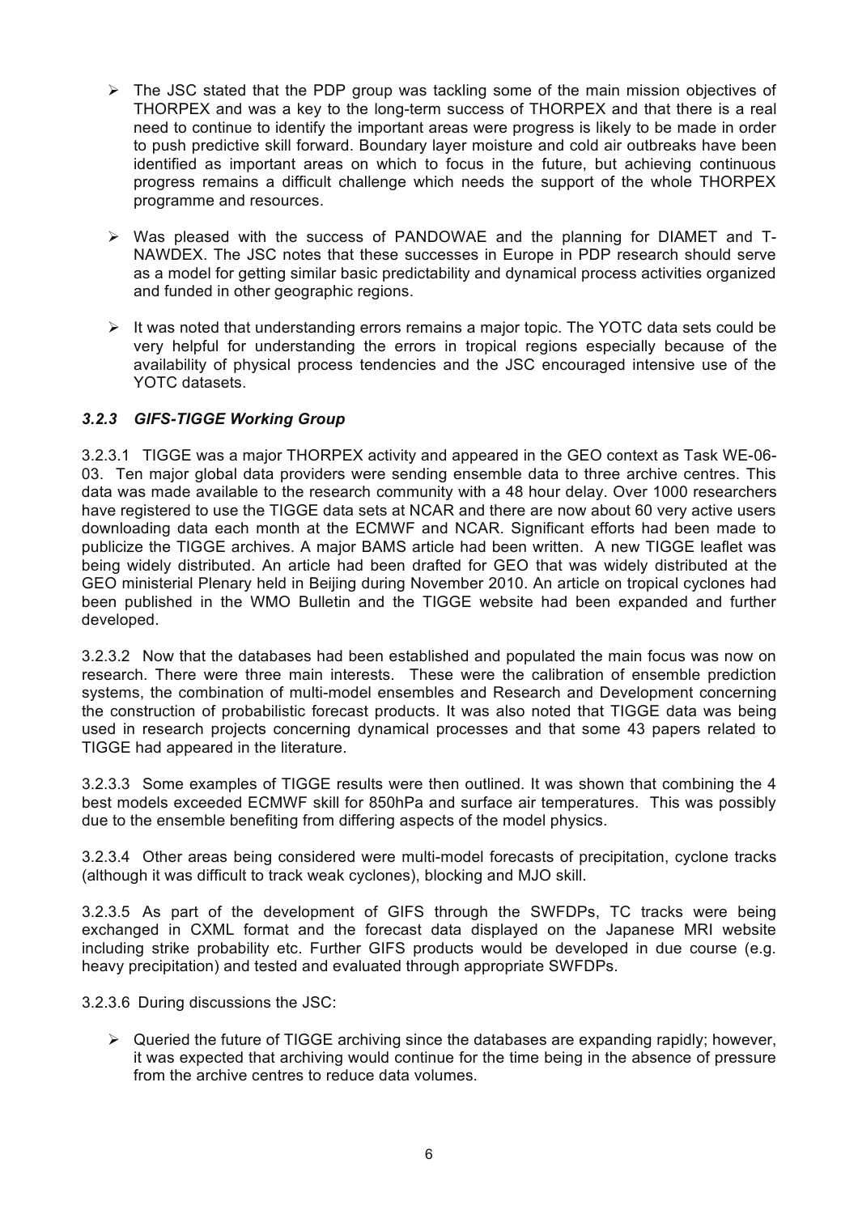- $\triangleright$  The JSC stated that the PDP group was tackling some of the main mission objectives of THORPEX and was a key to the long-term success of THORPEX and that there is a real need to continue to identify the important areas were progress is likely to be made in order to push predictive skill forward. Boundary layer moisture and cold air outbreaks have been identified as important areas on which to focus in the future, but achieving continuous progress remains a difficult challenge which needs the support of the whole THORPEX programme and resources.
- $\triangleright$  Was pleased with the success of PANDOWAE and the planning for DIAMET and T-NAWDEX. The JSC notes that these successes in Europe in PDP research should serve as a model for getting similar basic predictability and dynamical process activities organized and funded in other geographic regions.
- $\triangleright$  It was noted that understanding errors remains a major topic. The YOTC data sets could be very helpful for understanding the errors in tropical regions especially because of the availability of physical process tendencies and the JSC encouraged intensive use of the YOTC datasets.

## *3.2.3 GIFS-TIGGE Working Group*

3.2.3.1 TIGGE was a major THORPEX activity and appeared in the GEO context as Task WE-06- 03. Ten major global data providers were sending ensemble data to three archive centres. This data was made available to the research community with a 48 hour delay. Over 1000 researchers have registered to use the TIGGE data sets at NCAR and there are now about 60 very active users downloading data each month at the ECMWF and NCAR. Significant efforts had been made to publicize the TIGGE archives. A major BAMS article had been written. A new TIGGE leaflet was being widely distributed. An article had been drafted for GEO that was widely distributed at the GEO ministerial Plenary held in Beijing during November 2010. An article on tropical cyclones had been published in the WMO Bulletin and the TIGGE website had been expanded and further developed.

3.2.3.2 Now that the databases had been established and populated the main focus was now on research. There were three main interests. These were the calibration of ensemble prediction systems, the combination of multi-model ensembles and Research and Development concerning the construction of probabilistic forecast products. It was also noted that TIGGE data was being used in research projects concerning dynamical processes and that some 43 papers related to TIGGE had appeared in the literature.

3.2.3.3 Some examples of TIGGE results were then outlined. It was shown that combining the 4 best models exceeded ECMWF skill for 850hPa and surface air temperatures. This was possibly due to the ensemble benefiting from differing aspects of the model physics.

3.2.3.4 Other areas being considered were multi-model forecasts of precipitation, cyclone tracks (although it was difficult to track weak cyclones), blocking and MJO skill.

3.2.3.5 As part of the development of GIFS through the SWFDPs, TC tracks were being exchanged in CXML format and the forecast data displayed on the Japanese MRI website including strike probability etc. Further GIFS products would be developed in due course (e.g. heavy precipitation) and tested and evaluated through appropriate SWFDPs.

3.2.3.6 During discussions the JSC:

 $\triangleright$  Queried the future of TIGGE archiving since the databases are expanding rapidly; however, it was expected that archiving would continue for the time being in the absence of pressure from the archive centres to reduce data volumes.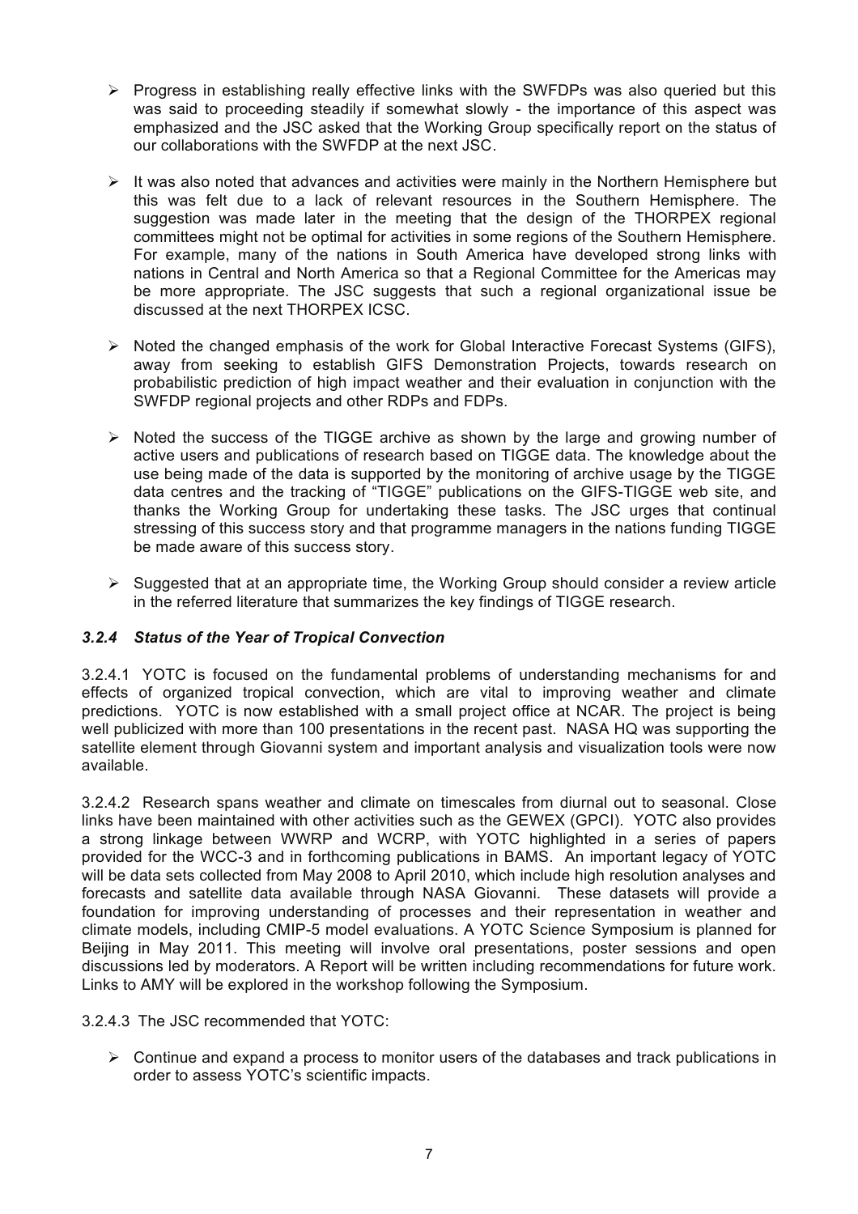- $\triangleright$  Progress in establishing really effective links with the SWFDPs was also queried but this was said to proceeding steadily if somewhat slowly - the importance of this aspect was emphasized and the JSC asked that the Working Group specifically report on the status of our collaborations with the SWFDP at the next JSC.
- $\triangleright$  It was also noted that advances and activities were mainly in the Northern Hemisphere but this was felt due to a lack of relevant resources in the Southern Hemisphere. The suggestion was made later in the meeting that the design of the THORPEX regional committees might not be optimal for activities in some regions of the Southern Hemisphere. For example, many of the nations in South America have developed strong links with nations in Central and North America so that a Regional Committee for the Americas may be more appropriate. The JSC suggests that such a regional organizational issue be discussed at the next THORPEX ICSC.
- $\triangleright$  Noted the changed emphasis of the work for Global Interactive Forecast Systems (GIFS), away from seeking to establish GIFS Demonstration Projects, towards research on probabilistic prediction of high impact weather and their evaluation in conjunction with the SWFDP regional projects and other RDPs and FDPs.
- $\triangleright$  Noted the success of the TIGGE archive as shown by the large and growing number of active users and publications of research based on TIGGE data. The knowledge about the use being made of the data is supported by the monitoring of archive usage by the TIGGE data centres and the tracking of "TIGGE" publications on the GIFS-TIGGE web site, and thanks the Working Group for undertaking these tasks. The JSC urges that continual stressing of this success story and that programme managers in the nations funding TIGGE be made aware of this success story.
- $\triangleright$  Suggested that at an appropriate time, the Working Group should consider a review article in the referred literature that summarizes the key findings of TIGGE research.

## *3.2.4 Status of the Year of Tropical Convection*

3.2.4.1 YOTC is focused on the fundamental problems of understanding mechanisms for and effects of organized tropical convection, which are vital to improving weather and climate predictions. YOTC is now established with a small project office at NCAR. The project is being well publicized with more than 100 presentations in the recent past. NASA HQ was supporting the satellite element through Giovanni system and important analysis and visualization tools were now available.

3.2.4.2 Research spans weather and climate on timescales from diurnal out to seasonal. Close links have been maintained with other activities such as the GEWEX (GPCI). YOTC also provides a strong linkage between WWRP and WCRP, with YOTC highlighted in a series of papers provided for the WCC-3 and in forthcoming publications in BAMS. An important legacy of YOTC will be data sets collected from May 2008 to April 2010, which include high resolution analyses and forecasts and satellite data available through NASA Giovanni. These datasets will provide a foundation for improving understanding of processes and their representation in weather and climate models, including CMIP-5 model evaluations. A YOTC Science Symposium is planned for Beijing in May 2011. This meeting will involve oral presentations, poster sessions and open discussions led by moderators. A Report will be written including recommendations for future work. Links to AMY will be explored in the workshop following the Symposium.

3.2.4.3 The JSC recommended that YOTC:

 $\triangleright$  Continue and expand a process to monitor users of the databases and track publications in order to assess YOTC's scientific impacts.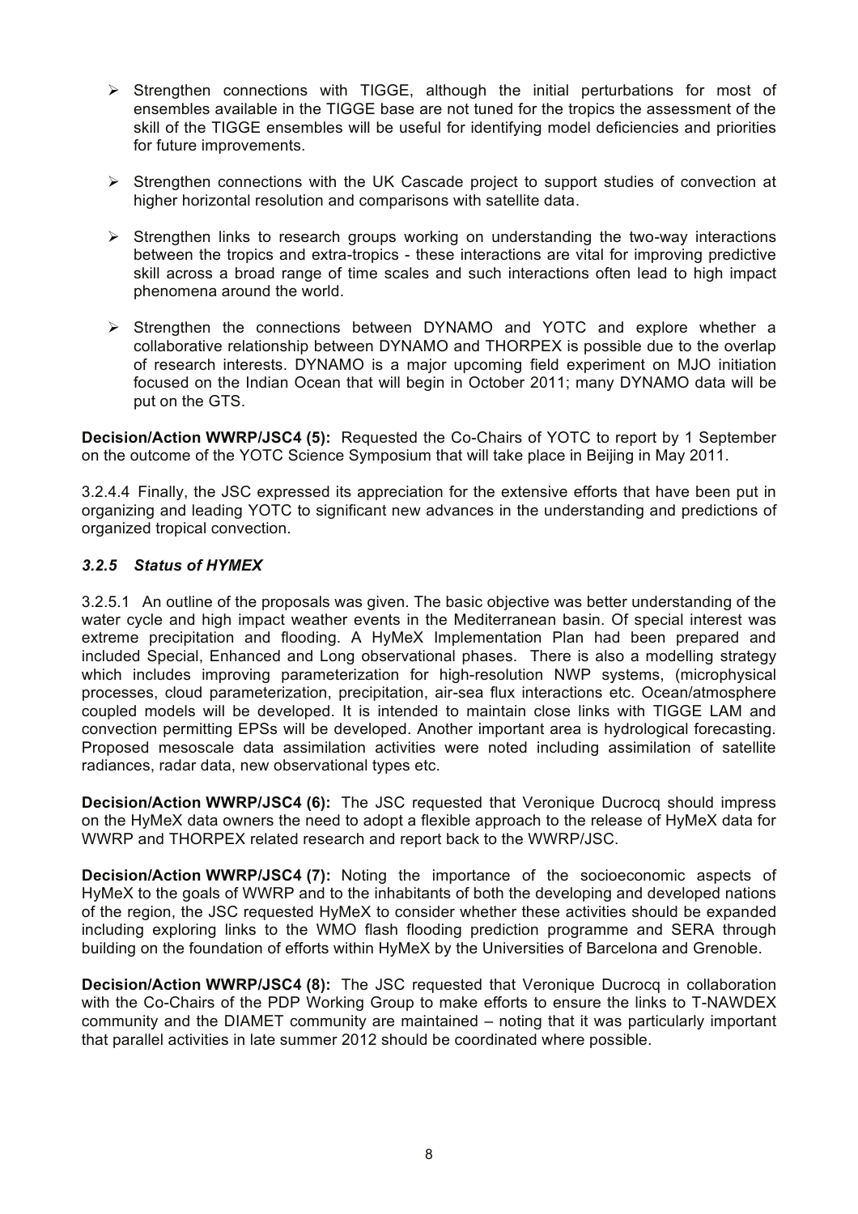- $\triangleright$  Strengthen connections with TIGGE, although the initial perturbations for most of ensembles available in the TIGGE base are not tuned for the tropics the assessment of the skill of the TIGGE ensembles will be useful for identifying model deficiencies and priorities for future improvements.
- $\triangleright$  Strengthen connections with the UK Cascade project to support studies of convection at higher horizontal resolution and comparisons with satellite data.
- $\triangleright$  Strengthen links to research groups working on understanding the two-way interactions between the tropics and extra-tropics - these interactions are vital for improving predictive skill across a broad range of time scales and such interactions often lead to high impact phenomena around the world.
- ! Strengthen the connections between DYNAMO and YOTC and explore whether a collaborative relationship between DYNAMO and THORPEX is possible due to the overlap of research interests. DYNAMO is a major upcoming field experiment on MJO initiation focused on the Indian Ocean that will begin in October 2011; many DYNAMO data will be put on the GTS.

**Decision/Action WWRP/JSC4 (5):** Requested the Co-Chairs of YOTC to report by 1 September on the outcome of the YOTC Science Symposium that will take place in Beijing in May 2011.

3.2.4.4 Finally, the JSC expressed its appreciation for the extensive efforts that have been put in organizing and leading YOTC to significant new advances in the understanding and predictions of organized tropical convection.

## *3.2.5 Status of HYMEX*

3.2.5.1 An outline of the proposals was given. The basic objective was better understanding of the water cycle and high impact weather events in the Mediterranean basin. Of special interest was extreme precipitation and flooding. A HyMeX Implementation Plan had been prepared and included Special, Enhanced and Long observational phases. There is also a modelling strategy which includes improving parameterization for high-resolution NWP systems, (microphysical processes, cloud parameterization, precipitation, air-sea flux interactions etc. Ocean/atmosphere coupled models will be developed. It is intended to maintain close links with TIGGE LAM and convection permitting EPSs will be developed. Another important area is hydrological forecasting. Proposed mesoscale data assimilation activities were noted including assimilation of satellite radiances, radar data, new observational types etc.

**Decision/Action WWRP/JSC4 (6):** The JSC requested that Veronique Ducrocq should impress on the HyMeX data owners the need to adopt a flexible approach to the release of HyMeX data for WWRP and THORPEX related research and report back to the WWRP/JSC.

**Decision/Action WWRP/JSC4 (7):** Noting the importance of the socioeconomic aspects of HyMeX to the goals of WWRP and to the inhabitants of both the developing and developed nations of the region, the JSC requested HyMeX to consider whether these activities should be expanded including exploring links to the WMO flash flooding prediction programme and SERA through building on the foundation of efforts within HyMeX by the Universities of Barcelona and Grenoble.

**Decision/Action WWRP/JSC4 (8):** The JSC requested that Veronique Ducrocq in collaboration with the Co-Chairs of the PDP Working Group to make efforts to ensure the links to T-NAWDEX community and the DIAMET community are maintained – noting that it was particularly important that parallel activities in late summer 2012 should be coordinated where possible.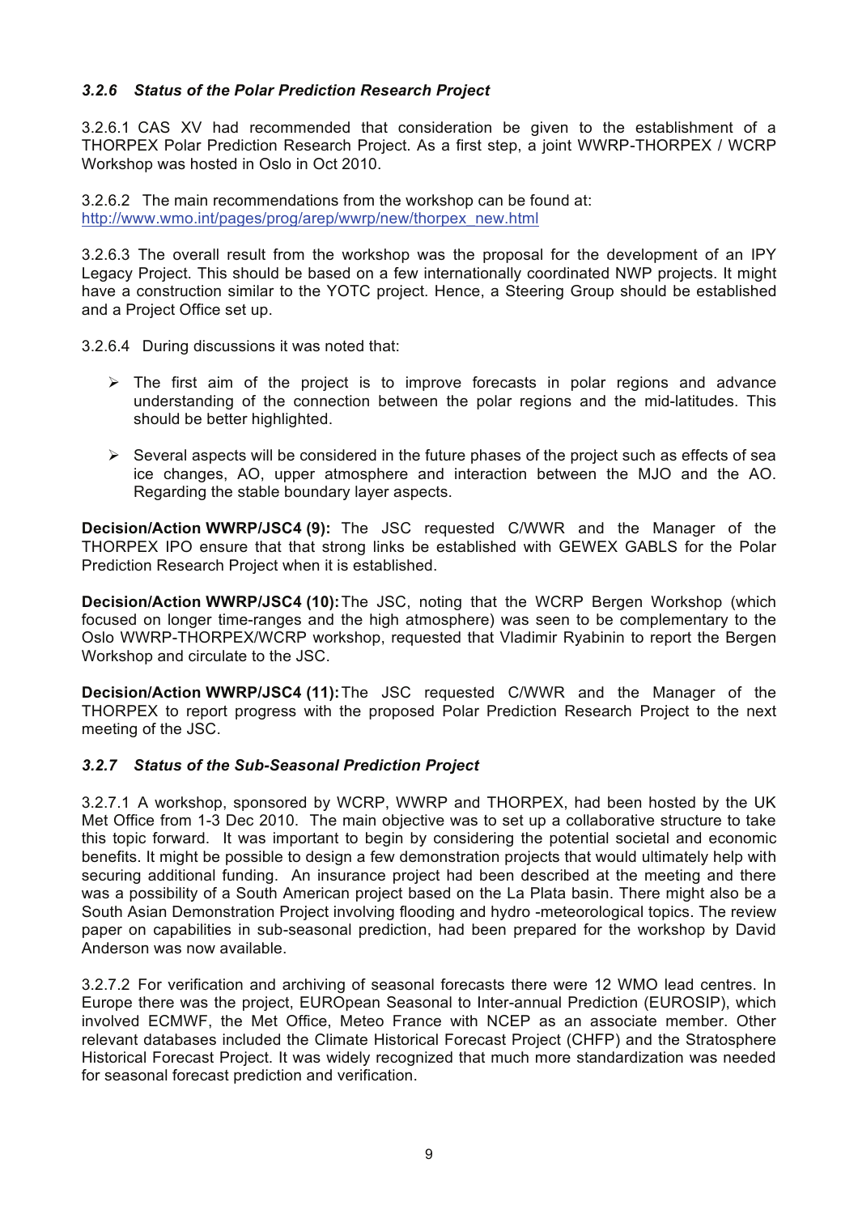## *3.2.6 Status of the Polar Prediction Research Project*

3.2.6.1 CAS XV had recommended that consideration be given to the establishment of a THORPEX Polar Prediction Research Project. As a first step, a joint WWRP-THORPEX / WCRP Workshop was hosted in Oslo in Oct 2010.

3.2.6.2 The main recommendations from the workshop can be found at: http://www.wmo.int/pages/prog/arep/wwrp/new/thorpex\_new.html

3.2.6.3 The overall result from the workshop was the proposal for the development of an IPY Legacy Project. This should be based on a few internationally coordinated NWP projects. It might have a construction similar to the YOTC project. Hence, a Steering Group should be established and a Project Office set up.

3.2.6.4 During discussions it was noted that:

- $\triangleright$  The first aim of the project is to improve forecasts in polar regions and advance understanding of the connection between the polar regions and the mid-latitudes. This should be better highlighted.
- $\triangleright$  Several aspects will be considered in the future phases of the project such as effects of sea ice changes, AO, upper atmosphere and interaction between the MJO and the AO. Regarding the stable boundary layer aspects.

**Decision/Action WWRP/JSC4 (9):** The JSC requested C/WWR and the Manager of the THORPEX IPO ensure that that strong links be established with GEWEX GABLS for the Polar Prediction Research Project when it is established.

**Decision/Action WWRP/JSC4 (10):**The JSC, noting that the WCRP Bergen Workshop (which focused on longer time-ranges and the high atmosphere) was seen to be complementary to the Oslo WWRP-THORPEX/WCRP workshop, requested that Vladimir Ryabinin to report the Bergen Workshop and circulate to the JSC.

**Decision/Action WWRP/JSC4 (11):**The JSC requested C/WWR and the Manager of the THORPEX to report progress with the proposed Polar Prediction Research Project to the next meeting of the JSC.

## *3.2.7 Status of the Sub-Seasonal Prediction Project*

3.2.7.1 A workshop, sponsored by WCRP, WWRP and THORPEX, had been hosted by the UK Met Office from 1-3 Dec 2010. The main objective was to set up a collaborative structure to take this topic forward. It was important to begin by considering the potential societal and economic benefits. It might be possible to design a few demonstration projects that would ultimately help with securing additional funding. An insurance project had been described at the meeting and there was a possibility of a South American project based on the La Plata basin. There might also be a South Asian Demonstration Project involving flooding and hydro -meteorological topics. The review paper on capabilities in sub-seasonal prediction, had been prepared for the workshop by David Anderson was now available.

3.2.7.2 For verification and archiving of seasonal forecasts there were 12 WMO lead centres. In Europe there was the project, EUROpean Seasonal to Inter-annual Prediction (EUROSIP), which involved ECMWF, the Met Office, Meteo France with NCEP as an associate member. Other relevant databases included the Climate Historical Forecast Project (CHFP) and the Stratosphere Historical Forecast Project. It was widely recognized that much more standardization was needed for seasonal forecast prediction and verification.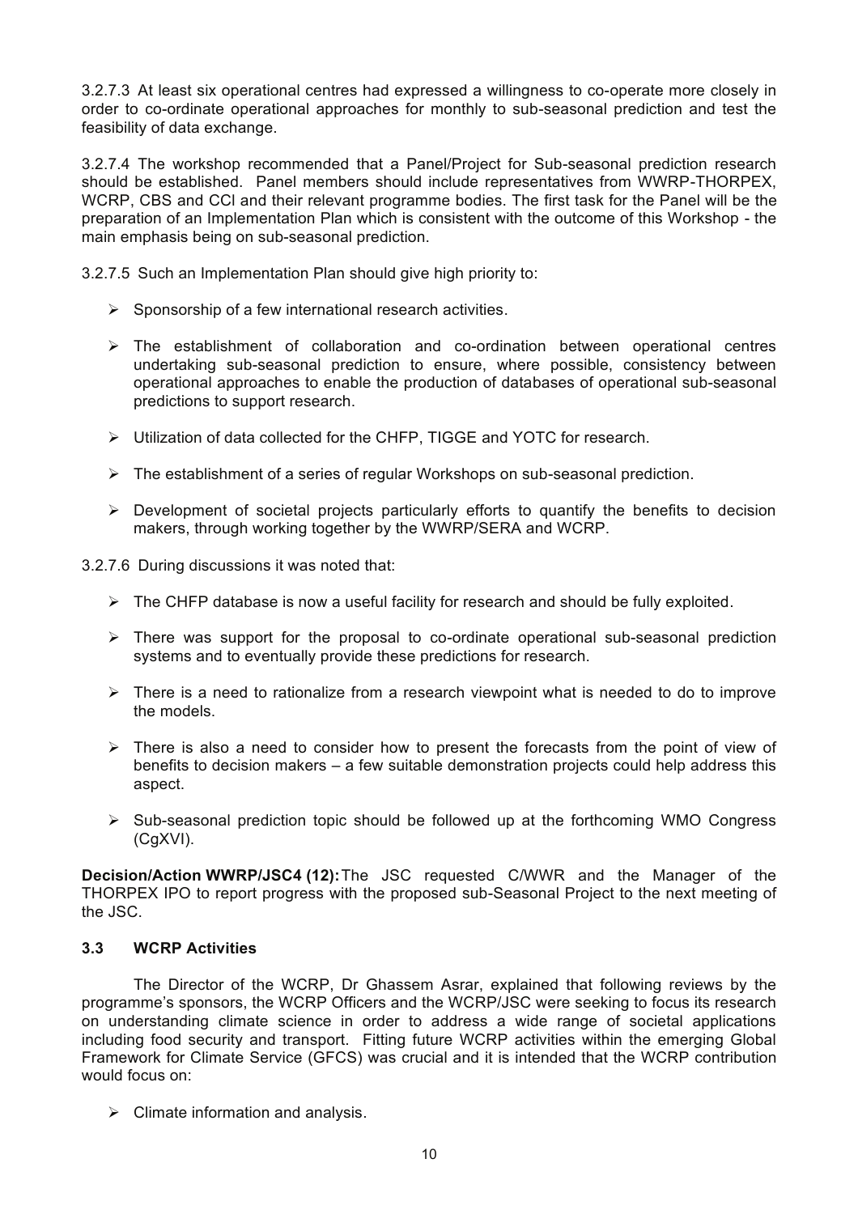3.2.7.3 At least six operational centres had expressed a willingness to co-operate more closely in order to co-ordinate operational approaches for monthly to sub-seasonal prediction and test the feasibility of data exchange.

3.2.7.4 The workshop recommended that a Panel/Project for Sub-seasonal prediction research should be established. Panel members should include representatives from WWRP-THORPEX, WCRP, CBS and CCl and their relevant programme bodies. The first task for the Panel will be the preparation of an Implementation Plan which is consistent with the outcome of this Workshop - the main emphasis being on sub-seasonal prediction.

3.2.7.5 Such an Implementation Plan should give high priority to:

- $\triangleright$  Sponsorship of a few international research activities.
- $\triangleright$  The establishment of collaboration and co-ordination between operational centres undertaking sub-seasonal prediction to ensure, where possible, consistency between operational approaches to enable the production of databases of operational sub-seasonal predictions to support research.
- > Utilization of data collected for the CHFP, TIGGE and YOTC for research.
- $\triangleright$  The establishment of a series of regular Workshops on sub-seasonal prediction.
- $\triangleright$  Development of societal projects particularly efforts to quantify the benefits to decision makers, through working together by the WWRP/SERA and WCRP.
- 3.2.7.6 During discussions it was noted that:
	- $\triangleright$  The CHFP database is now a useful facility for research and should be fully exploited.
	- $\triangleright$  There was support for the proposal to co-ordinate operational sub-seasonal prediction systems and to eventually provide these predictions for research.
	- $\triangleright$  There is a need to rationalize from a research viewpoint what is needed to do to improve the models.
	- $\triangleright$  There is also a need to consider how to present the forecasts from the point of view of benefits to decision makers – a few suitable demonstration projects could help address this aspect.
	- $\triangleright$  Sub-seasonal prediction topic should be followed up at the forthcoming WMO Congress (CgXVI).

**Decision/Action WWRP/JSC4 (12):**The JSC requested C/WWR and the Manager of the THORPEX IPO to report progress with the proposed sub-Seasonal Project to the next meeting of the JSC.

## **3.3 WCRP Activities**

The Director of the WCRP, Dr Ghassem Asrar, explained that following reviews by the programme's sponsors, the WCRP Officers and the WCRP/JSC were seeking to focus its research on understanding climate science in order to address a wide range of societal applications including food security and transport. Fitting future WCRP activities within the emerging Global Framework for Climate Service (GFCS) was crucial and it is intended that the WCRP contribution would focus on:

 $\triangleright$  Climate information and analysis.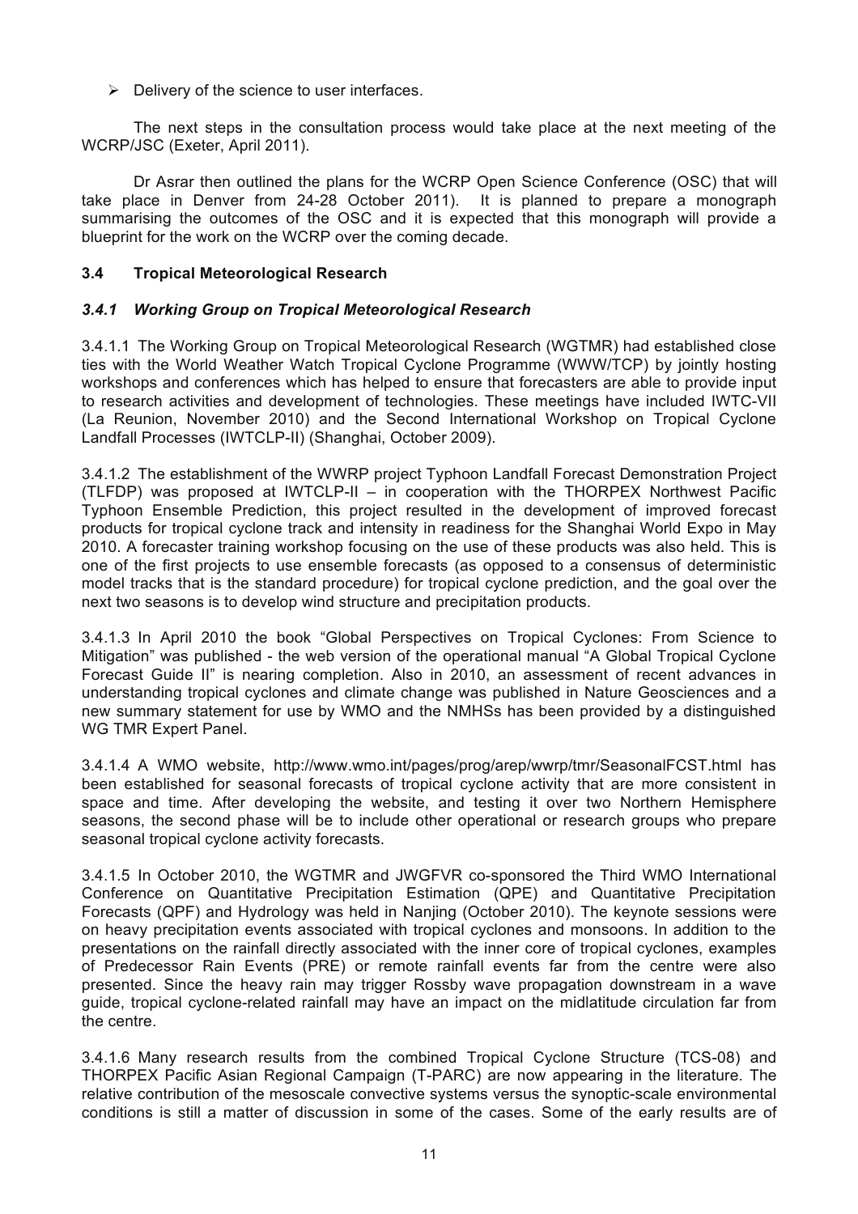$\triangleright$  Delivery of the science to user interfaces.

The next steps in the consultation process would take place at the next meeting of the WCRP/JSC (Exeter, April 2011).

Dr Asrar then outlined the plans for the WCRP Open Science Conference (OSC) that will take place in Denver from 24-28 October 2011). It is planned to prepare a monograph summarising the outcomes of the OSC and it is expected that this monograph will provide a blueprint for the work on the WCRP over the coming decade.

## **3.4 Tropical Meteorological Research**

## *3.4.1 Working Group on Tropical Meteorological Research*

3.4.1.1 The Working Group on Tropical Meteorological Research (WGTMR) had established close ties with the World Weather Watch Tropical Cyclone Programme (WWW/TCP) by jointly hosting workshops and conferences which has helped to ensure that forecasters are able to provide input to research activities and development of technologies. These meetings have included IWTC-VII (La Reunion, November 2010) and the Second International Workshop on Tropical Cyclone Landfall Processes (IWTCLP-II) (Shanghai, October 2009).

3.4.1.2 The establishment of the WWRP project Typhoon Landfall Forecast Demonstration Project (TLFDP) was proposed at IWTCLP-II – in cooperation with the THORPEX Northwest Pacific Typhoon Ensemble Prediction, this project resulted in the development of improved forecast products for tropical cyclone track and intensity in readiness for the Shanghai World Expo in May 2010. A forecaster training workshop focusing on the use of these products was also held. This is one of the first projects to use ensemble forecasts (as opposed to a consensus of deterministic model tracks that is the standard procedure) for tropical cyclone prediction, and the goal over the next two seasons is to develop wind structure and precipitation products.

3.4.1.3 In April 2010 the book "Global Perspectives on Tropical Cyclones: From Science to Mitigation" was published - the web version of the operational manual "A Global Tropical Cyclone Forecast Guide II" is nearing completion. Also in 2010, an assessment of recent advances in understanding tropical cyclones and climate change was published in Nature Geosciences and a new summary statement for use by WMO and the NMHSs has been provided by a distinguished WG TMR Expert Panel.

3.4.1.4 A WMO website, http://www.wmo.int/pages/prog/arep/wwrp/tmr/SeasonalFCST.html has been established for seasonal forecasts of tropical cyclone activity that are more consistent in space and time. After developing the website, and testing it over two Northern Hemisphere seasons, the second phase will be to include other operational or research groups who prepare seasonal tropical cyclone activity forecasts.

3.4.1.5 In October 2010, the WGTMR and JWGFVR co-sponsored the Third WMO International Conference on Quantitative Precipitation Estimation (QPE) and Quantitative Precipitation Forecasts (QPF) and Hydrology was held in Nanjing (October 2010). The keynote sessions were on heavy precipitation events associated with tropical cyclones and monsoons. In addition to the presentations on the rainfall directly associated with the inner core of tropical cyclones, examples of Predecessor Rain Events (PRE) or remote rainfall events far from the centre were also presented. Since the heavy rain may trigger Rossby wave propagation downstream in a wave guide, tropical cyclone-related rainfall may have an impact on the midlatitude circulation far from the centre.

3.4.1.6 Many research results from the combined Tropical Cyclone Structure (TCS-08) and THORPEX Pacific Asian Regional Campaign (T-PARC) are now appearing in the literature. The relative contribution of the mesoscale convective systems versus the synoptic-scale environmental conditions is still a matter of discussion in some of the cases. Some of the early results are of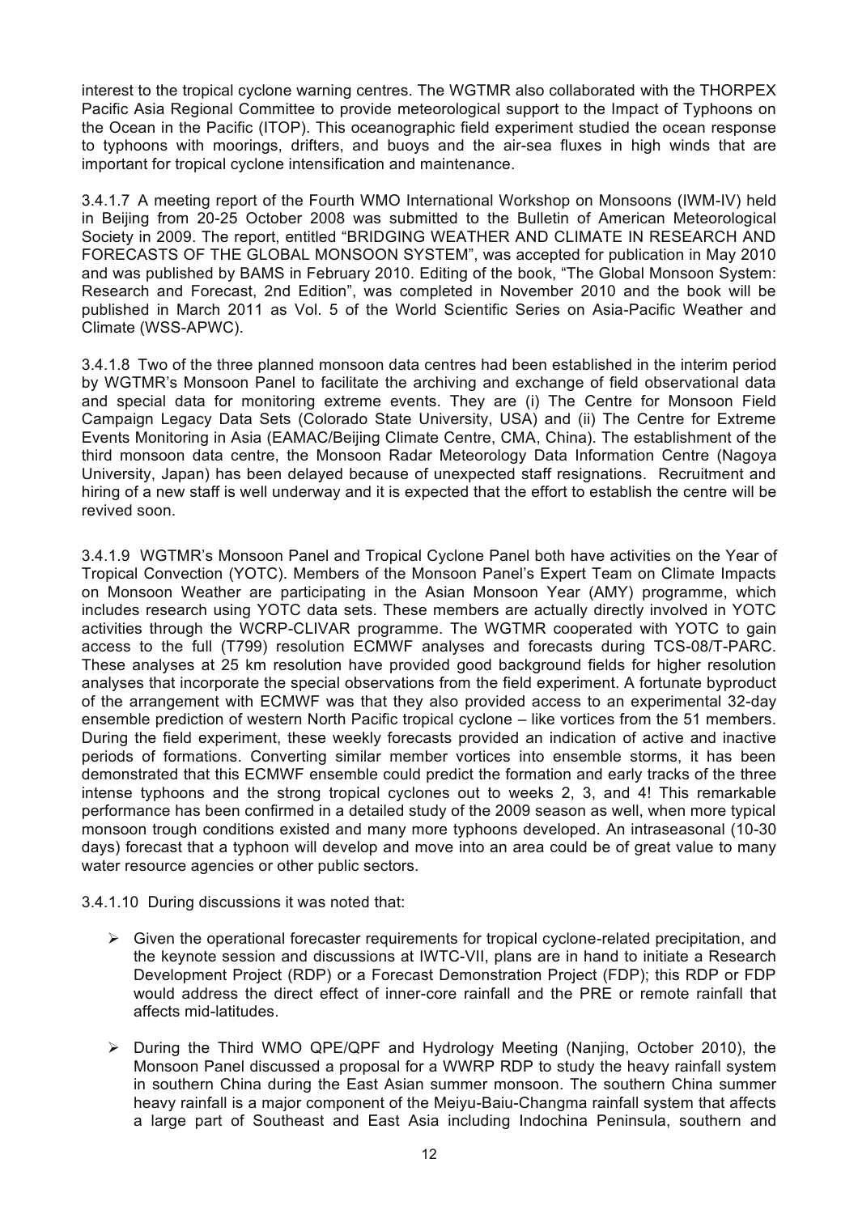interest to the tropical cyclone warning centres. The WGTMR also collaborated with the THORPEX Pacific Asia Regional Committee to provide meteorological support to the Impact of Typhoons on the Ocean in the Pacific (ITOP). This oceanographic field experiment studied the ocean response to typhoons with moorings, drifters, and buoys and the air-sea fluxes in high winds that are important for tropical cyclone intensification and maintenance.

3.4.1.7 A meeting report of the Fourth WMO International Workshop on Monsoons (IWM-IV) held in Beijing from 20-25 October 2008 was submitted to the Bulletin of American Meteorological Society in 2009. The report, entitled "BRIDGING WEATHER AND CLIMATE IN RESEARCH AND FORECASTS OF THE GLOBAL MONSOON SYSTEM", was accepted for publication in May 2010 and was published by BAMS in February 2010. Editing of the book, "The Global Monsoon System: Research and Forecast, 2nd Edition", was completed in November 2010 and the book will be published in March 2011 as Vol. 5 of the World Scientific Series on Asia-Pacific Weather and Climate (WSS-APWC).

3.4.1.8 Two of the three planned monsoon data centres had been established in the interim period by WGTMR's Monsoon Panel to facilitate the archiving and exchange of field observational data and special data for monitoring extreme events. They are (i) The Centre for Monsoon Field Campaign Legacy Data Sets (Colorado State University, USA) and (ii) The Centre for Extreme Events Monitoring in Asia (EAMAC/Beijing Climate Centre, CMA, China). The establishment of the third monsoon data centre, the Monsoon Radar Meteorology Data Information Centre (Nagoya University, Japan) has been delayed because of unexpected staff resignations. Recruitment and hiring of a new staff is well underway and it is expected that the effort to establish the centre will be revived soon.

3.4.1.9 WGTMR's Monsoon Panel and Tropical Cyclone Panel both have activities on the Year of Tropical Convection (YOTC). Members of the Monsoon Panel's Expert Team on Climate Impacts on Monsoon Weather are participating in the Asian Monsoon Year (AMY) programme, which includes research using YOTC data sets. These members are actually directly involved in YOTC activities through the WCRP-CLIVAR programme. The WGTMR cooperated with YOTC to gain access to the full (T799) resolution ECMWF analyses and forecasts during TCS-08/T-PARC. These analyses at 25 km resolution have provided good background fields for higher resolution analyses that incorporate the special observations from the field experiment. A fortunate byproduct of the arrangement with ECMWF was that they also provided access to an experimental 32-day ensemble prediction of western North Pacific tropical cyclone – like vortices from the 51 members. During the field experiment, these weekly forecasts provided an indication of active and inactive periods of formations. Converting similar member vortices into ensemble storms, it has been demonstrated that this ECMWF ensemble could predict the formation and early tracks of the three intense typhoons and the strong tropical cyclones out to weeks 2, 3, and 4! This remarkable performance has been confirmed in a detailed study of the 2009 season as well, when more typical monsoon trough conditions existed and many more typhoons developed. An intraseasonal (10-30 days) forecast that a typhoon will develop and move into an area could be of great value to many water resource agencies or other public sectors.

3.4.1.10 During discussions it was noted that:

- $\triangleright$  Given the operational forecaster requirements for tropical cyclone-related precipitation, and the keynote session and discussions at IWTC-VII, plans are in hand to initiate a Research Development Project (RDP) or a Forecast Demonstration Project (FDP); this RDP or FDP would address the direct effect of inner-core rainfall and the PRE or remote rainfall that affects mid-latitudes.
- ! During the Third WMO QPE/QPF and Hydrology Meeting (Nanjing, October 2010), the Monsoon Panel discussed a proposal for a WWRP RDP to study the heavy rainfall system in southern China during the East Asian summer monsoon. The southern China summer heavy rainfall is a major component of the Meiyu-Baiu-Changma rainfall system that affects a large part of Southeast and East Asia including Indochina Peninsula, southern and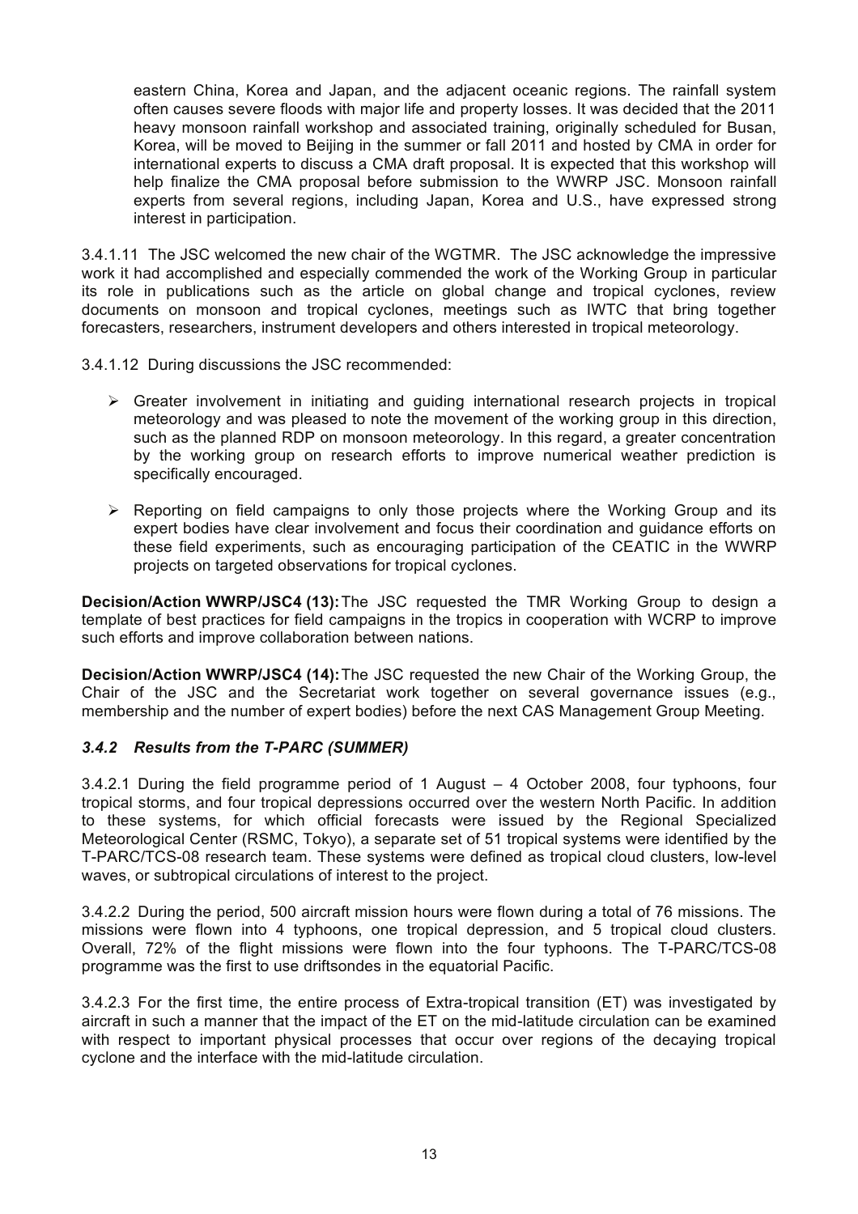eastern China, Korea and Japan, and the adjacent oceanic regions. The rainfall system often causes severe floods with major life and property losses. It was decided that the 2011 heavy monsoon rainfall workshop and associated training, originally scheduled for Busan, Korea, will be moved to Beijing in the summer or fall 2011 and hosted by CMA in order for international experts to discuss a CMA draft proposal. It is expected that this workshop will help finalize the CMA proposal before submission to the WWRP JSC. Monsoon rainfall experts from several regions, including Japan, Korea and U.S., have expressed strong interest in participation.

3.4.1.11 The JSC welcomed the new chair of the WGTMR. The JSC acknowledge the impressive work it had accomplished and especially commended the work of the Working Group in particular its role in publications such as the article on global change and tropical cyclones, review documents on monsoon and tropical cyclones, meetings such as IWTC that bring together forecasters, researchers, instrument developers and others interested in tropical meteorology.

3.4.1.12 During discussions the JSC recommended:

- $\triangleright$  Greater involvement in initiating and guiding international research projects in tropical meteorology and was pleased to note the movement of the working group in this direction, such as the planned RDP on monsoon meteorology. In this regard, a greater concentration by the working group on research efforts to improve numerical weather prediction is specifically encouraged.
- $\triangleright$  Reporting on field campaigns to only those projects where the Working Group and its expert bodies have clear involvement and focus their coordination and guidance efforts on these field experiments, such as encouraging participation of the CEATIC in the WWRP projects on targeted observations for tropical cyclones.

**Decision/Action WWRP/JSC4 (13):**The JSC requested the TMR Working Group to design a template of best practices for field campaigns in the tropics in cooperation with WCRP to improve such efforts and improve collaboration between nations.

**Decision/Action WWRP/JSC4 (14):**The JSC requested the new Chair of the Working Group, the Chair of the JSC and the Secretariat work together on several governance issues (e.g., membership and the number of expert bodies) before the next CAS Management Group Meeting.

## *3.4.2 Results from the T-PARC (SUMMER)*

3.4.2.1 During the field programme period of 1 August – 4 October 2008, four typhoons, four tropical storms, and four tropical depressions occurred over the western North Pacific. In addition to these systems, for which official forecasts were issued by the Regional Specialized Meteorological Center (RSMC, Tokyo), a separate set of 51 tropical systems were identified by the T-PARC/TCS-08 research team. These systems were defined as tropical cloud clusters, low-level waves, or subtropical circulations of interest to the project.

3.4.2.2 During the period, 500 aircraft mission hours were flown during a total of 76 missions. The missions were flown into 4 typhoons, one tropical depression, and 5 tropical cloud clusters. Overall, 72% of the flight missions were flown into the four typhoons. The T-PARC/TCS-08 programme was the first to use driftsondes in the equatorial Pacific.

3.4.2.3 For the first time, the entire process of Extra-tropical transition (ET) was investigated by aircraft in such a manner that the impact of the ET on the mid-latitude circulation can be examined with respect to important physical processes that occur over regions of the decaying tropical cyclone and the interface with the mid-latitude circulation.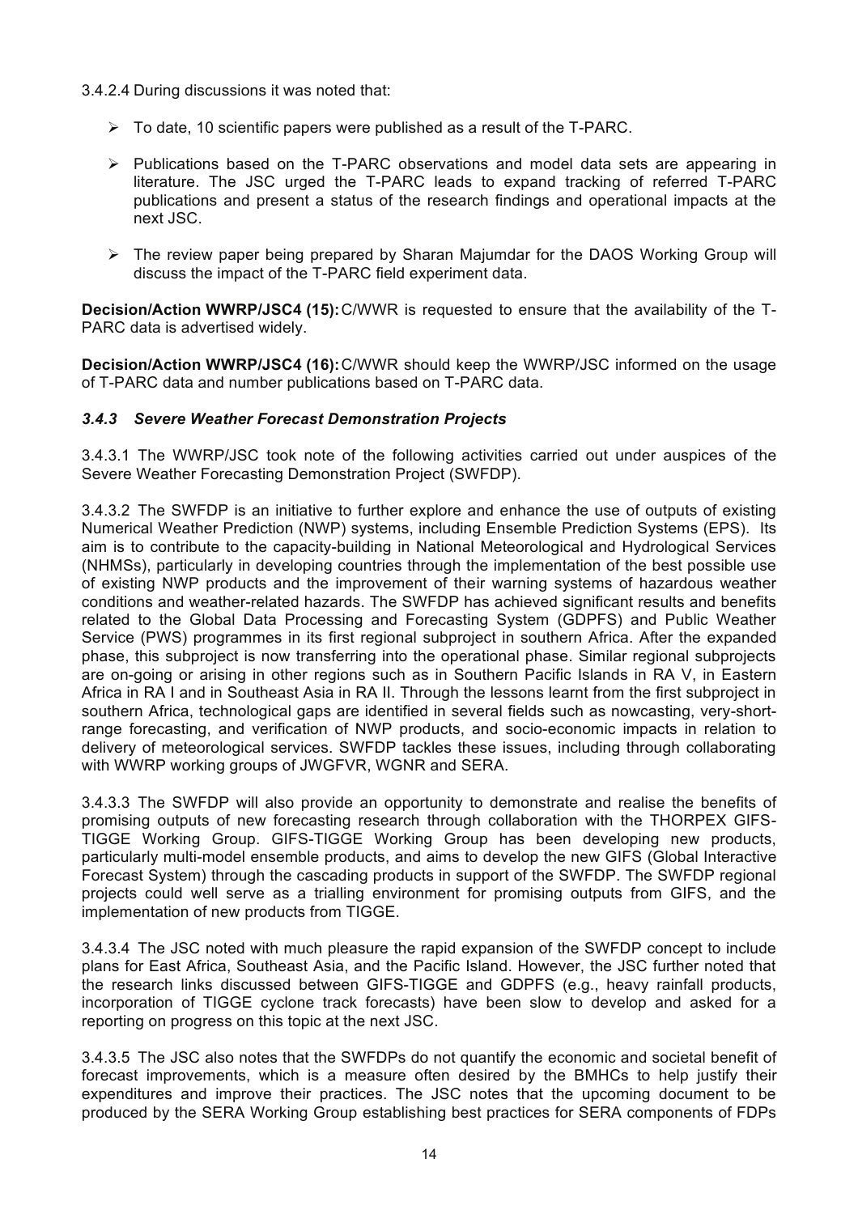## 3.4.2.4 During discussions it was noted that:

- $\triangleright$  To date, 10 scientific papers were published as a result of the T-PARC.
- $\triangleright$  Publications based on the T-PARC observations and model data sets are appearing in literature. The JSC urged the T-PARC leads to expand tracking of referred T-PARC publications and present a status of the research findings and operational impacts at the next JSC.
- $\triangleright$  The review paper being prepared by Sharan Majumdar for the DAOS Working Group will discuss the impact of the T-PARC field experiment data.

**Decision/Action WWRP/JSC4 (15):**C/WWR is requested to ensure that the availability of the T-PARC data is advertised widely.

**Decision/Action WWRP/JSC4 (16):**C/WWR should keep the WWRP/JSC informed on the usage of T-PARC data and number publications based on T-PARC data.

## *3.4.3 Severe Weather Forecast Demonstration Projects*

3.4.3.1 The WWRP/JSC took note of the following activities carried out under auspices of the Severe Weather Forecasting Demonstration Project (SWFDP).

3.4.3.2 The SWFDP is an initiative to further explore and enhance the use of outputs of existing Numerical Weather Prediction (NWP) systems, including Ensemble Prediction Systems (EPS). Its aim is to contribute to the capacity-building in National Meteorological and Hydrological Services (NHMSs), particularly in developing countries through the implementation of the best possible use of existing NWP products and the improvement of their warning systems of hazardous weather conditions and weather-related hazards. The SWFDP has achieved significant results and benefits related to the Global Data Processing and Forecasting System (GDPFS) and Public Weather Service (PWS) programmes in its first regional subproject in southern Africa. After the expanded phase, this subproject is now transferring into the operational phase. Similar regional subprojects are on-going or arising in other regions such as in Southern Pacific Islands in RA V, in Eastern Africa in RA I and in Southeast Asia in RA II. Through the lessons learnt from the first subproject in southern Africa, technological gaps are identified in several fields such as nowcasting, very-shortrange forecasting, and verification of NWP products, and socio-economic impacts in relation to delivery of meteorological services. SWFDP tackles these issues, including through collaborating with WWRP working groups of JWGFVR, WGNR and SERA.

3.4.3.3 The SWFDP will also provide an opportunity to demonstrate and realise the benefits of promising outputs of new forecasting research through collaboration with the THORPEX GIFS-TIGGE Working Group. GIFS-TIGGE Working Group has been developing new products, particularly multi-model ensemble products, and aims to develop the new GIFS (Global Interactive Forecast System) through the cascading products in support of the SWFDP. The SWFDP regional projects could well serve as a trialling environment for promising outputs from GIFS, and the implementation of new products from TIGGE.

3.4.3.4 The JSC noted with much pleasure the rapid expansion of the SWFDP concept to include plans for East Africa, Southeast Asia, and the Pacific Island. However, the JSC further noted that the research links discussed between GIFS-TIGGE and GDPFS (e.g., heavy rainfall products, incorporation of TIGGE cyclone track forecasts) have been slow to develop and asked for a reporting on progress on this topic at the next JSC.

3.4.3.5 The JSC also notes that the SWFDPs do not quantify the economic and societal benefit of forecast improvements, which is a measure often desired by the BMHCs to help justify their expenditures and improve their practices. The JSC notes that the upcoming document to be produced by the SERA Working Group establishing best practices for SERA components of FDPs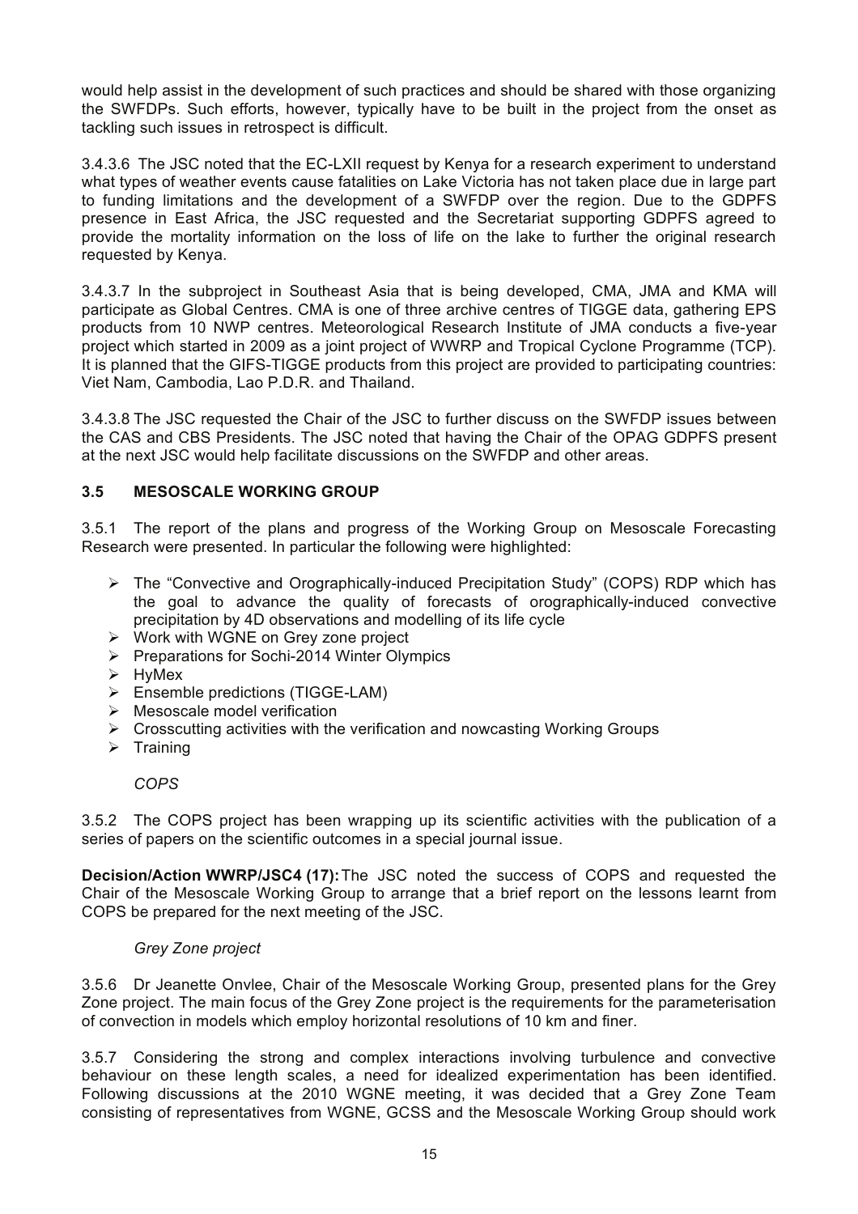would help assist in the development of such practices and should be shared with those organizing the SWFDPs. Such efforts, however, typically have to be built in the project from the onset as tackling such issues in retrospect is difficult.

3.4.3.6 The JSC noted that the EC-LXII request by Kenya for a research experiment to understand what types of weather events cause fatalities on Lake Victoria has not taken place due in large part to funding limitations and the development of a SWFDP over the region. Due to the GDPFS presence in East Africa, the JSC requested and the Secretariat supporting GDPFS agreed to provide the mortality information on the loss of life on the lake to further the original research requested by Kenya.

3.4.3.7 In the subproject in Southeast Asia that is being developed, CMA, JMA and KMA will participate as Global Centres. CMA is one of three archive centres of TIGGE data, gathering EPS products from 10 NWP centres. Meteorological Research Institute of JMA conducts a five-year project which started in 2009 as a joint project of WWRP and Tropical Cyclone Programme (TCP). It is planned that the GIFS-TIGGE products from this project are provided to participating countries: Viet Nam, Cambodia, Lao P.D.R. and Thailand.

3.4.3.8 The JSC requested the Chair of the JSC to further discuss on the SWFDP issues between the CAS and CBS Presidents. The JSC noted that having the Chair of the OPAG GDPFS present at the next JSC would help facilitate discussions on the SWFDP and other areas.

## **3.5 MESOSCALE WORKING GROUP**

3.5.1 The report of the plans and progress of the Working Group on Mesoscale Forecasting Research were presented. In particular the following were highlighted:

- $\triangleright$  The "Convective and Orographically-induced Precipitation Study" (COPS) RDP which has the goal to advance the quality of forecasts of orographically-induced convective precipitation by 4D observations and modelling of its life cycle
- > Work with WGNE on Grey zone project
- $\triangleright$  Preparations for Sochi-2014 Winter Olympics
- $\triangleright$  HyMex
- $\triangleright$  Ensemble predictions (TIGGE-LAM)
- $\triangleright$  Mesoscale model verification
- $\triangleright$  Crosscutting activities with the verification and nowcasting Working Groups
- $\triangleright$  Training

*COPS*

3.5.2 The COPS project has been wrapping up its scientific activities with the publication of a series of papers on the scientific outcomes in a special journal issue.

**Decision/Action WWRP/JSC4 (17):**The JSC noted the success of COPS and requested the Chair of the Mesoscale Working Group to arrange that a brief report on the lessons learnt from COPS be prepared for the next meeting of the JSC.

## *Grey Zone project*

3.5.6 Dr Jeanette Onvlee, Chair of the Mesoscale Working Group, presented plans for the Grey Zone project. The main focus of the Grey Zone project is the requirements for the parameterisation of convection in models which employ horizontal resolutions of 10 km and finer.

3.5.7 Considering the strong and complex interactions involving turbulence and convective behaviour on these length scales, a need for idealized experimentation has been identified. Following discussions at the 2010 WGNE meeting, it was decided that a Grey Zone Team consisting of representatives from WGNE, GCSS and the Mesoscale Working Group should work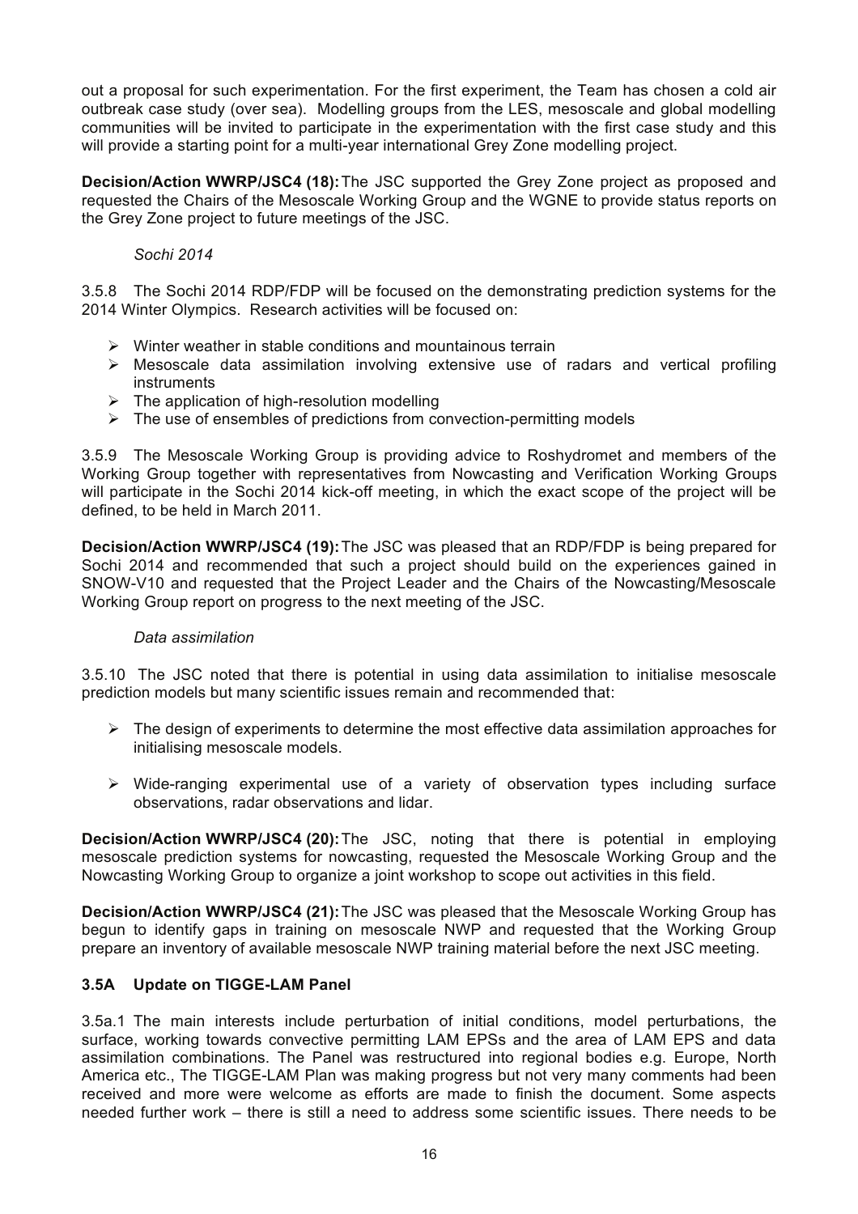out a proposal for such experimentation. For the first experiment, the Team has chosen a cold air outbreak case study (over sea). Modelling groups from the LES, mesoscale and global modelling communities will be invited to participate in the experimentation with the first case study and this will provide a starting point for a multi-year international Grey Zone modelling project.

**Decision/Action WWRP/JSC4 (18):**The JSC supported the Grey Zone project as proposed and requested the Chairs of the Mesoscale Working Group and the WGNE to provide status reports on the Grey Zone project to future meetings of the JSC.

## *Sochi 2014*

3.5.8 The Sochi 2014 RDP/FDP will be focused on the demonstrating prediction systems for the 2014 Winter Olympics. Research activities will be focused on:

- $\triangleright$  Winter weather in stable conditions and mountainous terrain
- $\triangleright$  Mesoscale data assimilation involving extensive use of radars and vertical profiling instruments
- $\triangleright$  The application of high-resolution modelling
- $\triangleright$  The use of ensembles of predictions from convection-permitting models

3.5.9 The Mesoscale Working Group is providing advice to Roshydromet and members of the Working Group together with representatives from Nowcasting and Verification Working Groups will participate in the Sochi 2014 kick-off meeting, in which the exact scope of the project will be defined, to be held in March 2011.

**Decision/Action WWRP/JSC4 (19):**The JSC was pleased that an RDP/FDP is being prepared for Sochi 2014 and recommended that such a project should build on the experiences gained in SNOW-V10 and requested that the Project Leader and the Chairs of the Nowcasting/Mesoscale Working Group report on progress to the next meeting of the JSC.

## *Data assimilation*

3.5.10 The JSC noted that there is potential in using data assimilation to initialise mesoscale prediction models but many scientific issues remain and recommended that:

- $\triangleright$  The design of experiments to determine the most effective data assimilation approaches for initialising mesoscale models.
- $\triangleright$  Wide-ranging experimental use of a variety of observation types including surface observations, radar observations and lidar.

**Decision/Action WWRP/JSC4 (20):**The JSC, noting that there is potential in employing mesoscale prediction systems for nowcasting, requested the Mesoscale Working Group and the Nowcasting Working Group to organize a joint workshop to scope out activities in this field.

**Decision/Action WWRP/JSC4 (21):**The JSC was pleased that the Mesoscale Working Group has begun to identify gaps in training on mesoscale NWP and requested that the Working Group prepare an inventory of available mesoscale NWP training material before the next JSC meeting.

## **3.5A Update on TIGGE-LAM Panel**

3.5a.1 The main interests include perturbation of initial conditions, model perturbations, the surface, working towards convective permitting LAM EPSs and the area of LAM EPS and data assimilation combinations. The Panel was restructured into regional bodies e.g. Europe, North America etc., The TIGGE-LAM Plan was making progress but not very many comments had been received and more were welcome as efforts are made to finish the document. Some aspects needed further work – there is still a need to address some scientific issues. There needs to be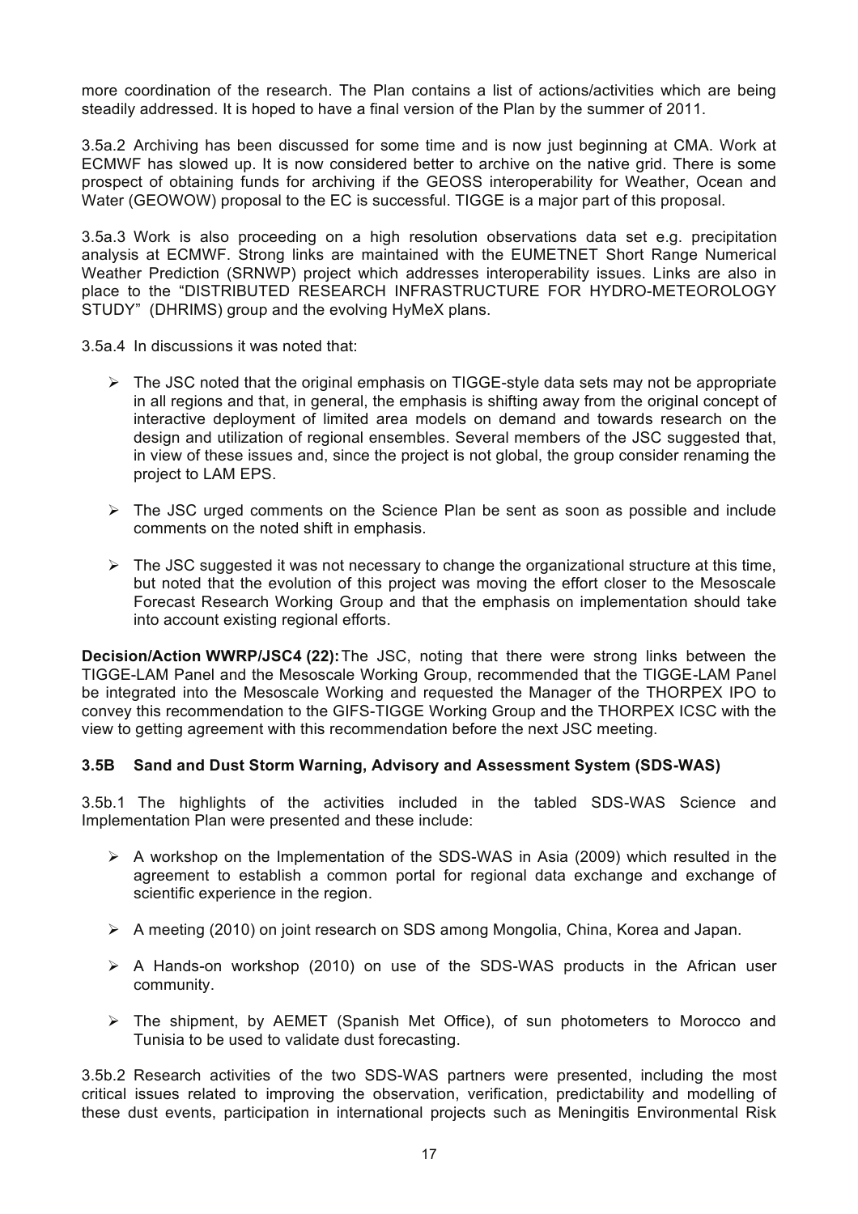more coordination of the research. The Plan contains a list of actions/activities which are being steadily addressed. It is hoped to have a final version of the Plan by the summer of 2011.

3.5a.2 Archiving has been discussed for some time and is now just beginning at CMA. Work at ECMWF has slowed up. It is now considered better to archive on the native grid. There is some prospect of obtaining funds for archiving if the GEOSS interoperability for Weather, Ocean and Water (GEOWOW) proposal to the EC is successful. TIGGE is a major part of this proposal.

3.5a.3 Work is also proceeding on a high resolution observations data set e.g. precipitation analysis at ECMWF. Strong links are maintained with the EUMETNET Short Range Numerical Weather Prediction (SRNWP) project which addresses interoperability issues. Links are also in place to the "DISTRIBUTED RESEARCH INFRASTRUCTURE FOR HYDRO-METEOROLOGY STUDY" (DHRIMS) group and the evolving HyMeX plans.

3.5a.4 In discussions it was noted that:

- $\triangleright$  The JSC noted that the original emphasis on TIGGE-style data sets may not be appropriate in all regions and that, in general, the emphasis is shifting away from the original concept of interactive deployment of limited area models on demand and towards research on the design and utilization of regional ensembles. Several members of the JSC suggested that, in view of these issues and, since the project is not global, the group consider renaming the project to LAM EPS.
- $\triangleright$  The JSC urged comments on the Science Plan be sent as soon as possible and include comments on the noted shift in emphasis.
- $\triangleright$  The JSC suggested it was not necessary to change the organizational structure at this time, but noted that the evolution of this project was moving the effort closer to the Mesoscale Forecast Research Working Group and that the emphasis on implementation should take into account existing regional efforts.

**Decision/Action WWRP/JSC4 (22):**The JSC, noting that there were strong links between the TIGGE-LAM Panel and the Mesoscale Working Group, recommended that the TIGGE-LAM Panel be integrated into the Mesoscale Working and requested the Manager of the THORPEX IPO to convey this recommendation to the GIFS-TIGGE Working Group and the THORPEX ICSC with the view to getting agreement with this recommendation before the next JSC meeting.

## **3.5B Sand and Dust Storm Warning, Advisory and Assessment System (SDS-WAS)**

3.5b.1 The highlights of the activities included in the tabled SDS-WAS Science and Implementation Plan were presented and these include:

- $\triangleright$  A workshop on the Implementation of the SDS-WAS in Asia (2009) which resulted in the agreement to establish a common portal for regional data exchange and exchange of scientific experience in the region.
- $\triangleright$  A meeting (2010) on joint research on SDS among Mongolia, China, Korea and Japan.
- $\triangleright$  A Hands-on workshop (2010) on use of the SDS-WAS products in the African user community.
- $\triangleright$  The shipment, by AEMET (Spanish Met Office), of sun photometers to Morocco and Tunisia to be used to validate dust forecasting.

3.5b.2 Research activities of the two SDS-WAS partners were presented, including the most critical issues related to improving the observation, verification, predictability and modelling of these dust events, participation in international projects such as Meningitis Environmental Risk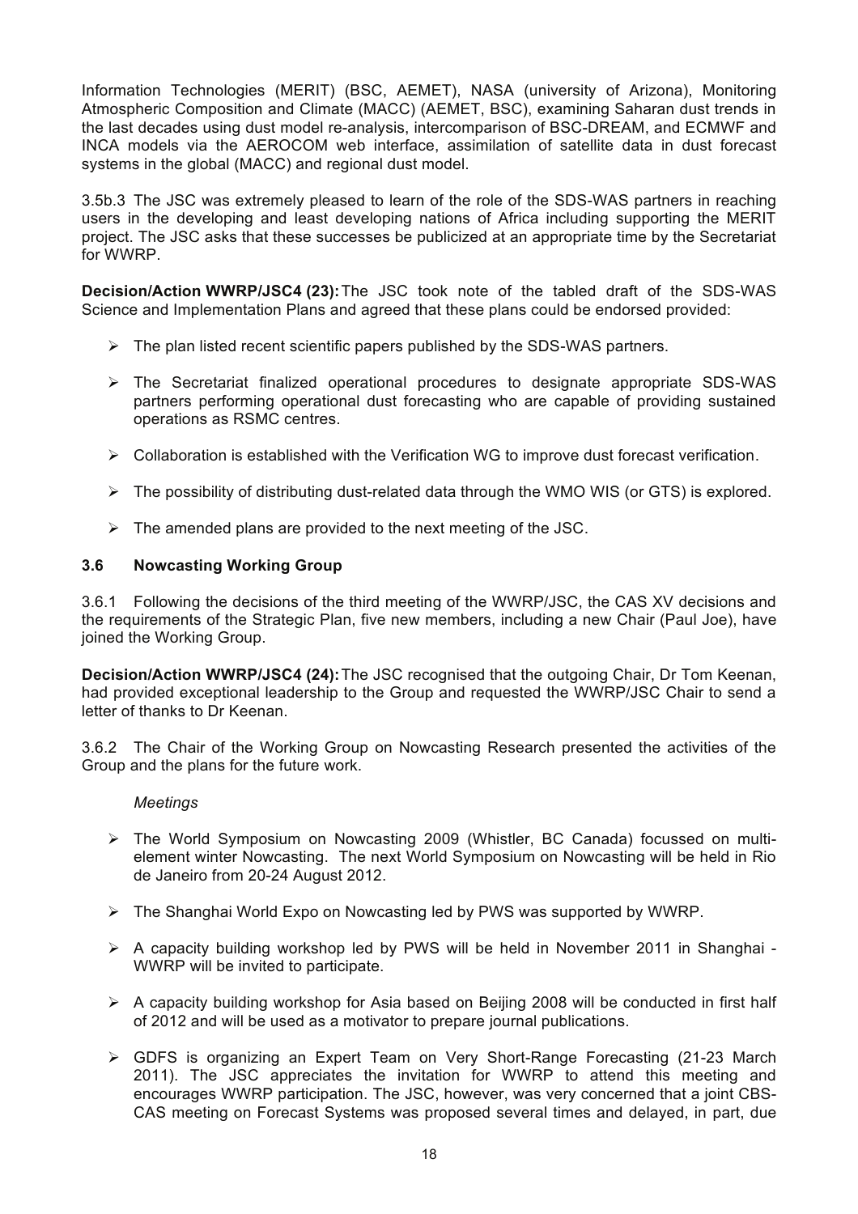Information Technologies (MERIT) (BSC, AEMET), NASA (university of Arizona), Monitoring Atmospheric Composition and Climate (MACC) (AEMET, BSC), examining Saharan dust trends in the last decades using dust model re-analysis, intercomparison of BSC-DREAM, and ECMWF and INCA models via the AEROCOM web interface, assimilation of satellite data in dust forecast systems in the global (MACC) and regional dust model.

3.5b.3 The JSC was extremely pleased to learn of the role of the SDS-WAS partners in reaching users in the developing and least developing nations of Africa including supporting the MERIT project. The JSC asks that these successes be publicized at an appropriate time by the Secretariat for WWRP.

**Decision/Action WWRP/JSC4 (23):**The JSC took note of the tabled draft of the SDS-WAS Science and Implementation Plans and agreed that these plans could be endorsed provided:

- $\triangleright$  The plan listed recent scientific papers published by the SDS-WAS partners.
- $\triangleright$  The Secretariat finalized operational procedures to designate appropriate SDS-WAS partners performing operational dust forecasting who are capable of providing sustained operations as RSMC centres.
- $\triangleright$  Collaboration is established with the Verification WG to improve dust forecast verification.
- $\triangleright$  The possibility of distributing dust-related data through the WMO WIS (or GTS) is explored.
- $\triangleright$  The amended plans are provided to the next meeting of the JSC.

#### **3.6 Nowcasting Working Group**

3.6.1 Following the decisions of the third meeting of the WWRP/JSC, the CAS XV decisions and the requirements of the Strategic Plan, five new members, including a new Chair (Paul Joe), have joined the Working Group.

**Decision/Action WWRP/JSC4 (24):**The JSC recognised that the outgoing Chair, Dr Tom Keenan, had provided exceptional leadership to the Group and requested the WWRP/JSC Chair to send a letter of thanks to Dr Keenan.

3.6.2 The Chair of the Working Group on Nowcasting Research presented the activities of the Group and the plans for the future work.

#### *Meetings*

- ! The World Symposium on Nowcasting 2009 (Whistler, BC Canada) focussed on multielement winter Nowcasting. The next World Symposium on Nowcasting will be held in Rio de Janeiro from 20-24 August 2012.
- $\triangleright$  The Shanghai World Expo on Nowcasting led by PWS was supported by WWRP.
- ! A capacity building workshop led by PWS will be held in November 2011 in Shanghai WWRP will be invited to participate.
- $\geq$  A capacity building workshop for Asia based on Beijing 2008 will be conducted in first half of 2012 and will be used as a motivator to prepare journal publications.
- $\triangleright$  GDFS is organizing an Expert Team on Very Short-Range Forecasting (21-23 March 2011). The JSC appreciates the invitation for WWRP to attend this meeting and encourages WWRP participation. The JSC, however, was very concerned that a joint CBS-CAS meeting on Forecast Systems was proposed several times and delayed, in part, due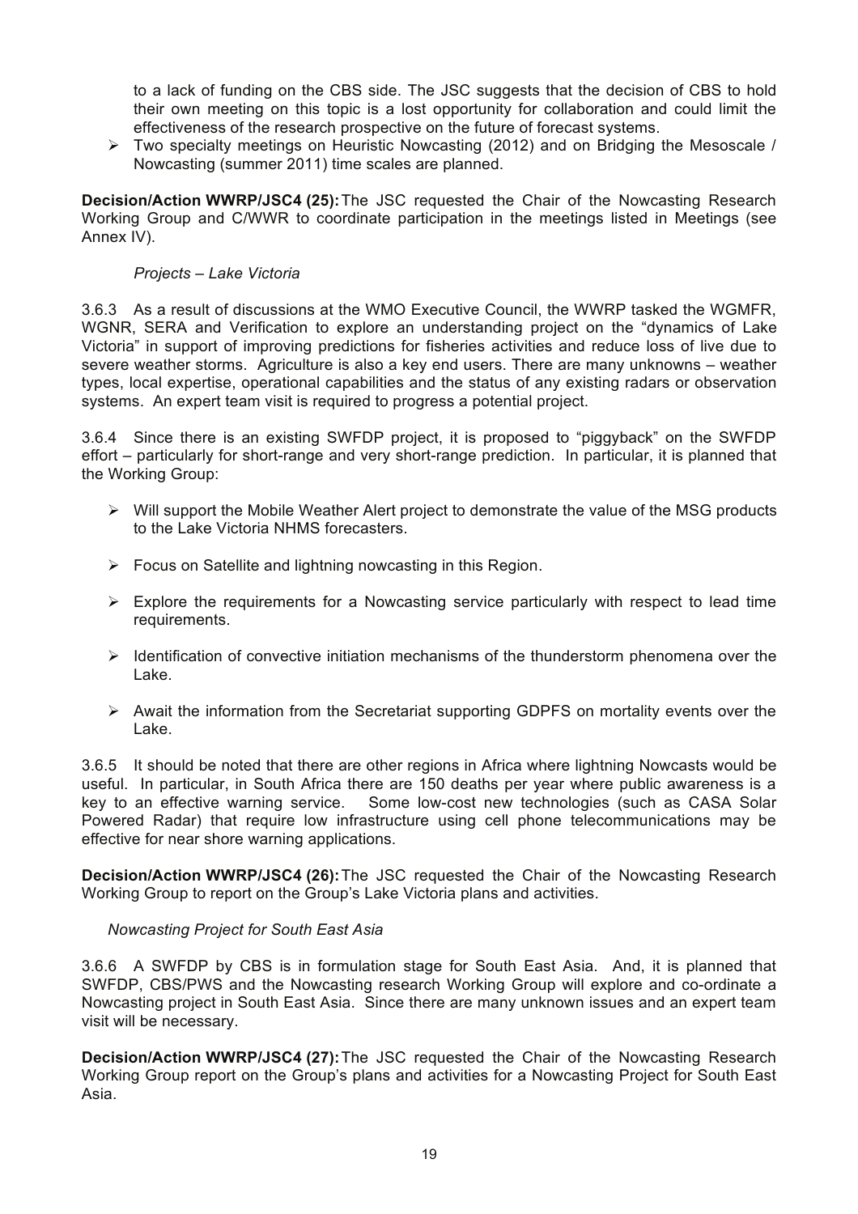to a lack of funding on the CBS side. The JSC suggests that the decision of CBS to hold their own meeting on this topic is a lost opportunity for collaboration and could limit the effectiveness of the research prospective on the future of forecast systems.

 $\triangleright$  Two specialty meetings on Heuristic Nowcasting (2012) and on Bridging the Mesoscale / Nowcasting (summer 2011) time scales are planned.

**Decision/Action WWRP/JSC4 (25):**The JSC requested the Chair of the Nowcasting Research Working Group and C/WWR to coordinate participation in the meetings listed in Meetings (see Annex IV).

## *Projects – Lake Victoria*

3.6.3 As a result of discussions at the WMO Executive Council, the WWRP tasked the WGMFR, WGNR, SERA and Verification to explore an understanding project on the "dynamics of Lake Victoria" in support of improving predictions for fisheries activities and reduce loss of live due to severe weather storms. Agriculture is also a key end users. There are many unknowns – weather types, local expertise, operational capabilities and the status of any existing radars or observation systems. An expert team visit is required to progress a potential project.

3.6.4 Since there is an existing SWFDP project, it is proposed to "piggyback" on the SWFDP effort – particularly for short-range and very short-range prediction. In particular, it is planned that the Working Group:

- $\triangleright$  Will support the Mobile Weather Alert project to demonstrate the value of the MSG products to the Lake Victoria NHMS forecasters.
- $\triangleright$  Focus on Satellite and lightning nowcasting in this Region.
- $\triangleright$  Explore the requirements for a Nowcasting service particularly with respect to lead time requirements.
- $\triangleright$  Identification of convective initiation mechanisms of the thunderstorm phenomena over the Lake.
- $\triangleright$  Await the information from the Secretariat supporting GDPFS on mortality events over the Lake.

3.6.5 It should be noted that there are other regions in Africa where lightning Nowcasts would be useful. In particular, in South Africa there are 150 deaths per year where public awareness is a key to an effective warning service. Some low-cost new technologies (such as CASA Solar Powered Radar) that require low infrastructure using cell phone telecommunications may be effective for near shore warning applications.

**Decision/Action WWRP/JSC4 (26):**The JSC requested the Chair of the Nowcasting Research Working Group to report on the Group's Lake Victoria plans and activities.

## *Nowcasting Project for South East Asia*

3.6.6 A SWFDP by CBS is in formulation stage for South East Asia. And, it is planned that SWFDP, CBS/PWS and the Nowcasting research Working Group will explore and co-ordinate a Nowcasting project in South East Asia. Since there are many unknown issues and an expert team visit will be necessary.

**Decision/Action WWRP/JSC4 (27):**The JSC requested the Chair of the Nowcasting Research Working Group report on the Group's plans and activities for a Nowcasting Project for South East Asia.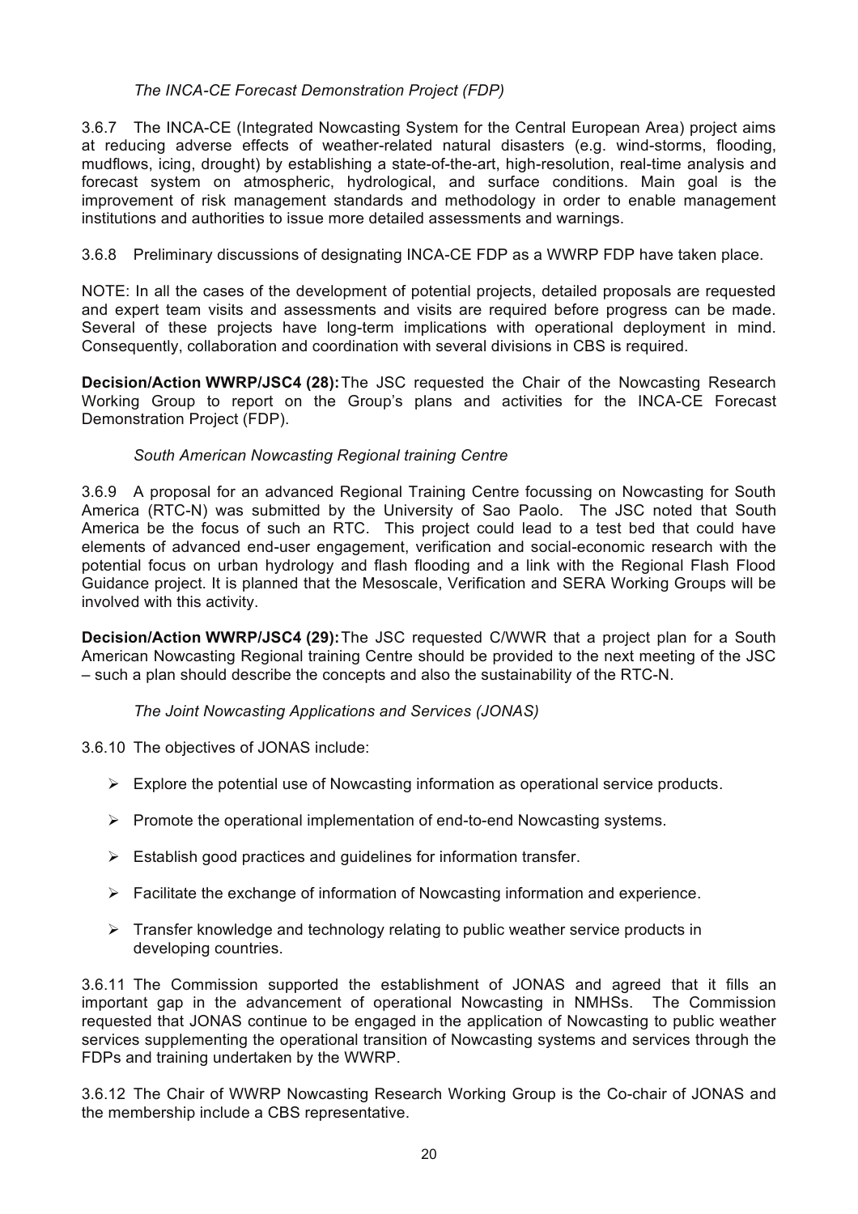## *The INCA-CE Forecast Demonstration Project (FDP)*

3.6.7 The INCA-CE (Integrated Nowcasting System for the Central European Area) project aims at reducing adverse effects of weather-related natural disasters (e.g. wind-storms, flooding, mudflows, icing, drought) by establishing a state-of-the-art, high-resolution, real-time analysis and forecast system on atmospheric, hydrological, and surface conditions. Main goal is the improvement of risk management standards and methodology in order to enable management institutions and authorities to issue more detailed assessments and warnings.

3.6.8 Preliminary discussions of designating INCA-CE FDP as a WWRP FDP have taken place.

NOTE: In all the cases of the development of potential projects, detailed proposals are requested and expert team visits and assessments and visits are required before progress can be made. Several of these projects have long-term implications with operational deployment in mind. Consequently, collaboration and coordination with several divisions in CBS is required.

**Decision/Action WWRP/JSC4 (28):**The JSC requested the Chair of the Nowcasting Research Working Group to report on the Group's plans and activities for the INCA-CE Forecast Demonstration Project (FDP).

## *South American Nowcasting Regional training Centre*

3.6.9 A proposal for an advanced Regional Training Centre focussing on Nowcasting for South America (RTC-N) was submitted by the University of Sao Paolo. The JSC noted that South America be the focus of such an RTC. This project could lead to a test bed that could have elements of advanced end-user engagement, verification and social-economic research with the potential focus on urban hydrology and flash flooding and a link with the Regional Flash Flood Guidance project. It is planned that the Mesoscale, Verification and SERA Working Groups will be involved with this activity.

**Decision/Action WWRP/JSC4 (29):**The JSC requested C/WWR that a project plan for a South American Nowcasting Regional training Centre should be provided to the next meeting of the JSC – such a plan should describe the concepts and also the sustainability of the RTC-N.

## *The Joint Nowcasting Applications and Services (JONAS)*

3.6.10 The objectives of JONAS include:

- $\triangleright$  Explore the potential use of Nowcasting information as operational service products.
- $\triangleright$  Promote the operational implementation of end-to-end Nowcasting systems.
- $\triangleright$  Establish good practices and quidelines for information transfer.
- $\triangleright$  Facilitate the exchange of information of Nowcasting information and experience.
- $\triangleright$  Transfer knowledge and technology relating to public weather service products in developing countries.

3.6.11 The Commission supported the establishment of JONAS and agreed that it fills an important gap in the advancement of operational Nowcasting in NMHSs. The Commission requested that JONAS continue to be engaged in the application of Nowcasting to public weather services supplementing the operational transition of Nowcasting systems and services through the FDPs and training undertaken by the WWRP.

3.6.12 The Chair of WWRP Nowcasting Research Working Group is the Co-chair of JONAS and the membership include a CBS representative.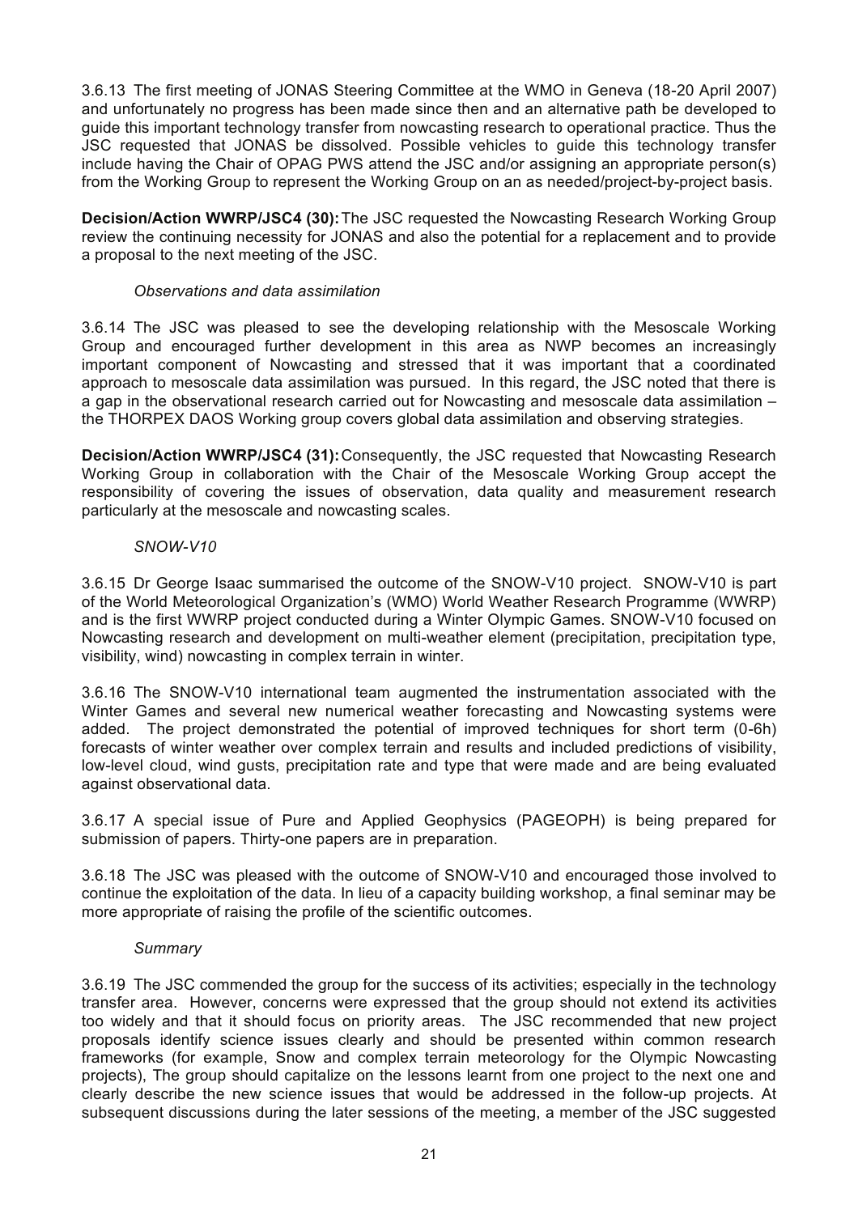3.6.13 The first meeting of JONAS Steering Committee at the WMO in Geneva (18-20 April 2007) and unfortunately no progress has been made since then and an alternative path be developed to guide this important technology transfer from nowcasting research to operational practice. Thus the JSC requested that JONAS be dissolved. Possible vehicles to guide this technology transfer include having the Chair of OPAG PWS attend the JSC and/or assigning an appropriate person(s) from the Working Group to represent the Working Group on an as needed/project-by-project basis.

**Decision/Action WWRP/JSC4 (30):**The JSC requested the Nowcasting Research Working Group review the continuing necessity for JONAS and also the potential for a replacement and to provide a proposal to the next meeting of the JSC.

## *Observations and data assimilation*

3.6.14 The JSC was pleased to see the developing relationship with the Mesoscale Working Group and encouraged further development in this area as NWP becomes an increasingly important component of Nowcasting and stressed that it was important that a coordinated approach to mesoscale data assimilation was pursued. In this regard, the JSC noted that there is a gap in the observational research carried out for Nowcasting and mesoscale data assimilation – the THORPEX DAOS Working group covers global data assimilation and observing strategies.

**Decision/Action WWRP/JSC4 (31):**Consequently, the JSC requested that Nowcasting Research Working Group in collaboration with the Chair of the Mesoscale Working Group accept the responsibility of covering the issues of observation, data quality and measurement research particularly at the mesoscale and nowcasting scales.

## *SNOW-V10*

3.6.15 Dr George Isaac summarised the outcome of the SNOW-V10 project. SNOW-V10 is part of the World Meteorological Organization's (WMO) World Weather Research Programme (WWRP) and is the first WWRP project conducted during a Winter Olympic Games. SNOW-V10 focused on Nowcasting research and development on multi-weather element (precipitation, precipitation type, visibility, wind) nowcasting in complex terrain in winter.

3.6.16 The SNOW-V10 international team augmented the instrumentation associated with the Winter Games and several new numerical weather forecasting and Nowcasting systems were added. The project demonstrated the potential of improved techniques for short term (0-6h) forecasts of winter weather over complex terrain and results and included predictions of visibility, low-level cloud, wind gusts, precipitation rate and type that were made and are being evaluated against observational data.

3.6.17 A special issue of Pure and Applied Geophysics (PAGEOPH) is being prepared for submission of papers. Thirty-one papers are in preparation.

3.6.18 The JSC was pleased with the outcome of SNOW-V10 and encouraged those involved to continue the exploitation of the data. In lieu of a capacity building workshop, a final seminar may be more appropriate of raising the profile of the scientific outcomes.

## *Summary*

3.6.19 The JSC commended the group for the success of its activities; especially in the technology transfer area. However, concerns were expressed that the group should not extend its activities too widely and that it should focus on priority areas. The JSC recommended that new project proposals identify science issues clearly and should be presented within common research frameworks (for example, Snow and complex terrain meteorology for the Olympic Nowcasting projects), The group should capitalize on the lessons learnt from one project to the next one and clearly describe the new science issues that would be addressed in the follow-up projects. At subsequent discussions during the later sessions of the meeting, a member of the JSC suggested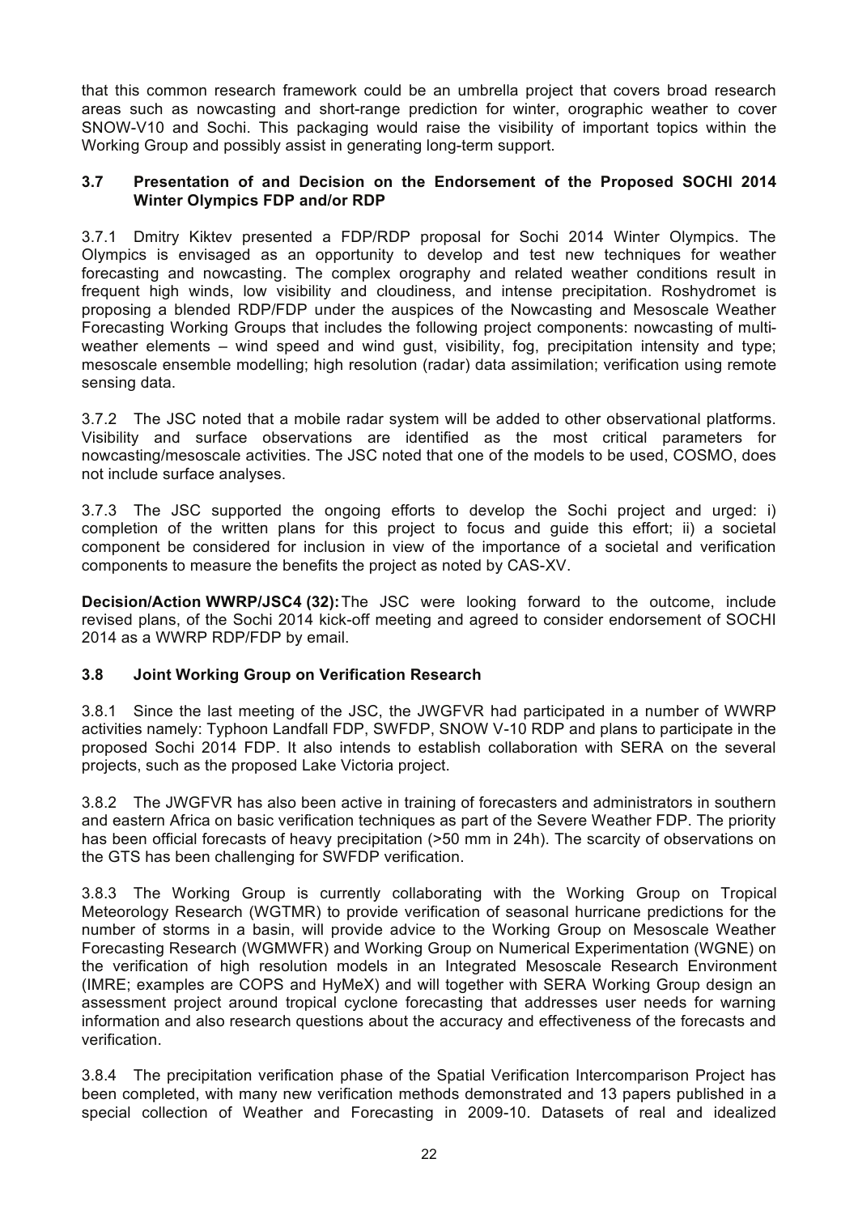that this common research framework could be an umbrella project that covers broad research areas such as nowcasting and short-range prediction for winter, orographic weather to cover SNOW-V10 and Sochi. This packaging would raise the visibility of important topics within the Working Group and possibly assist in generating long-term support.

### **3.7 Presentation of and Decision on the Endorsement of the Proposed SOCHI 2014 Winter Olympics FDP and/or RDP**

3.7.1 Dmitry Kiktev presented a FDP/RDP proposal for Sochi 2014 Winter Olympics. The Olympics is envisaged as an opportunity to develop and test new techniques for weather forecasting and nowcasting. The complex orography and related weather conditions result in frequent high winds, low visibility and cloudiness, and intense precipitation. Roshydromet is proposing a blended RDP/FDP under the auspices of the Nowcasting and Mesoscale Weather Forecasting Working Groups that includes the following project components: nowcasting of multiweather elements – wind speed and wind gust, visibility, fog, precipitation intensity and type; mesoscale ensemble modelling; high resolution (radar) data assimilation; verification using remote sensing data.

3.7.2 The JSC noted that a mobile radar system will be added to other observational platforms. Visibility and surface observations are identified as the most critical parameters for nowcasting/mesoscale activities. The JSC noted that one of the models to be used, COSMO, does not include surface analyses.

3.7.3 The JSC supported the ongoing efforts to develop the Sochi project and urged: i) completion of the written plans for this project to focus and guide this effort; ii) a societal component be considered for inclusion in view of the importance of a societal and verification components to measure the benefits the project as noted by CAS-XV.

**Decision/Action WWRP/JSC4 (32):**The JSC were looking forward to the outcome, include revised plans, of the Sochi 2014 kick-off meeting and agreed to consider endorsement of SOCHI 2014 as a WWRP RDP/FDP by email.

## **3.8 Joint Working Group on Verification Research**

3.8.1 Since the last meeting of the JSC, the JWGFVR had participated in a number of WWRP activities namely: Typhoon Landfall FDP, SWFDP, SNOW V-10 RDP and plans to participate in the proposed Sochi 2014 FDP. It also intends to establish collaboration with SERA on the several projects, such as the proposed Lake Victoria project.

3.8.2 The JWGFVR has also been active in training of forecasters and administrators in southern and eastern Africa on basic verification techniques as part of the Severe Weather FDP. The priority has been official forecasts of heavy precipitation (>50 mm in 24h). The scarcity of observations on the GTS has been challenging for SWFDP verification.

3.8.3 The Working Group is currently collaborating with the Working Group on Tropical Meteorology Research (WGTMR) to provide verification of seasonal hurricane predictions for the number of storms in a basin, will provide advice to the Working Group on Mesoscale Weather Forecasting Research (WGMWFR) and Working Group on Numerical Experimentation (WGNE) on the verification of high resolution models in an Integrated Mesoscale Research Environment (IMRE; examples are COPS and HyMeX) and will together with SERA Working Group design an assessment project around tropical cyclone forecasting that addresses user needs for warning information and also research questions about the accuracy and effectiveness of the forecasts and verification.

3.8.4 The precipitation verification phase of the Spatial Verification Intercomparison Project has been completed, with many new verification methods demonstrated and 13 papers published in a special collection of Weather and Forecasting in 2009-10. Datasets of real and idealized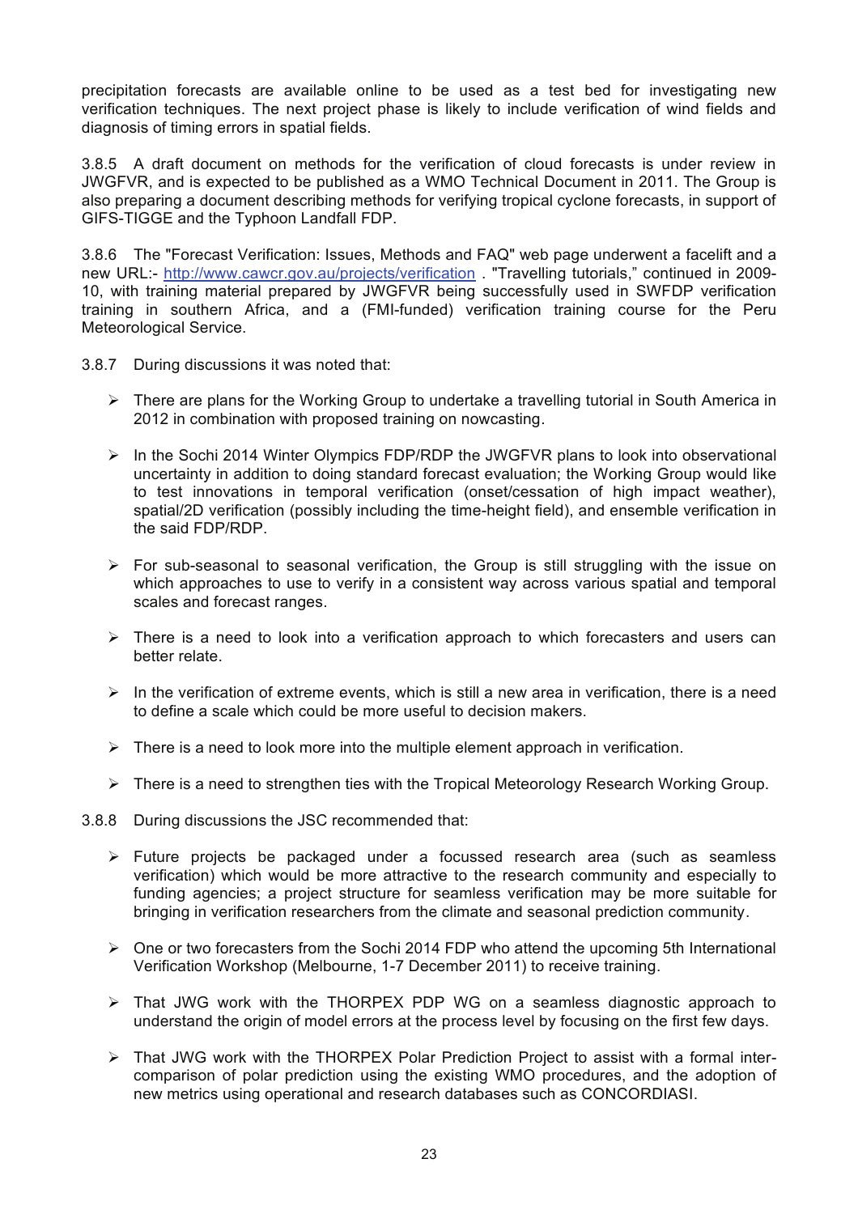precipitation forecasts are available online to be used as a test bed for investigating new verification techniques. The next project phase is likely to include verification of wind fields and diagnosis of timing errors in spatial fields.

3.8.5 A draft document on methods for the verification of cloud forecasts is under review in JWGFVR, and is expected to be published as a WMO Technical Document in 2011. The Group is also preparing a document describing methods for verifying tropical cyclone forecasts, in support of GIFS-TIGGE and the Typhoon Landfall FDP.

3.8.6 The "Forecast Verification: Issues, Methods and FAQ" web page underwent a facelift and a new URL:- http://www.cawcr.gov.au/projects/verification . "Travelling tutorials," continued in 2009- 10, with training material prepared by JWGFVR being successfully used in SWFDP verification training in southern Africa, and a (FMI-funded) verification training course for the Peru Meteorological Service.

- 3.8.7 During discussions it was noted that:
	- $\triangleright$  There are plans for the Working Group to undertake a travelling tutorial in South America in 2012 in combination with proposed training on nowcasting.
	- $\triangleright$  In the Sochi 2014 Winter Olympics FDP/RDP the JWGFVR plans to look into observational uncertainty in addition to doing standard forecast evaluation; the Working Group would like to test innovations in temporal verification (onset/cessation of high impact weather), spatial/2D verification (possibly including the time-height field), and ensemble verification in the said FDP/RDP.
	- $\triangleright$  For sub-seasonal to seasonal verification, the Group is still struggling with the issue on which approaches to use to verify in a consistent way across various spatial and temporal scales and forecast ranges.
	- $\triangleright$  There is a need to look into a verification approach to which forecasters and users can better relate.
	- $\triangleright$  In the verification of extreme events, which is still a new area in verification, there is a need to define a scale which could be more useful to decision makers.
	- $\triangleright$  There is a need to look more into the multiple element approach in verification.
	- $\triangleright$  There is a need to strengthen ties with the Tropical Meteorology Research Working Group.
- 3.8.8 During discussions the JSC recommended that:
	- $\triangleright$  Future projects be packaged under a focussed research area (such as seamless verification) which would be more attractive to the research community and especially to funding agencies; a project structure for seamless verification may be more suitable for bringing in verification researchers from the climate and seasonal prediction community.
	- $\triangleright$  One or two forecasters from the Sochi 2014 FDP who attend the upcoming 5th International Verification Workshop (Melbourne, 1-7 December 2011) to receive training.
	- $\triangleright$  That JWG work with the THORPEX PDP WG on a seamless diagnostic approach to understand the origin of model errors at the process level by focusing on the first few days.
	- $\triangleright$  That JWG work with the THORPEX Polar Prediction Project to assist with a formal intercomparison of polar prediction using the existing WMO procedures, and the adoption of new metrics using operational and research databases such as CONCORDIASI.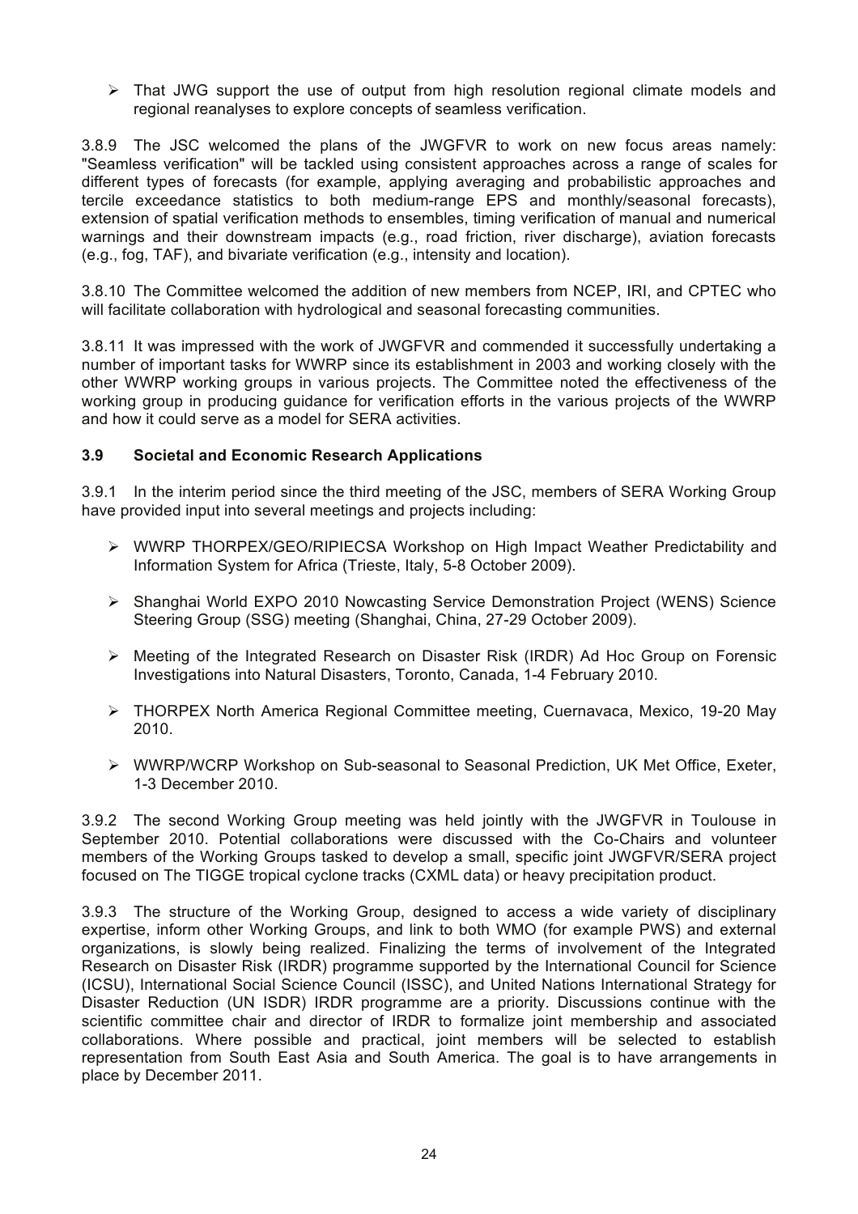$\triangleright$  That JWG support the use of output from high resolution regional climate models and regional reanalyses to explore concepts of seamless verification.

3.8.9 The JSC welcomed the plans of the JWGFVR to work on new focus areas namely: "Seamless verification" will be tackled using consistent approaches across a range of scales for different types of forecasts (for example, applying averaging and probabilistic approaches and tercile exceedance statistics to both medium-range EPS and monthly/seasonal forecasts), extension of spatial verification methods to ensembles, timing verification of manual and numerical warnings and their downstream impacts (e.g., road friction, river discharge), aviation forecasts (e.g., fog, TAF), and bivariate verification (e.g., intensity and location).

3.8.10 The Committee welcomed the addition of new members from NCEP, IRI, and CPTEC who will facilitate collaboration with hydrological and seasonal forecasting communities.

3.8.11 It was impressed with the work of JWGFVR and commended it successfully undertaking a number of important tasks for WWRP since its establishment in 2003 and working closely with the other WWRP working groups in various projects. The Committee noted the effectiveness of the working group in producing guidance for verification efforts in the various projects of the WWRP and how it could serve as a model for SERA activities.

## **3.9 Societal and Economic Research Applications**

3.9.1 In the interim period since the third meeting of the JSC, members of SERA Working Group have provided input into several meetings and projects including:

- ! WWRP THORPEX/GEO/RIPIECSA Workshop on High Impact Weather Predictability and Information System for Africa (Trieste, Italy, 5-8 October 2009).
- ! Shanghai World EXPO 2010 Nowcasting Service Demonstration Project (WENS) Science Steering Group (SSG) meeting (Shanghai, China, 27-29 October 2009).
- $\triangleright$  Meeting of the Integrated Research on Disaster Risk (IRDR) Ad Hoc Group on Forensic Investigations into Natural Disasters, Toronto, Canada, 1-4 February 2010.
- $\triangleright$  THORPEX North America Regional Committee meeting, Cuernavaca, Mexico, 19-20 May 2010.
- ! WWRP/WCRP Workshop on Sub-seasonal to Seasonal Prediction, UK Met Office, Exeter, 1-3 December 2010.

3.9.2 The second Working Group meeting was held jointly with the JWGFVR in Toulouse in September 2010. Potential collaborations were discussed with the Co-Chairs and volunteer members of the Working Groups tasked to develop a small, specific joint JWGFVR/SERA project focused on The TIGGE tropical cyclone tracks (CXML data) or heavy precipitation product.

3.9.3 The structure of the Working Group, designed to access a wide variety of disciplinary expertise, inform other Working Groups, and link to both WMO (for example PWS) and external organizations, is slowly being realized. Finalizing the terms of involvement of the Integrated Research on Disaster Risk (IRDR) programme supported by the International Council for Science (ICSU), International Social Science Council (ISSC), and United Nations International Strategy for Disaster Reduction (UN ISDR) IRDR programme are a priority. Discussions continue with the scientific committee chair and director of IRDR to formalize joint membership and associated collaborations. Where possible and practical, joint members will be selected to establish representation from South East Asia and South America. The goal is to have arrangements in place by December 2011.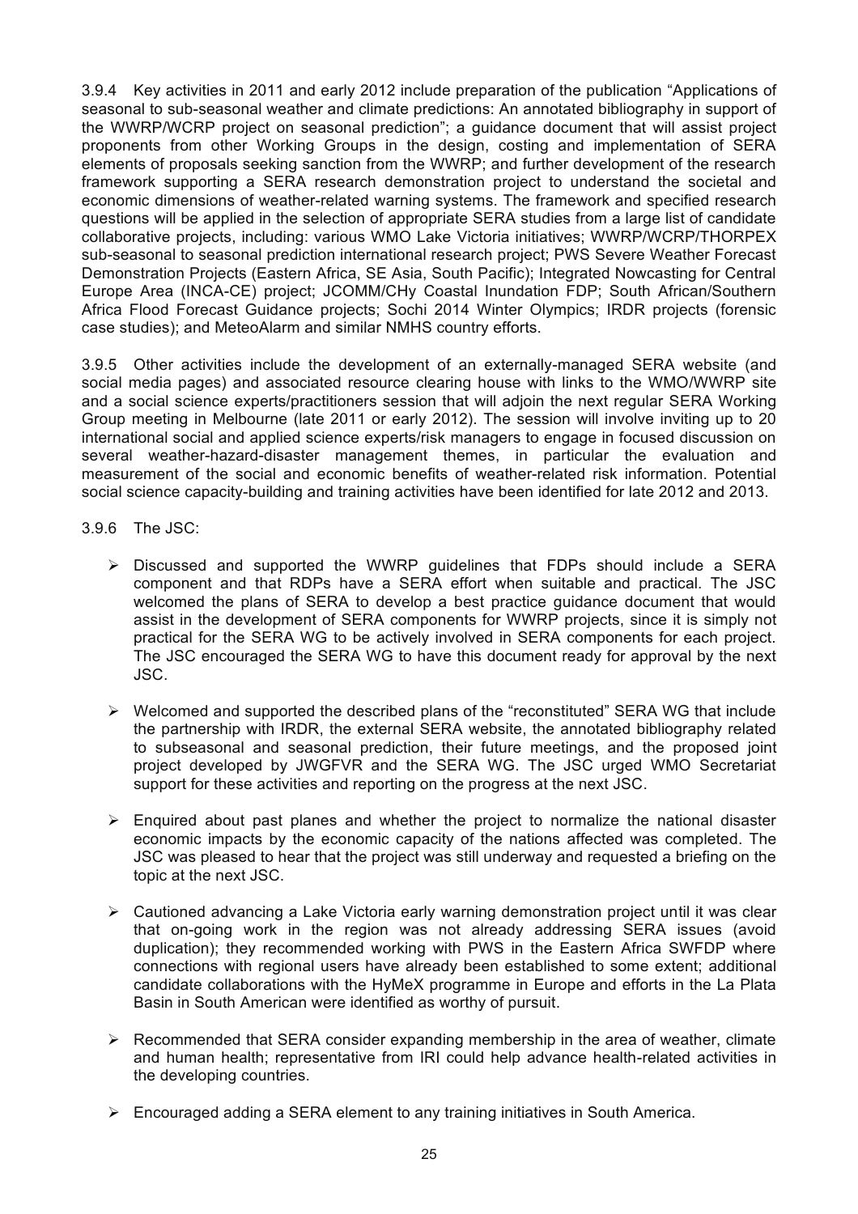3.9.4 Key activities in 2011 and early 2012 include preparation of the publication "Applications of seasonal to sub-seasonal weather and climate predictions: An annotated bibliography in support of the WWRP/WCRP project on seasonal prediction"; a guidance document that will assist project proponents from other Working Groups in the design, costing and implementation of SERA elements of proposals seeking sanction from the WWRP; and further development of the research framework supporting a SERA research demonstration project to understand the societal and economic dimensions of weather-related warning systems. The framework and specified research questions will be applied in the selection of appropriate SERA studies from a large list of candidate collaborative projects, including: various WMO Lake Victoria initiatives; WWRP/WCRP/THORPEX sub-seasonal to seasonal prediction international research project; PWS Severe Weather Forecast Demonstration Projects (Eastern Africa, SE Asia, South Pacific); Integrated Nowcasting for Central Europe Area (INCA-CE) project; JCOMM/CHy Coastal Inundation FDP; South African/Southern Africa Flood Forecast Guidance projects; Sochi 2014 Winter Olympics; IRDR projects (forensic case studies); and MeteoAlarm and similar NMHS country efforts.

3.9.5 Other activities include the development of an externally-managed SERA website (and social media pages) and associated resource clearing house with links to the WMO/WWRP site and a social science experts/practitioners session that will adjoin the next regular SERA Working Group meeting in Melbourne (late 2011 or early 2012). The session will involve inviting up to 20 international social and applied science experts/risk managers to engage in focused discussion on several weather-hazard-disaster management themes, in particular the evaluation and measurement of the social and economic benefits of weather-related risk information. Potential social science capacity-building and training activities have been identified for late 2012 and 2013.

- 3.9.6 The JSC:
	- $\triangleright$  Discussed and supported the WWRP guidelines that FDPs should include a SERA component and that RDPs have a SERA effort when suitable and practical. The JSC welcomed the plans of SERA to develop a best practice guidance document that would assist in the development of SERA components for WWRP projects, since it is simply not practical for the SERA WG to be actively involved in SERA components for each project. The JSC encouraged the SERA WG to have this document ready for approval by the next JSC.
	- $\triangleright$  Welcomed and supported the described plans of the "reconstituted" SERA WG that include the partnership with IRDR, the external SERA website, the annotated bibliography related to subseasonal and seasonal prediction, their future meetings, and the proposed joint project developed by JWGFVR and the SERA WG. The JSC urged WMO Secretariat support for these activities and reporting on the progress at the next JSC.
	- $\triangleright$  Enquired about past planes and whether the project to normalize the national disaster economic impacts by the economic capacity of the nations affected was completed. The JSC was pleased to hear that the project was still underway and requested a briefing on the topic at the next JSC.
	- $\geq$  Cautioned advancing a Lake Victoria early warning demonstration project until it was clear that on-going work in the region was not already addressing SERA issues (avoid duplication); they recommended working with PWS in the Eastern Africa SWFDP where connections with regional users have already been established to some extent; additional candidate collaborations with the HyMeX programme in Europe and efforts in the La Plata Basin in South American were identified as worthy of pursuit.
	- $\triangleright$  Recommended that SERA consider expanding membership in the area of weather, climate and human health; representative from IRI could help advance health-related activities in the developing countries.
	- $\triangleright$  Encouraged adding a SERA element to any training initiatives in South America.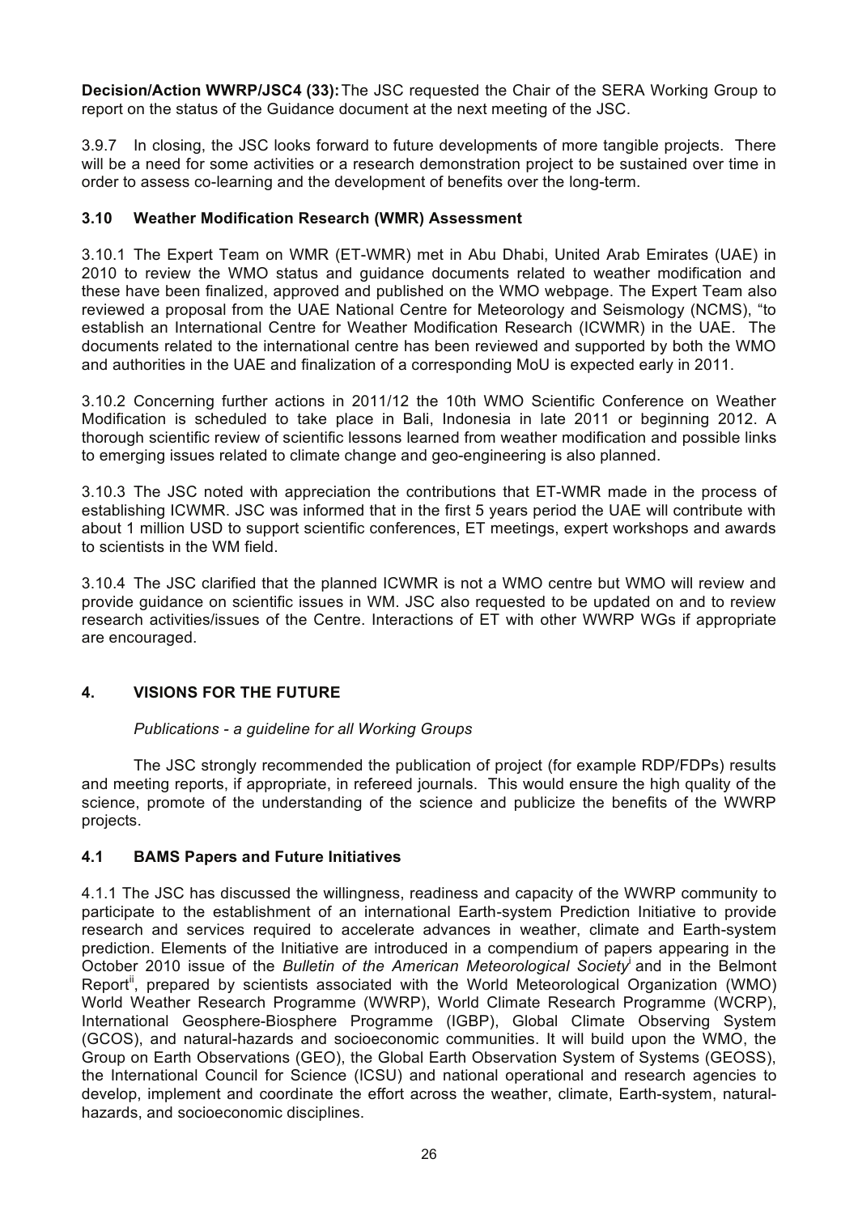**Decision/Action WWRP/JSC4 (33):**The JSC requested the Chair of the SERA Working Group to report on the status of the Guidance document at the next meeting of the JSC.

3.9.7 In closing, the JSC looks forward to future developments of more tangible projects. There will be a need for some activities or a research demonstration project to be sustained over time in order to assess co-learning and the development of benefits over the long-term.

## **3.10 Weather Modification Research (WMR) Assessment**

3.10.1 The Expert Team on WMR (ET-WMR) met in Abu Dhabi, United Arab Emirates (UAE) in 2010 to review the WMO status and guidance documents related to weather modification and these have been finalized, approved and published on the WMO webpage. The Expert Team also reviewed a proposal from the UAE National Centre for Meteorology and Seismology (NCMS), "to establish an International Centre for Weather Modification Research (ICWMR) in the UAE. The documents related to the international centre has been reviewed and supported by both the WMO and authorities in the UAE and finalization of a corresponding MoU is expected early in 2011.

3.10.2 Concerning further actions in 2011/12 the 10th WMO Scientific Conference on Weather Modification is scheduled to take place in Bali, Indonesia in late 2011 or beginning 2012. A thorough scientific review of scientific lessons learned from weather modification and possible links to emerging issues related to climate change and geo-engineering is also planned.

3.10.3 The JSC noted with appreciation the contributions that ET-WMR made in the process of establishing ICWMR. JSC was informed that in the first 5 years period the UAE will contribute with about 1 million USD to support scientific conferences, ET meetings, expert workshops and awards to scientists in the WM field.

3.10.4 The JSC clarified that the planned ICWMR is not a WMO centre but WMO will review and provide guidance on scientific issues in WM. JSC also requested to be updated on and to review research activities/issues of the Centre. Interactions of ET with other WWRP WGs if appropriate are encouraged.

## **4. VISIONS FOR THE FUTURE**

## *Publications - a guideline for all Working Groups*

The JSC strongly recommended the publication of project (for example RDP/FDPs) results and meeting reports, if appropriate, in refereed journals. This would ensure the high quality of the science, promote of the understanding of the science and publicize the benefits of the WWRP projects.

## **4.1 BAMS Papers and Future Initiatives**

4.1.1 The JSC has discussed the willingness, readiness and capacity of the WWRP community to participate to the establishment of an international Earth-system Prediction Initiative to provide research and services required to accelerate advances in weather, climate and Earth-system prediction. Elements of the Initiative are introduced in a compendium of papers appearing in the October 2010 issue of the Bulletin of the American Meteorological Society<sup>i</sup> and in the Belmont Report<sup>ii</sup>, prepared by scientists associated with the World Meteorological Organization (WMO) World Weather Research Programme (WWRP), World Climate Research Programme (WCRP), International Geosphere-Biosphere Programme (IGBP), Global Climate Observing System (GCOS), and natural-hazards and socioeconomic communities. It will build upon the WMO, the Group on Earth Observations (GEO), the Global Earth Observation System of Systems (GEOSS), the International Council for Science (ICSU) and national operational and research agencies to develop, implement and coordinate the effort across the weather, climate, Earth-system, naturalhazards, and socioeconomic disciplines.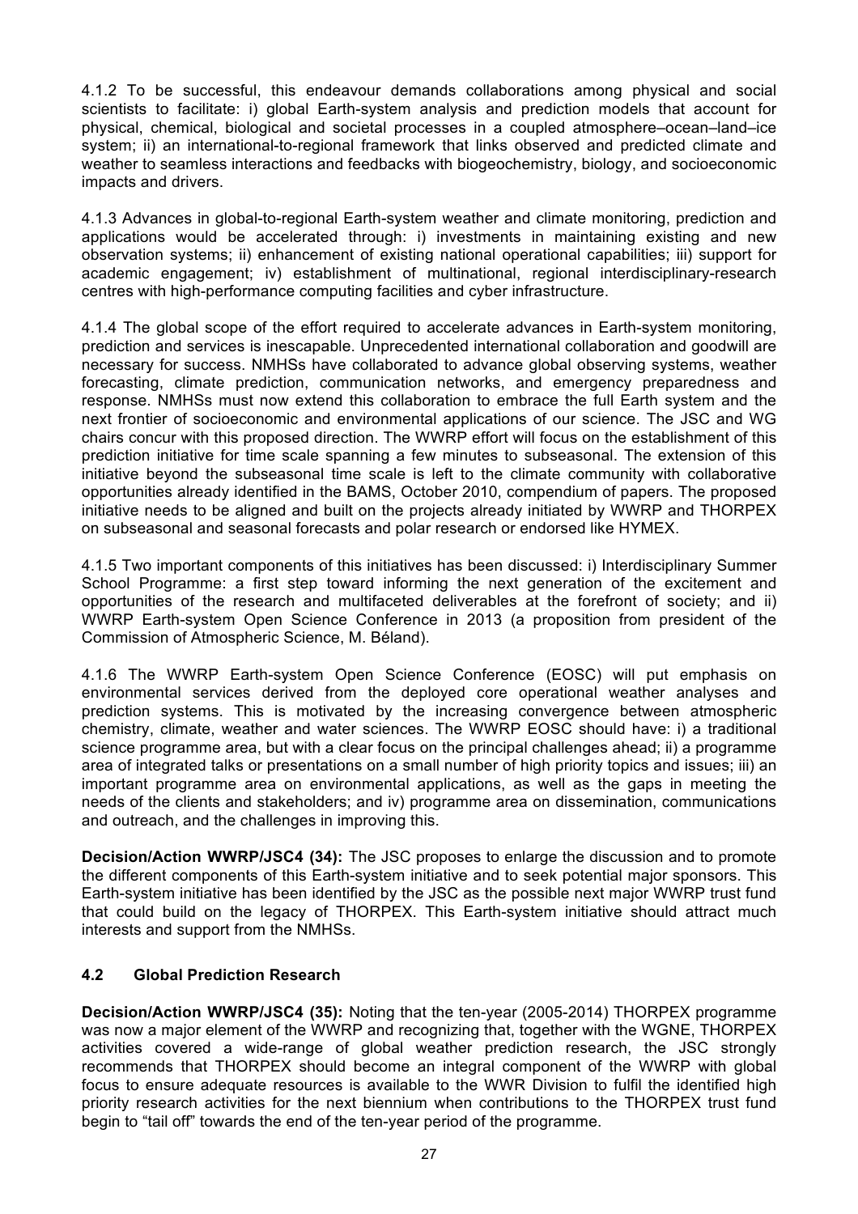4.1.2 To be successful, this endeavour demands collaborations among physical and social scientists to facilitate: i) global Earth-system analysis and prediction models that account for physical, chemical, biological and societal processes in a coupled atmosphere–ocean–land–ice system; ii) an international-to-regional framework that links observed and predicted climate and weather to seamless interactions and feedbacks with biogeochemistry, biology, and socioeconomic impacts and drivers.

4.1.3 Advances in global-to-regional Earth-system weather and climate monitoring, prediction and applications would be accelerated through: i) investments in maintaining existing and new observation systems; ii) enhancement of existing national operational capabilities; iii) support for academic engagement; iv) establishment of multinational, regional interdisciplinary-research centres with high-performance computing facilities and cyber infrastructure.

4.1.4 The global scope of the effort required to accelerate advances in Earth-system monitoring, prediction and services is inescapable. Unprecedented international collaboration and goodwill are necessary for success. NMHSs have collaborated to advance global observing systems, weather forecasting, climate prediction, communication networks, and emergency preparedness and response. NMHSs must now extend this collaboration to embrace the full Earth system and the next frontier of socioeconomic and environmental applications of our science. The JSC and WG chairs concur with this proposed direction. The WWRP effort will focus on the establishment of this prediction initiative for time scale spanning a few minutes to subseasonal. The extension of this initiative beyond the subseasonal time scale is left to the climate community with collaborative opportunities already identified in the BAMS, October 2010, compendium of papers. The proposed initiative needs to be aligned and built on the projects already initiated by WWRP and THORPEX on subseasonal and seasonal forecasts and polar research or endorsed like HYMEX.

4.1.5 Two important components of this initiatives has been discussed: i) Interdisciplinary Summer School Programme: a first step toward informing the next generation of the excitement and opportunities of the research and multifaceted deliverables at the forefront of society; and ii) WWRP Earth-system Open Science Conference in 2013 (a proposition from president of the Commission of Atmospheric Science, M. Béland).

4.1.6 The WWRP Earth-system Open Science Conference (EOSC) will put emphasis on environmental services derived from the deployed core operational weather analyses and prediction systems. This is motivated by the increasing convergence between atmospheric chemistry, climate, weather and water sciences. The WWRP EOSC should have: i) a traditional science programme area, but with a clear focus on the principal challenges ahead; ii) a programme area of integrated talks or presentations on a small number of high priority topics and issues; iii) an important programme area on environmental applications, as well as the gaps in meeting the needs of the clients and stakeholders; and iv) programme area on dissemination, communications and outreach, and the challenges in improving this.

**Decision/Action WWRP/JSC4 (34):** The JSC proposes to enlarge the discussion and to promote the different components of this Earth-system initiative and to seek potential major sponsors. This Earth-system initiative has been identified by the JSC as the possible next major WWRP trust fund that could build on the legacy of THORPEX. This Earth-system initiative should attract much interests and support from the NMHSs.

## **4.2 Global Prediction Research**

**Decision/Action WWRP/JSC4 (35):** Noting that the ten-year (2005-2014) THORPEX programme was now a major element of the WWRP and recognizing that, together with the WGNE, THORPEX activities covered a wide-range of global weather prediction research, the JSC strongly recommends that THORPEX should become an integral component of the WWRP with global focus to ensure adequate resources is available to the WWR Division to fulfil the identified high priority research activities for the next biennium when contributions to the THORPEX trust fund begin to "tail off" towards the end of the ten-year period of the programme.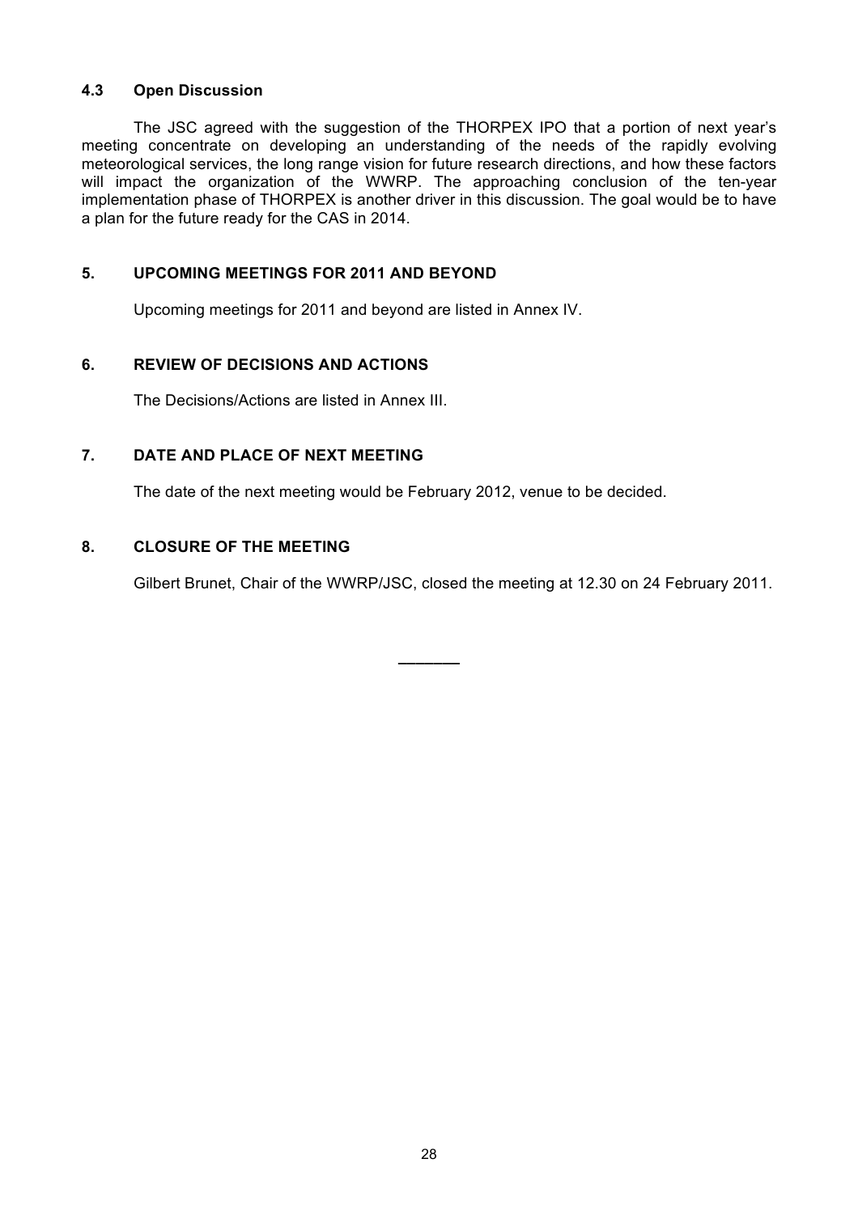## **4.3 Open Discussion**

The JSC agreed with the suggestion of the THORPEX IPO that a portion of next year's meeting concentrate on developing an understanding of the needs of the rapidly evolving meteorological services, the long range vision for future research directions, and how these factors will impact the organization of the WWRP. The approaching conclusion of the ten-year implementation phase of THORPEX is another driver in this discussion. The goal would be to have a plan for the future ready for the CAS in 2014.

## **5. UPCOMING MEETINGS FOR 2011 AND BEYOND**

Upcoming meetings for 2011 and beyond are listed in Annex IV.

## **6. REVIEW OF DECISIONS AND ACTIONS**

The Decisions/Actions are listed in Annex III.

## **7. DATE AND PLACE OF NEXT MEETING**

The date of the next meeting would be February 2012, venue to be decided.

## **8. CLOSURE OF THE MEETING**

Gilbert Brunet, Chair of the WWRP/JSC, closed the meeting at 12.30 on 24 February 2011.

**\_\_\_\_\_\_\_**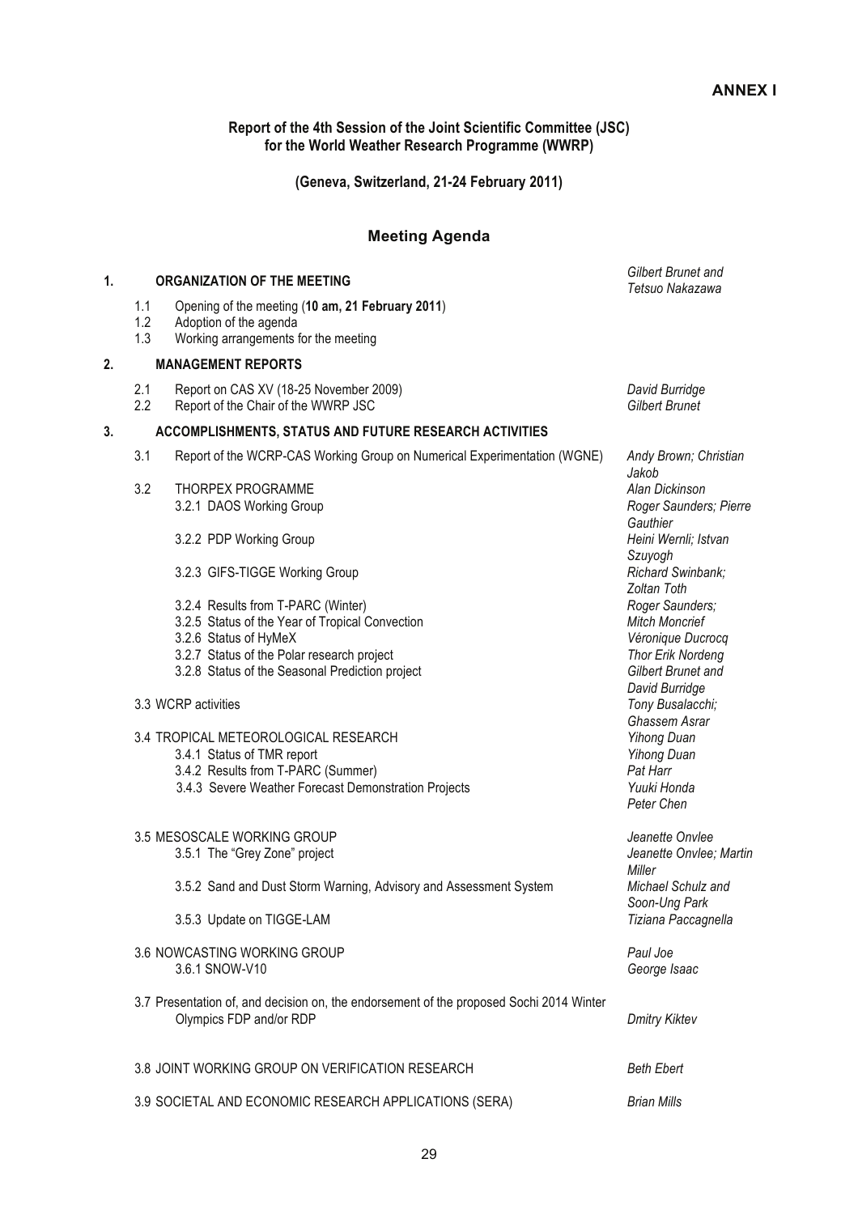**Report of the 4th Session of the Joint Scientific Committee (JSC) for the World Weather Research Programme (WWRP)**

**(Geneva, Switzerland, 21-24 February 2011)**

#### **Meeting Agenda**

| 1. |                   | <b>ORGANIZATION OF THE MEETING</b>                                                                                                                                                                              | Gilbert Brunet and<br>Tetsuo Nakazawa                                                                                             |
|----|-------------------|-----------------------------------------------------------------------------------------------------------------------------------------------------------------------------------------------------------------|-----------------------------------------------------------------------------------------------------------------------------------|
|    | 1.1<br>1.2<br>1.3 | Opening of the meeting (10 am, 21 February 2011)<br>Adoption of the agenda<br>Working arrangements for the meeting                                                                                              |                                                                                                                                   |
| 2. |                   | <b>MANAGEMENT REPORTS</b>                                                                                                                                                                                       |                                                                                                                                   |
|    | 2.1<br>2.2        | Report on CAS XV (18-25 November 2009)<br>Report of the Chair of the WWRP JSC                                                                                                                                   | David Burridge<br><b>Gilbert Brunet</b>                                                                                           |
| 3. |                   | ACCOMPLISHMENTS, STATUS AND FUTURE RESEARCH ACTIVITIES                                                                                                                                                          |                                                                                                                                   |
|    | 3.1               | Report of the WCRP-CAS Working Group on Numerical Experimentation (WGNE)                                                                                                                                        | Andy Brown; Christian<br>Jakob                                                                                                    |
|    | 3.2               | THORPEX PROGRAMME<br>3.2.1 DAOS Working Group                                                                                                                                                                   | Alan Dickinson<br>Roger Saunders; Pierre<br>Gauthier                                                                              |
|    |                   | 3.2.2 PDP Working Group                                                                                                                                                                                         | Heini Wernli; Istvan<br>Szuyogh                                                                                                   |
|    |                   | 3.2.3 GIFS-TIGGE Working Group                                                                                                                                                                                  | Richard Swinbank;<br>Zoltan Toth                                                                                                  |
|    |                   | 3.2.4 Results from T-PARC (Winter)<br>3.2.5 Status of the Year of Tropical Convection<br>3.2.6 Status of HyMeX<br>3.2.7 Status of the Polar research project<br>3.2.8 Status of the Seasonal Prediction project | Roger Saunders;<br><b>Mitch Moncrief</b><br>Véronique Ducrocq<br><b>Thor Erik Nordeng</b><br>Gilbert Brunet and<br>David Burridge |
|    |                   | 3.3 WCRP activities                                                                                                                                                                                             | Tony Busalacchi;<br>Ghassem Asrar                                                                                                 |
|    |                   | 3.4 TROPICAL METEOROLOGICAL RESEARCH<br>3.4.1 Status of TMR report<br>3.4.2 Results from T-PARC (Summer)<br>3.4.3 Severe Weather Forecast Demonstration Projects                                                | <b>Yihong Duan</b><br><b>Yihong Duan</b><br>Pat Harr<br>Yuuki Honda<br>Peter Chen                                                 |
|    |                   | 3.5 MESOSCALE WORKING GROUP<br>3.5.1 The "Grey Zone" project                                                                                                                                                    | Jeanette Onvlee<br>Jeanette Onvlee; Martin<br>Miller                                                                              |
|    |                   | 3.5.2 Sand and Dust Storm Warning, Advisory and Assessment System                                                                                                                                               | Michael Schulz and<br>Soon-Ung Park                                                                                               |
|    |                   | 3.5.3 Update on TIGGE-LAM                                                                                                                                                                                       | Tiziana Paccagnella                                                                                                               |
|    |                   | 3.6 NOWCASTING WORKING GROUP<br>3.6.1 SNOW-V10                                                                                                                                                                  | Paul Joe<br>George Isaac                                                                                                          |
|    |                   | 3.7 Presentation of, and decision on, the endorsement of the proposed Sochi 2014 Winter<br>Olympics FDP and/or RDP                                                                                              | <b>Dmitry Kiktev</b>                                                                                                              |
|    |                   | 3.8 JOINT WORKING GROUP ON VERIFICATION RESEARCH                                                                                                                                                                | <b>Beth Ebert</b>                                                                                                                 |
|    |                   | 3.9 SOCIETAL AND ECONOMIC RESEARCH APPLICATIONS (SERA)                                                                                                                                                          | <b>Brian Mills</b>                                                                                                                |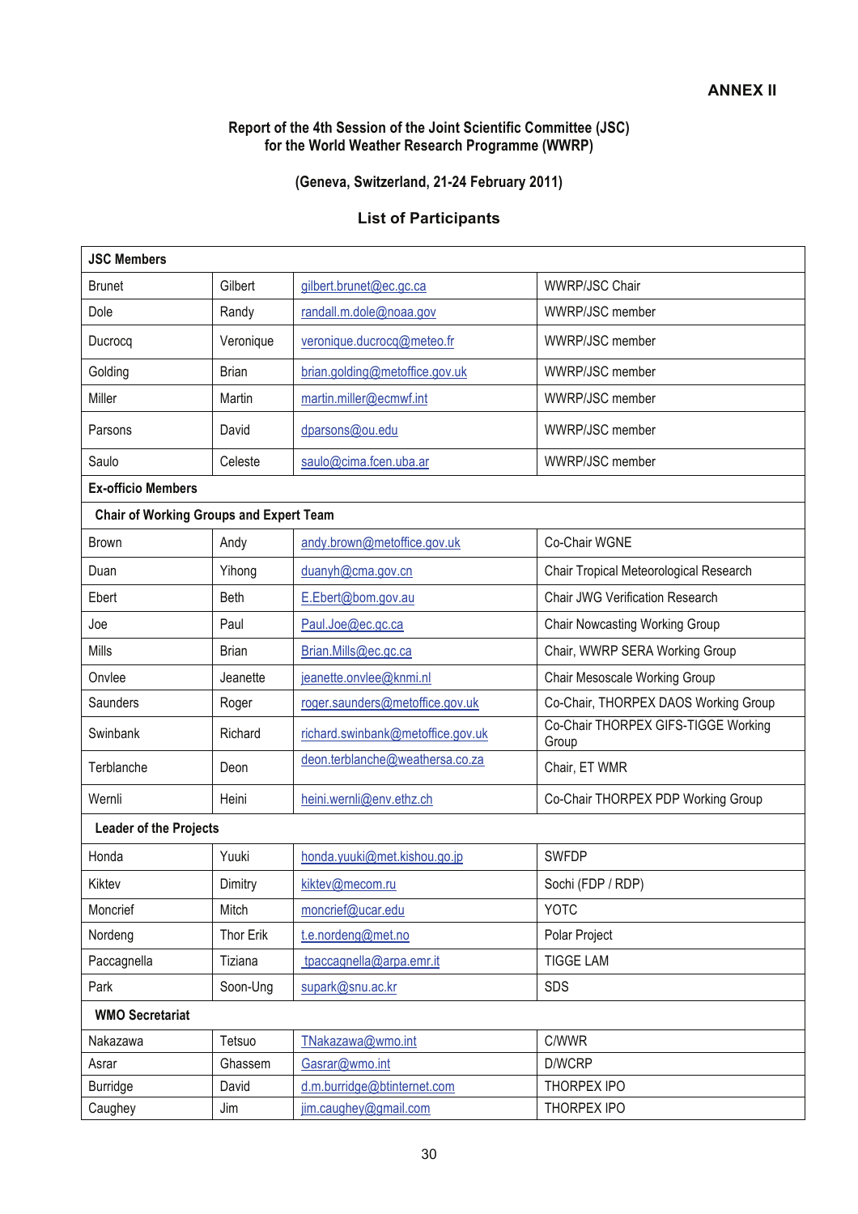## **Report of the 4th Session of the Joint Scientific Committee (JSC) for the World Weather Research Programme (WWRP)**

## **(Geneva, Switzerland, 21-24 February 2011)**

## **List of Participants**

| <b>JSC Members</b>                             |              |                                   |                                              |  |
|------------------------------------------------|--------------|-----------------------------------|----------------------------------------------|--|
| <b>Brunet</b>                                  | Gilbert      | gilbert.brunet@ec.gc.ca           | <b>WWRP/JSC Chair</b>                        |  |
| Dole                                           | Randy        | randall.m.dole@noaa.gov           | WWRP/JSC member                              |  |
| Ducrocq                                        | Veronique    | veronique.ducrocq@meteo.fr        | WWRP/JSC member                              |  |
| Golding                                        | <b>Brian</b> | brian.golding@metoffice.gov.uk    | WWRP/JSC member                              |  |
| Miller                                         | Martin       | martin.miller@ecmwf.int           | WWRP/JSC member                              |  |
| Parsons                                        | David        | dparsons@ou.edu                   | WWRP/JSC member                              |  |
| Saulo                                          | Celeste      | saulo@cima.fcen.uba.ar            | WWRP/JSC member                              |  |
| <b>Ex-officio Members</b>                      |              |                                   |                                              |  |
| <b>Chair of Working Groups and Expert Team</b> |              |                                   |                                              |  |
| <b>Brown</b>                                   | Andy         | andy.brown@metoffice.gov.uk       | Co-Chair WGNE                                |  |
| Duan                                           | Yihong       | duanyh@cma.gov.cn                 | Chair Tropical Meteorological Research       |  |
| Ebert                                          | Beth         | E.Ebert@bom.gov.au                | Chair JWG Verification Research              |  |
| Joe                                            | Paul         | Paul.Joe@ec.gc.ca                 | <b>Chair Nowcasting Working Group</b>        |  |
| Mills                                          | <b>Brian</b> | Brian.Mills@ec.gc.ca              | Chair, WWRP SERA Working Group               |  |
| Onvlee                                         | Jeanette     | jeanette.onvlee@knmi.nl           | Chair Mesoscale Working Group                |  |
| Saunders                                       | Roger        | roger.saunders@metoffice.gov.uk   | Co-Chair, THORPEX DAOS Working Group         |  |
| Swinbank                                       | Richard      | richard.swinbank@metoffice.gov.uk | Co-Chair THORPEX GIFS-TIGGE Working<br>Group |  |
| Terblanche                                     | Deon         | deon.terblanche@weathersa.co.za   | Chair, ET WMR                                |  |
| Wernli                                         | Heini        | heini.wernli@env.ethz.ch          | Co-Chair THORPEX PDP Working Group           |  |
| <b>Leader of the Projects</b>                  |              |                                   |                                              |  |
| Honda                                          | Yuuki        | honda.yuuki@met.kishou.go.jp      | <b>SWFDP</b>                                 |  |
| Kiktev                                         | Dimitry      | kiktev@mecom.ru                   | Sochi (FDP / RDP)                            |  |
| Moncrief                                       | Mitch        | moncrief@ucar.edu                 | <b>YOTC</b>                                  |  |
| Nordeng                                        | Thor Erik    | t.e.nordeng@met.no                | Polar Project                                |  |
| Paccagnella                                    | Tiziana      | tpaccagnella@arpa.emr.it          | <b>TIGGE LAM</b>                             |  |
| Park                                           | Soon-Ung     | supark@snu.ac.kr                  | SDS                                          |  |
| <b>WMO Secretariat</b>                         |              |                                   |                                              |  |
| Nakazawa                                       | Tetsuo       | TNakazawa@wmo.int                 | C/WWR                                        |  |
| Asrar                                          | Ghassem      | Gasrar@wmo.int                    | D/WCRP                                       |  |
| Burridge                                       | David        | d.m.burridge@btinternet.com       | THORPEX IPO                                  |  |
| Caughey                                        | Jim          | jim.caughey@gmail.com             | THORPEX IPO                                  |  |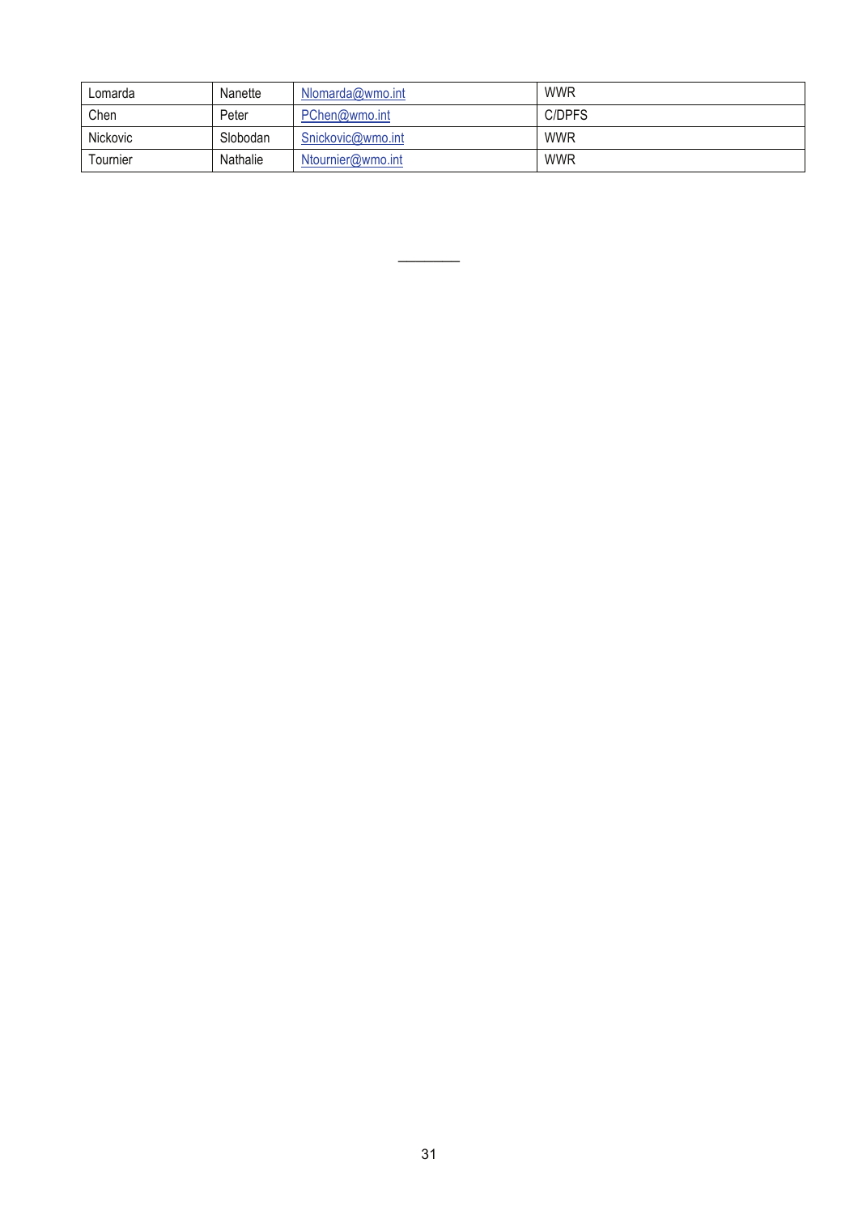| Lomarda  | Nanette  | Nlomarda@wmo.int  | <b>WWR</b> |
|----------|----------|-------------------|------------|
| Chen     | Peter    | PChen@wmo.int     | C/DPFS     |
| Nickovic | Slobodan | Snickovic@wmo.int | <b>WWR</b> |
| Tournier | Nathalie | Ntournier@wmo.int | <b>WWR</b> |

 $\overline{\phantom{a}}$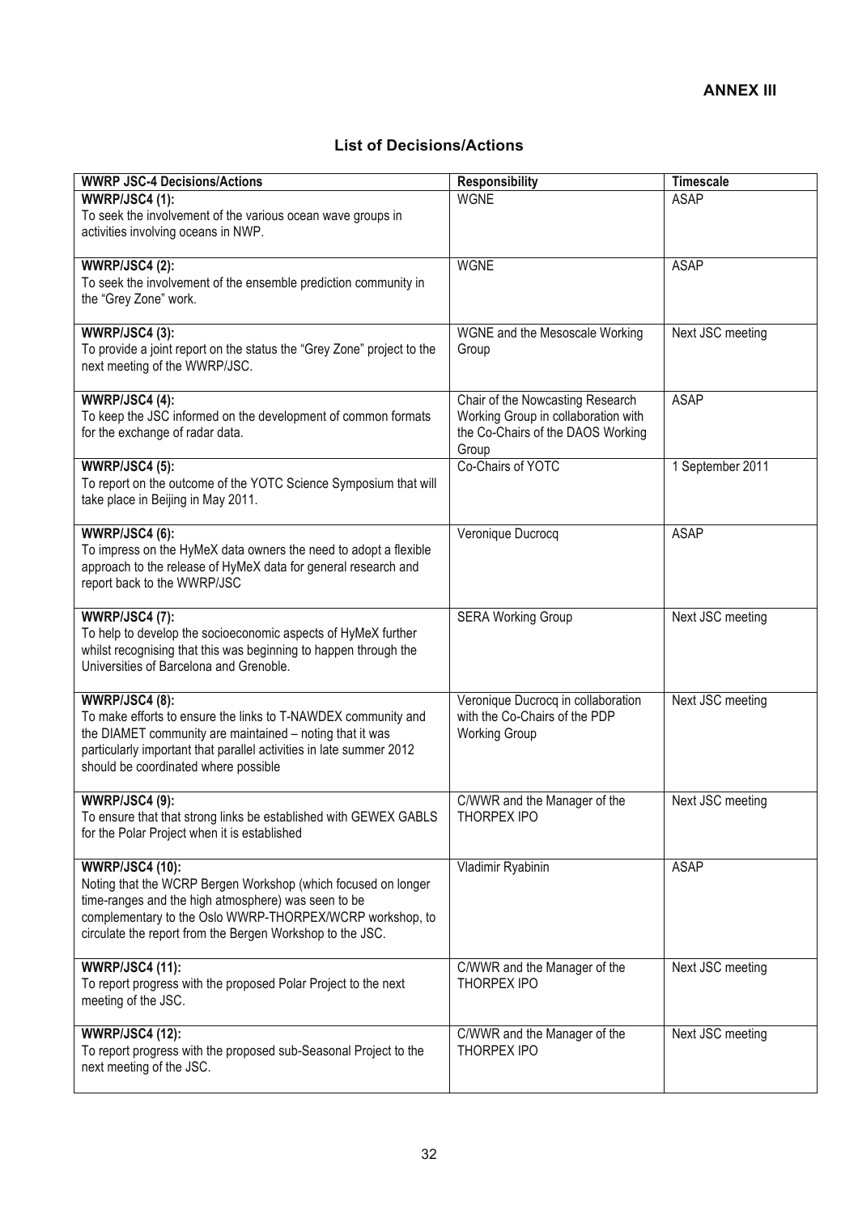## **List of Decisions/Actions**

| <b>WWRP JSC-4 Decisions/Actions</b>                                                                                                                                                                                                                                     | <b>Responsibility</b>                                                                                                 | <b>Timescale</b> |
|-------------------------------------------------------------------------------------------------------------------------------------------------------------------------------------------------------------------------------------------------------------------------|-----------------------------------------------------------------------------------------------------------------------|------------------|
| <b>WWRP/JSC4 (1):</b><br>To seek the involvement of the various ocean wave groups in<br>activities involving oceans in NWP.                                                                                                                                             | <b>WGNE</b>                                                                                                           | <b>ASAP</b>      |
| <b>WWRP/JSC4 (2):</b><br>To seek the involvement of the ensemble prediction community in<br>the "Grey Zone" work.                                                                                                                                                       | <b>WGNE</b>                                                                                                           | <b>ASAP</b>      |
| <b>WWRP/JSC4 (3):</b><br>To provide a joint report on the status the "Grey Zone" project to the<br>next meeting of the WWRP/JSC.                                                                                                                                        | WGNE and the Mesoscale Working<br>Group                                                                               | Next JSC meeting |
| WWRP/JSC4 (4):<br>To keep the JSC informed on the development of common formats<br>for the exchange of radar data.                                                                                                                                                      | Chair of the Nowcasting Research<br>Working Group in collaboration with<br>the Co-Chairs of the DAOS Working<br>Group | <b>ASAP</b>      |
| <b>WWRP/JSC4 (5):</b><br>To report on the outcome of the YOTC Science Symposium that will<br>take place in Beijing in May 2011.                                                                                                                                         | Co-Chairs of YOTC                                                                                                     | 1 September 2011 |
| <b>WWRP/JSC4 (6):</b><br>To impress on the HyMeX data owners the need to adopt a flexible<br>approach to the release of HyMeX data for general research and<br>report back to the WWRP/JSC                                                                              | Veronique Ducrocq                                                                                                     | <b>ASAP</b>      |
| <b>WWRP/JSC4 (7):</b><br>To help to develop the socioeconomic aspects of HyMeX further<br>whilst recognising that this was beginning to happen through the<br>Universities of Barcelona and Grenoble.                                                                   | <b>SERA Working Group</b>                                                                                             | Next JSC meeting |
| <b>WWRP/JSC4 (8):</b><br>To make efforts to ensure the links to T-NAWDEX community and<br>the DIAMET community are maintained - noting that it was<br>particularly important that parallel activities in late summer 2012<br>should be coordinated where possible       | Veronique Ducrocq in collaboration<br>with the Co-Chairs of the PDP<br><b>Working Group</b>                           | Next JSC meeting |
| <b>WWRP/JSC4 (9):</b><br>To ensure that that strong links be established with GEWEX GABLS<br>for the Polar Project when it is established                                                                                                                               | C/WWR and the Manager of the<br>THORPEX IPO                                                                           | Next JSC meeting |
| <b>WWRP/JSC4 (10):</b><br>Noting that the WCRP Bergen Workshop (which focused on longer<br>time-ranges and the high atmosphere) was seen to be<br>complementary to the Oslo WWRP-THORPEX/WCRP workshop, to<br>circulate the report from the Bergen Workshop to the JSC. | Vladimir Ryabinin                                                                                                     | ASAP             |
| <b>WWRP/JSC4 (11):</b><br>To report progress with the proposed Polar Project to the next<br>meeting of the JSC.                                                                                                                                                         | C/WWR and the Manager of the<br>THORPEX IPO                                                                           | Next JSC meeting |
| <b>WWRP/JSC4 (12):</b><br>To report progress with the proposed sub-Seasonal Project to the<br>next meeting of the JSC.                                                                                                                                                  | C/WWR and the Manager of the<br><b>THORPEX IPO</b>                                                                    | Next JSC meeting |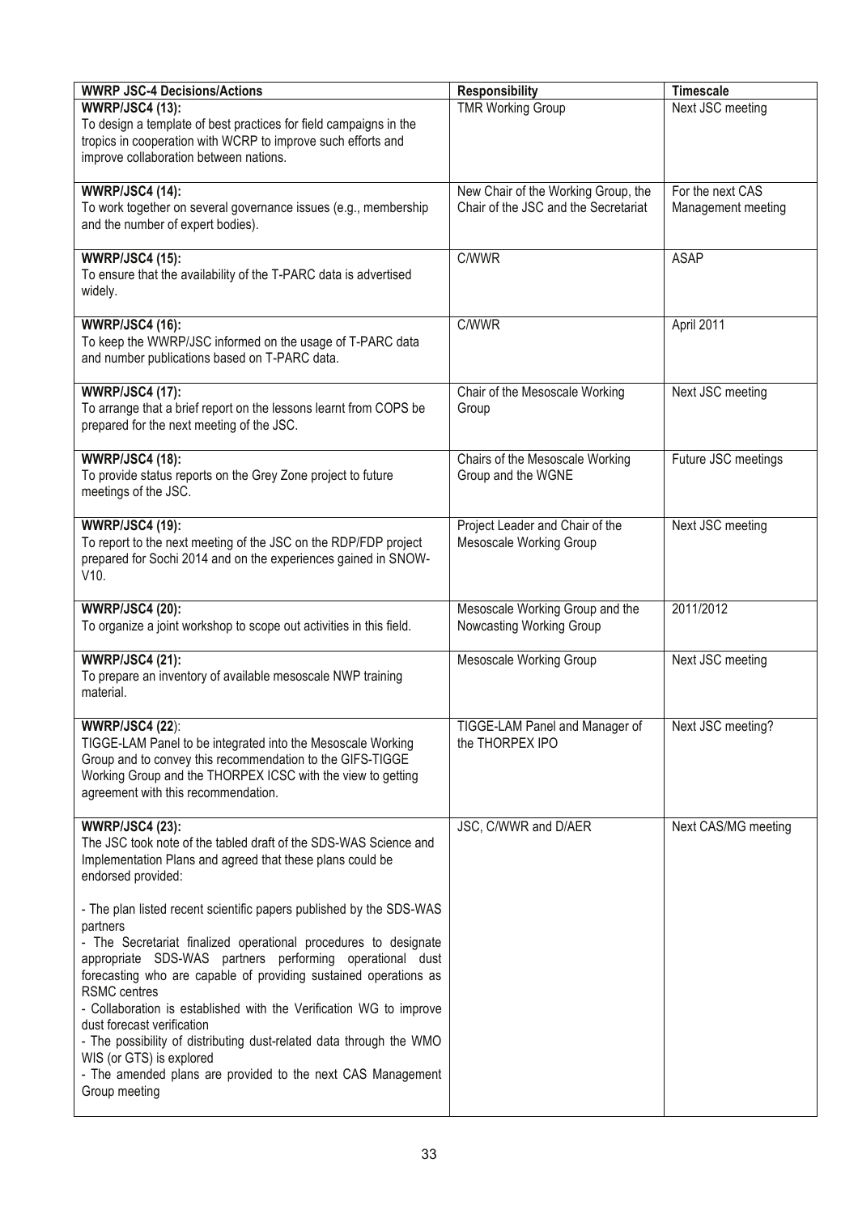| <b>WWRP JSC-4 Decisions/Actions</b>                                 |                                      | <b>Timescale</b>    |
|---------------------------------------------------------------------|--------------------------------------|---------------------|
|                                                                     | <b>Responsibility</b>                |                     |
| <b>WWRP/JSC4 (13):</b>                                              | <b>TMR Working Group</b>             | Next JSC meeting    |
| To design a template of best practices for field campaigns in the   |                                      |                     |
| tropics in cooperation with WCRP to improve such efforts and        |                                      |                     |
| improve collaboration between nations.                              |                                      |                     |
|                                                                     |                                      |                     |
| <b>WWRP/JSC4 (14):</b>                                              | New Chair of the Working Group, the  | For the next CAS    |
| To work together on several governance issues (e.g., membership     | Chair of the JSC and the Secretariat | Management meeting  |
| and the number of expert bodies).                                   |                                      |                     |
|                                                                     |                                      |                     |
| <b>WWRP/JSC4 (15):</b>                                              | C/WWR                                | <b>ASAP</b>         |
| To ensure that the availability of the T-PARC data is advertised    |                                      |                     |
| widely.                                                             |                                      |                     |
|                                                                     |                                      |                     |
| <b>WWRP/JSC4 (16):</b>                                              | C/WWR                                | April 2011          |
| To keep the WWRP/JSC informed on the usage of T-PARC data           |                                      |                     |
| and number publications based on T-PARC data.                       |                                      |                     |
|                                                                     |                                      |                     |
| <b>WWRP/JSC4 (17):</b>                                              | Chair of the Mesoscale Working       | Next JSC meeting    |
|                                                                     |                                      |                     |
| To arrange that a brief report on the lessons learnt from COPS be   | Group                                |                     |
| prepared for the next meeting of the JSC.                           |                                      |                     |
|                                                                     |                                      |                     |
| <b>WWRP/JSC4 (18):</b>                                              | Chairs of the Mesoscale Working      | Future JSC meetings |
| To provide status reports on the Grey Zone project to future        | Group and the WGNE                   |                     |
| meetings of the JSC.                                                |                                      |                     |
|                                                                     |                                      |                     |
| <b>WWRP/JSC4 (19):</b>                                              | Project Leader and Chair of the      | Next JSC meeting    |
| To report to the next meeting of the JSC on the RDP/FDP project     | <b>Mesoscale Working Group</b>       |                     |
| prepared for Sochi 2014 and on the experiences gained in SNOW-      |                                      |                     |
| V10.                                                                |                                      |                     |
|                                                                     |                                      |                     |
| <b>WWRP/JSC4 (20):</b>                                              | Mesoscale Working Group and the      | 2011/2012           |
| To organize a joint workshop to scope out activities in this field. | Nowcasting Working Group             |                     |
|                                                                     |                                      |                     |
| <b>WWRP/JSC4 (21):</b>                                              | Mesoscale Working Group              | Next JSC meeting    |
| To prepare an inventory of available mesoscale NWP training         |                                      |                     |
| material.                                                           |                                      |                     |
|                                                                     |                                      |                     |
|                                                                     | TIGGE-LAM Panel and Manager of       |                     |
| <b>WWRP/JSC4 (22):</b>                                              |                                      | Next JSC meeting?   |
| TIGGE-LAM Panel to be integrated into the Mesoscale Working         | the THORPEX IPO                      |                     |
| Group and to convey this recommendation to the GIFS-TIGGE           |                                      |                     |
| Working Group and the THORPEX ICSC with the view to getting         |                                      |                     |
| agreement with this recommendation.                                 |                                      |                     |
|                                                                     |                                      |                     |
| <b>WWRP/JSC4 (23):</b>                                              | JSC, C/WWR and D/AER                 | Next CAS/MG meeting |
| The JSC took note of the tabled draft of the SDS-WAS Science and    |                                      |                     |
| Implementation Plans and agreed that these plans could be           |                                      |                     |
| endorsed provided:                                                  |                                      |                     |
|                                                                     |                                      |                     |
| - The plan listed recent scientific papers published by the SDS-WAS |                                      |                     |
| partners                                                            |                                      |                     |
| - The Secretariat finalized operational procedures to designate     |                                      |                     |
| appropriate SDS-WAS partners performing operational dust            |                                      |                     |
| forecasting who are capable of providing sustained operations as    |                                      |                     |
| <b>RSMC</b> centres                                                 |                                      |                     |
|                                                                     |                                      |                     |
| - Collaboration is established with the Verification WG to improve  |                                      |                     |
| dust forecast verification                                          |                                      |                     |
| - The possibility of distributing dust-related data through the WMO |                                      |                     |
| WIS (or GTS) is explored                                            |                                      |                     |
| - The amended plans are provided to the next CAS Management         |                                      |                     |
| Group meeting                                                       |                                      |                     |
|                                                                     |                                      |                     |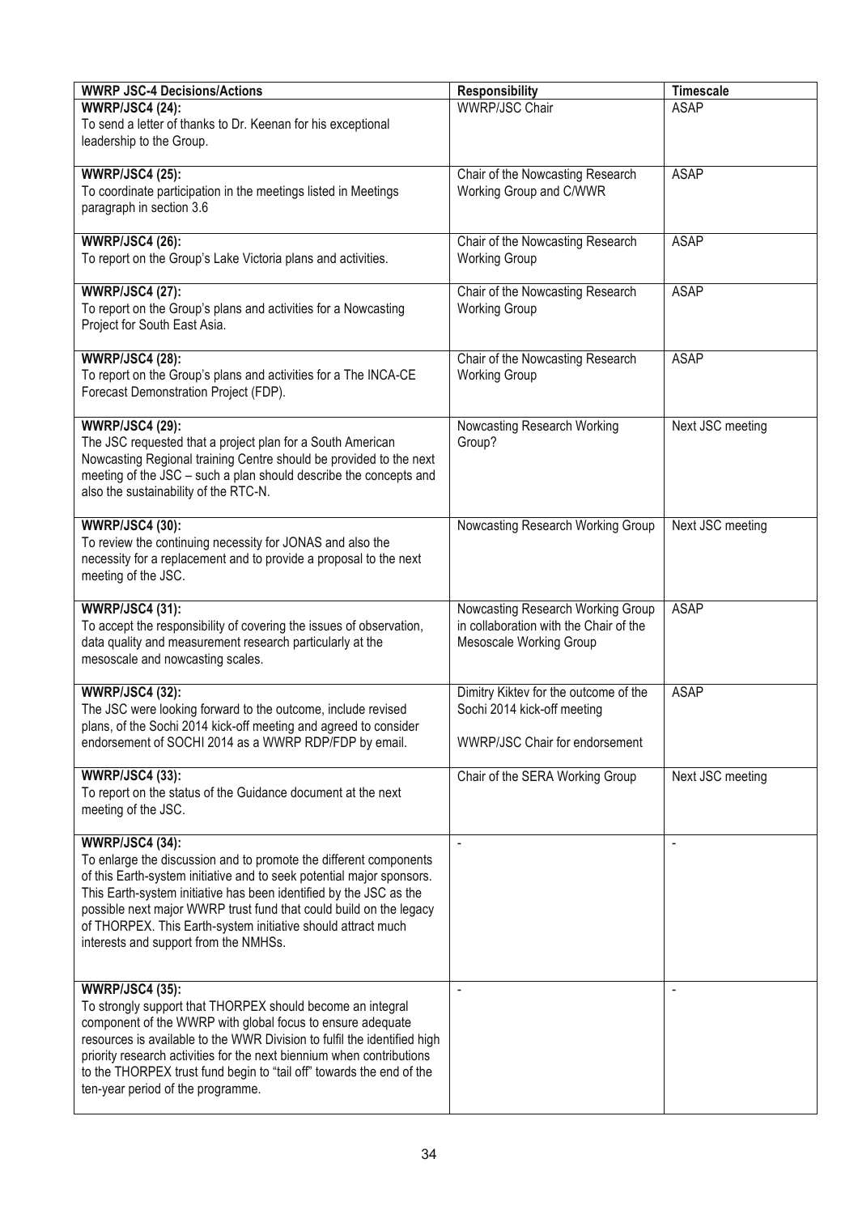| <b>WWRP JSC-4 Decisions/Actions</b>                                                                                                                                                                                                                                                                                                                                                                                       | <b>Responsibility</b>                                                                                         | <b>Timescale</b> |
|---------------------------------------------------------------------------------------------------------------------------------------------------------------------------------------------------------------------------------------------------------------------------------------------------------------------------------------------------------------------------------------------------------------------------|---------------------------------------------------------------------------------------------------------------|------------------|
| <b>WWRP/JSC4 (24):</b><br>To send a letter of thanks to Dr. Keenan for his exceptional<br>leadership to the Group.                                                                                                                                                                                                                                                                                                        | <b>WWRP/JSC Chair</b>                                                                                         | <b>ASAP</b>      |
| <b>WWRP/JSC4 (25):</b><br>To coordinate participation in the meetings listed in Meetings<br>paragraph in section 3.6                                                                                                                                                                                                                                                                                                      | Chair of the Nowcasting Research<br>Working Group and C/WWR                                                   | <b>ASAP</b>      |
| <b>WWRP/JSC4 (26):</b><br>To report on the Group's Lake Victoria plans and activities.                                                                                                                                                                                                                                                                                                                                    | Chair of the Nowcasting Research<br><b>Working Group</b>                                                      | <b>ASAP</b>      |
| <b>WWRP/JSC4 (27):</b><br>To report on the Group's plans and activities for a Nowcasting<br>Project for South East Asia.                                                                                                                                                                                                                                                                                                  | Chair of the Nowcasting Research<br><b>Working Group</b>                                                      | <b>ASAP</b>      |
| <b>WWRP/JSC4 (28):</b><br>To report on the Group's plans and activities for a The INCA-CE<br>Forecast Demonstration Project (FDP).                                                                                                                                                                                                                                                                                        | Chair of the Nowcasting Research<br><b>Working Group</b>                                                      | <b>ASAP</b>      |
| <b>WWRP/JSC4 (29):</b><br>The JSC requested that a project plan for a South American<br>Nowcasting Regional training Centre should be provided to the next<br>meeting of the JSC - such a plan should describe the concepts and<br>also the sustainability of the RTC-N.                                                                                                                                                  | Nowcasting Research Working<br>Group?                                                                         | Next JSC meeting |
| <b>WWRP/JSC4 (30):</b><br>To review the continuing necessity for JONAS and also the<br>necessity for a replacement and to provide a proposal to the next<br>meeting of the JSC.                                                                                                                                                                                                                                           | Nowcasting Research Working Group                                                                             | Next JSC meeting |
| <b>WWRP/JSC4 (31):</b><br>To accept the responsibility of covering the issues of observation,<br>data quality and measurement research particularly at the<br>mesoscale and nowcasting scales.                                                                                                                                                                                                                            | Nowcasting Research Working Group<br>in collaboration with the Chair of the<br>Mesoscale Working Group        | <b>ASAP</b>      |
| <b>WWRP/JSC4 (32):</b><br>The JSC were looking forward to the outcome, include revised<br>plans, of the Sochi 2014 kick-off meeting and agreed to consider<br>endorsement of SOCHI 2014 as a WWRP RDP/FDP by email.                                                                                                                                                                                                       | Dimitry Kiktev for the outcome of the<br>Sochi 2014 kick-off meeting<br><b>WWRP/JSC Chair for endorsement</b> | <b>ASAP</b>      |
| <b>WWRP/JSC4 (33):</b><br>To report on the status of the Guidance document at the next<br>meeting of the JSC.                                                                                                                                                                                                                                                                                                             | Chair of the SERA Working Group                                                                               | Next JSC meeting |
| <b>WWRP/JSC4 (34):</b><br>To enlarge the discussion and to promote the different components<br>of this Earth-system initiative and to seek potential major sponsors.<br>This Earth-system initiative has been identified by the JSC as the<br>possible next major WWRP trust fund that could build on the legacy<br>of THORPEX. This Earth-system initiative should attract much<br>interests and support from the NMHSs. |                                                                                                               | $\overline{a}$   |
| <b>WWRP/JSC4 (35):</b><br>To strongly support that THORPEX should become an integral<br>component of the WWRP with global focus to ensure adequate<br>resources is available to the WWR Division to fulfil the identified high<br>priority research activities for the next biennium when contributions<br>to the THORPEX trust fund begin to "tail off" towards the end of the<br>ten-year period of the programme.      |                                                                                                               |                  |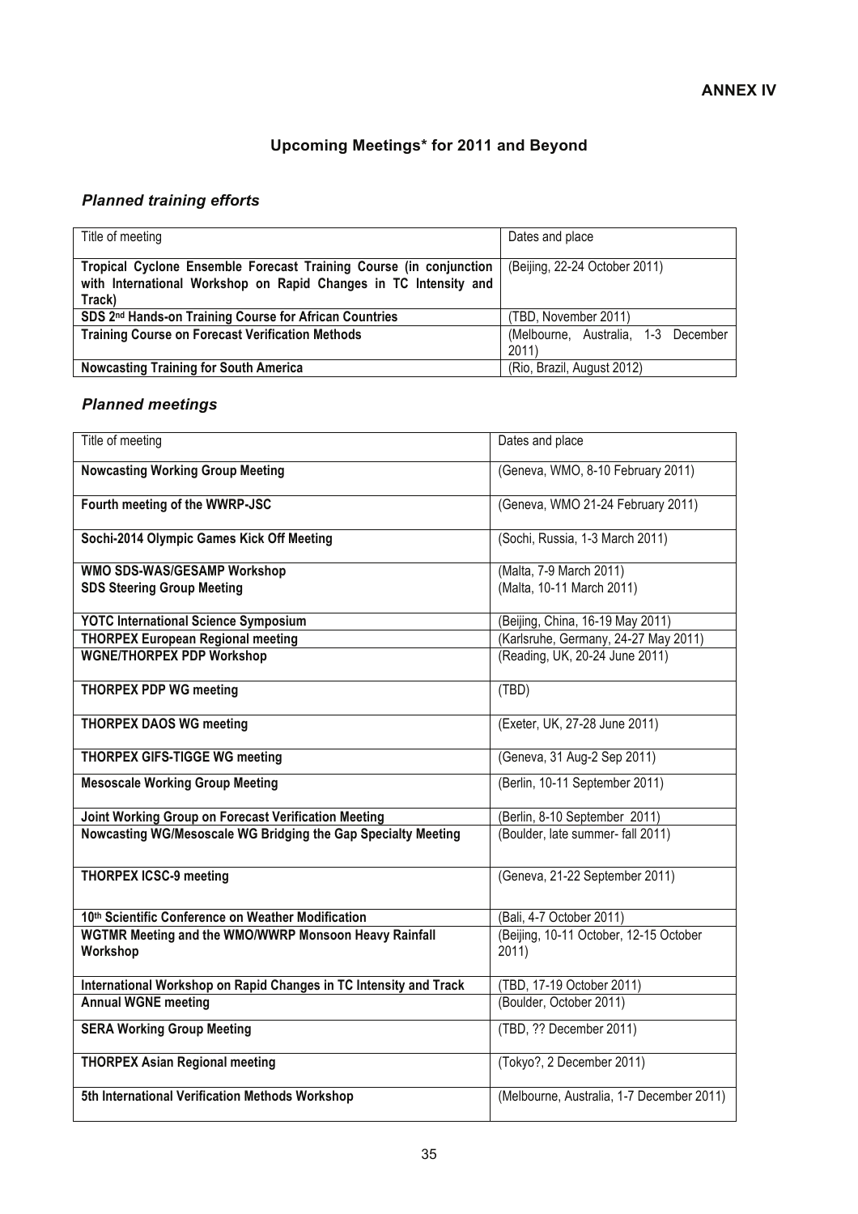## **Upcoming Meetings\* for 2011 and Beyond**

## *Planned training efforts*

| Title of meeting                                                                                                                                 | Dates and place                             |
|--------------------------------------------------------------------------------------------------------------------------------------------------|---------------------------------------------|
| Tropical Cyclone Ensemble Forecast Training Course (in conjunction<br>with International Workshop on Rapid Changes in TC Intensity and<br>Track) | (Beijing, 22-24 October 2011)               |
| SDS 2nd Hands-on Training Course for African Countries                                                                                           | (TBD, November 2011)                        |
| <b>Training Course on Forecast Verification Methods</b>                                                                                          | (Melbourne, Australia, 1-3 December<br>2011 |
| <b>Nowcasting Training for South America</b>                                                                                                     | (Rio, Brazil, August 2012)                  |

## *Planned meetings*

| Title of meeting                                                  | Dates and place                                 |
|-------------------------------------------------------------------|-------------------------------------------------|
| <b>Nowcasting Working Group Meeting</b>                           | (Geneva, WMO, 8-10 February 2011)               |
| Fourth meeting of the WWRP-JSC                                    | (Geneva, WMO 21-24 February 2011)               |
| Sochi-2014 Olympic Games Kick Off Meeting                         | (Sochi, Russia, 1-3 March 2011)                 |
| WMO SDS-WAS/GESAMP Workshop                                       | (Malta, 7-9 March 2011)                         |
| <b>SDS Steering Group Meeting</b>                                 | (Malta, 10-11 March 2011)                       |
| <b>YOTC International Science Symposium</b>                       | (Beijing, China, 16-19 May 2011)                |
| <b>THORPEX European Regional meeting</b>                          | (Karlsruhe, Germany, 24-27 May 2011)            |
| <b>WGNE/THORPEX PDP Workshop</b>                                  | (Reading, UK, 20-24 June 2011)                  |
| <b>THORPEX PDP WG meeting</b>                                     | (TBD)                                           |
| <b>THORPEX DAOS WG meeting</b>                                    | (Exeter, UK, 27-28 June 2011)                   |
| <b>THORPEX GIFS-TIGGE WG meeting</b>                              | (Geneva, 31 Aug-2 Sep 2011)                     |
| <b>Mesoscale Working Group Meeting</b>                            | (Berlin, 10-11 September 2011)                  |
| Joint Working Group on Forecast Verification Meeting              | (Berlin, 8-10 September 2011)                   |
| Nowcasting WG/Mesoscale WG Bridging the Gap Specialty Meeting     | (Boulder, late summer- fall 2011)               |
| <b>THORPEX ICSC-9 meeting</b>                                     | (Geneva, 21-22 September 2011)                  |
| 10th Scientific Conference on Weather Modification                | (Bali, 4-7 October 2011)                        |
| WGTMR Meeting and the WMO/WWRP Monsoon Heavy Rainfall<br>Workshop | (Beijing, 10-11 October, 12-15 October<br>2011) |
| International Workshop on Rapid Changes in TC Intensity and Track | (TBD, 17-19 October 2011)                       |
| <b>Annual WGNE meeting</b>                                        | (Boulder, October 2011)                         |
| <b>SERA Working Group Meeting</b>                                 | (TBD, ?? December 2011)                         |
| <b>THORPEX Asian Regional meeting</b>                             | (Tokyo?, 2 December 2011)                       |
| 5th International Verification Methods Workshop                   | (Melbourne, Australia, 1-7 December 2011)       |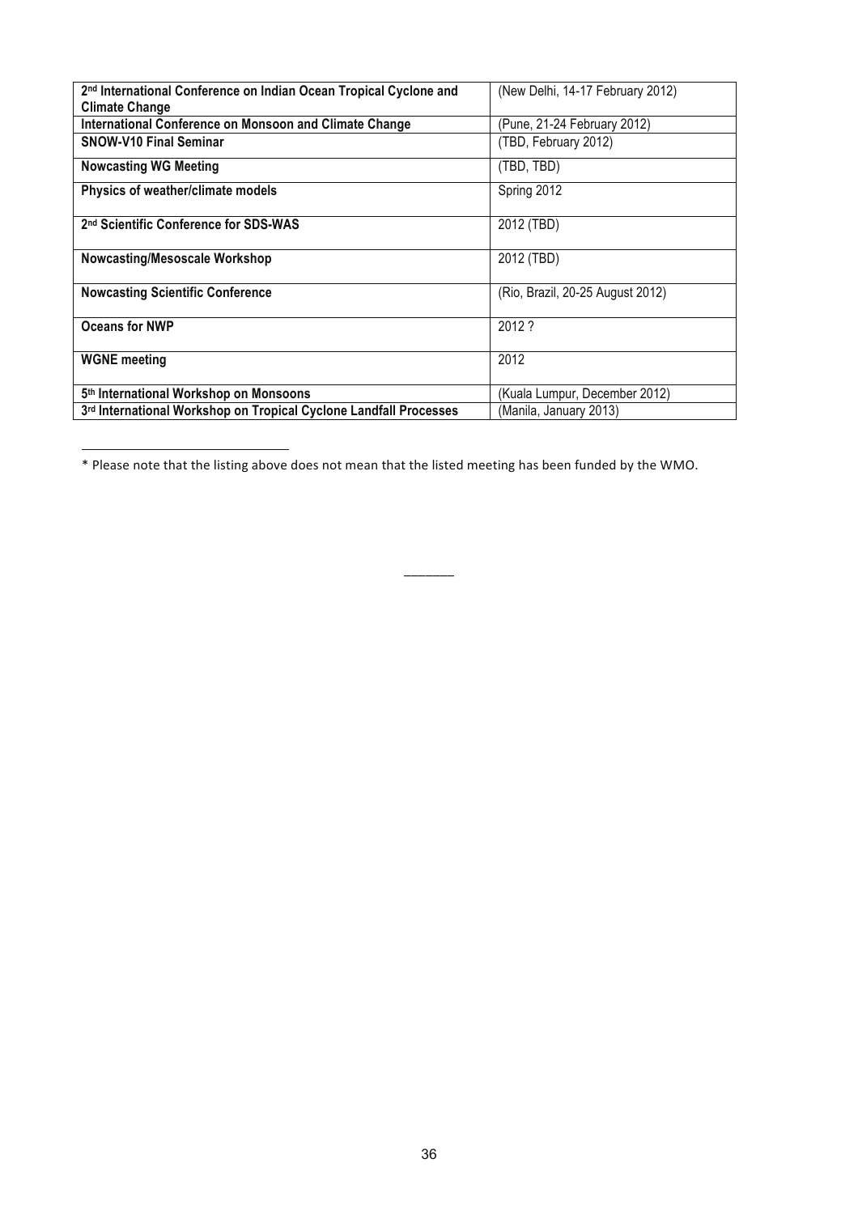| 2 <sup>nd</sup> International Conference on Indian Ocean Tropical Cyclone and | (New Delhi, 14-17 February 2012) |
|-------------------------------------------------------------------------------|----------------------------------|
| <b>Climate Change</b>                                                         |                                  |
| International Conference on Monsoon and Climate Change                        | (Pune, 21-24 February 2012)      |
| <b>SNOW-V10 Final Seminar</b>                                                 | (TBD, February 2012)             |
| <b>Nowcasting WG Meeting</b>                                                  | (TBD, TBD)                       |
| Physics of weather/climate models                                             | Spring 2012                      |
| 2nd Scientific Conference for SDS-WAS                                         | 2012 (TBD)                       |
| <b>Nowcasting/Mesoscale Workshop</b>                                          | 2012 (TBD)                       |
| <b>Nowcasting Scientific Conference</b>                                       | (Rio, Brazil, 20-25 August 2012) |
| Oceans for NWP                                                                | 2012 ?                           |
| <b>WGNE</b> meeting                                                           | 2012                             |
| 5th International Workshop on Monsoons                                        | (Kuala Lumpur, December 2012)    |
| 3rd International Workshop on Tropical Cyclone Landfall Processes             | (Manila, January 2013)           |

-\* Please note that the listing above does not mean that the listed meeting has been funded by the WMO.

9999999